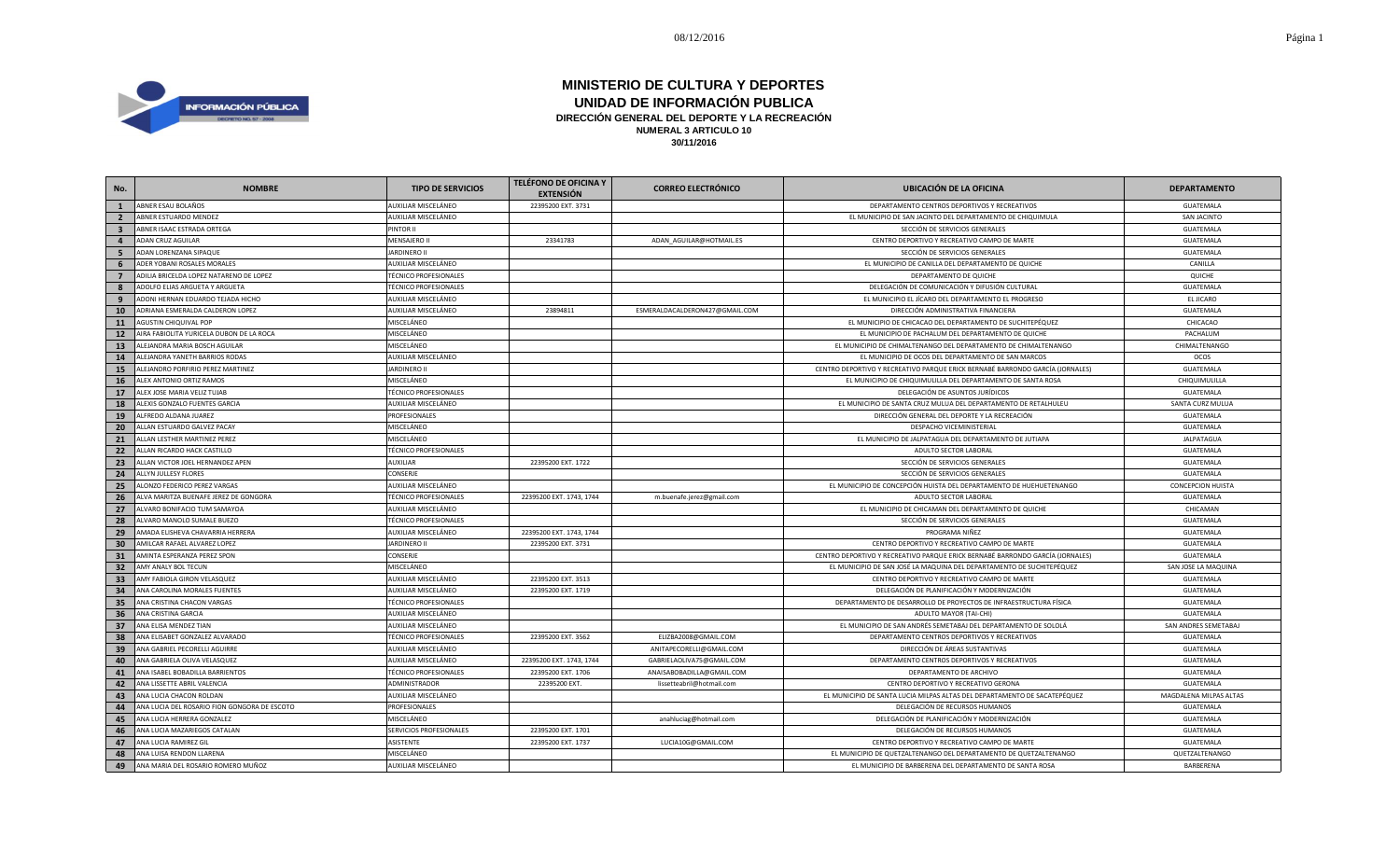

| No.                     | <b>NOMBRE</b>                                | <b>TIPO DE SERVICIOS</b>     | <b>TELÉFONO DE OFICINA Y</b><br><b>EXTENSIÓN</b> | <b>CORREO ELECTRÓNICO</b>      | <b>UBICACIÓN DE LA OFICINA</b>                                                | <b>DEPARTAMENTO</b>      |
|-------------------------|----------------------------------------------|------------------------------|--------------------------------------------------|--------------------------------|-------------------------------------------------------------------------------|--------------------------|
| 1                       | ABNER ESAU BOLAÑOS                           | AUXILIAR MISCELÁNEO          | 22395200 EXT. 3731                               |                                | DEPARTAMENTO CENTROS DEPORTIVOS Y RECREATIVOS                                 | GUATEMALA                |
| $\overline{2}$          | ABNER ESTUARDO MENDEZ                        | AUXILIAR MISCELÁNEO          |                                                  |                                | EL MUNICIPIO DE SAN JACINTO DEL DEPARTAMENTO DE CHIQUIMULA                    | SAN JACINTO              |
| $\overline{\mathbf{3}}$ | ABNER ISAAC ESTRADA ORTEGA                   | PINTOR II                    |                                                  |                                | SECCIÓN DE SERVICIOS GENERALES                                                | GUATEMALA                |
| $\overline{4}$          | ADAN CRUZ AGUILAR                            | MENSAJERO II                 | 23341783                                         | ADAN_AGUILAR@HOTMAIL.ES        | CENTRO DEPORTIVO Y RECREATIVO CAMPO DE MARTE                                  | GUATEMALA                |
| 5                       | ADAN LORENZANA SIPAQUE                       | <b>JARDINERO II</b>          |                                                  |                                | SECCIÓN DE SERVICIOS GENERALES                                                | GUATEMALA                |
| 6                       | ADER YOBANI ROSALES MORALES                  | AUXILIAR MISCELÁNEO          |                                                  |                                | EL MUNICIPIO DE CANILLA DEL DEPARTAMENTO DE QUICHE                            | CANILLA                  |
| $\overline{7}$          | ADILIA BRICELDA LOPEZ NATARENO DE LOPEZ      | <b>TÉCNICO PROFESIONALES</b> |                                                  |                                | DEPARTAMENTO DE QUICHE                                                        | QUICHE                   |
| 8                       | ADOLFO ELIAS ARGUETA Y ARGUETA               | <b>TÉCNICO PROFESIONALES</b> |                                                  |                                | DELEGACIÓN DE COMUNICACIÓN Y DIFUSIÓN CULTURAL                                | GUATEMALA                |
| 9                       | ADONI HERNAN EDUARDO TEJADA HICHO            | AUXILIAR MISCELÁNEO          |                                                  |                                | EL MUNICIPIO EL JÍCARO DEL DEPARTAMENTO EL PROGRESO                           | EL JICARO                |
| 10                      | ADRIANA ESMERALDA CALDERON LOPEZ             | AUXILIAR MISCELÁNEO          | 23894811                                         | ESMERALDACALDERON427@GMAIL.COM | DIRECCIÓN ADMINISTRATIVA FINANCIERA                                           | GUATEMALA                |
| 11                      | AGUSTIN CHIQUIVAL POP                        | MISCELÁNEO                   |                                                  |                                | EL MUNICIPIO DE CHICACAO DEL DEPARTAMENTO DE SUCHITEPÉQUEZ                    | CHICACAO                 |
| <b>12</b>               | AIRA FABIOLITA YURICELA DUBON DE LA ROCA     | MISCELÁNEO                   |                                                  |                                | EL MUNICIPIO DE PACHALUM DEL DEPARTAMENTO DE QUICHE                           | PACHALUM                 |
| 13                      | ALEJANDRA MARIA BOSCH AGUILAR                | MISCELÁNEO                   |                                                  |                                | EL MUNICIPIO DE CHIMALTENANGO DEL DEPARTAMENTO DE CHIMALTENANGO               | CHIMALTENANGO            |
| 14                      | ALEJANDRA YANETH BARRIOS RODAS               | AUXILIAR MISCELÁNEO          |                                                  |                                | EL MUNICIPIO DE OCOS DEL DEPARTAMENTO DE SAN MARCOS                           | OCOS                     |
| 15                      | ALEJANDRO PORFIRIO PEREZ MARTINEZ            | <b>JARDINERO II</b>          |                                                  |                                | CENTRO DEPORTIVO Y RECREATIVO PARQUE ERICK BERNABÉ BARRONDO GARCÍA (JORNALES) | <b>GUATEMALA</b>         |
| 16                      | ALEX ANTONIO ORTIZ RAMOS                     | MISCELÁNEO                   |                                                  |                                | EL MUNICIPIO DE CHIQUIMULILLA DEL DEPARTAMENTO DE SANTA ROSA                  | CHIQUIMULILLA            |
| 17                      | ALEX JOSE MARIA VELIZ TUJAB                  | <b>TÉCNICO PROFESIONALES</b> |                                                  |                                | DELEGACIÓN DE ASUNTOS JURÍDICOS                                               | GUATEMALA                |
| 18                      | ALEXIS GONZALO FUENTES GARCIA                | AUXILIAR MISCELÁNEO          |                                                  |                                | EL MUNICIPIO DE SANTA CRUZ MULUA DEL DEPARTAMENTO DE RETALHULEU               | SANTA CURZ MULUA         |
| 19                      | ALFREDO ALDANA JUAREZ                        | PROFESIONALES                |                                                  |                                | DIRECCIÓN GENERAL DEL DEPORTE Y LA RECREACIÓN                                 | GUATEMALA                |
| 20                      | ALLAN ESTUARDO GALVEZ PACAY                  | MISCELÁNEO                   |                                                  |                                | DESPACHO VICEMINISTERIAL                                                      | GUATEMALA                |
| 21                      | ALLAN LESTHER MARTINEZ PEREZ                 | MISCELÁNEO                   |                                                  |                                | EL MUNICIPIO DE JALPATAGUA DEL DEPARTAMENTO DE JUTIAPA                        | JALPATAGUA               |
| 22                      | ALLAN RICARDO HACK CASTILLO                  | <b>TÉCNICO PROFESIONALES</b> |                                                  |                                | ADULTO SECTOR LABORAL                                                         | GUATEMALA                |
| 23                      | ALLAN VICTOR JOEL HERNANDEZ APEN             | AUXILIAR                     | 22395200 EXT. 1722                               |                                | SECCIÓN DE SERVICIOS GENERALES                                                | GUATEMALA                |
| 24                      | ALLYN JULLESY FLORES                         | CONSERJE                     |                                                  |                                | SECCIÓN DE SERVICIOS GENERALES                                                | GUATEMALA                |
| 25                      | ALONZO FEDERICO PEREZ VARGAS                 | AUXILIAR MISCELÁNEO          |                                                  |                                | EL MUNICIPIO DE CONCEPCIÓN HUISTA DEL DEPARTAMENTO DE HUEHUETENANGO           | <b>CONCEPCION HUISTA</b> |
| 26                      | ALVA MARITZA BUENAFE JEREZ DE GONGORA        | <b>TÉCNICO PROFESIONALES</b> | 22395200 EXT. 1743, 1744                         | m.buenafe.jerez@gmail.com      | ADULTO SECTOR LABORAL                                                         | GUATEMALA                |
| 27                      | ALVARO BONIFACIO TUM SAMAYOA                 | AUXILIAR MISCELÁNEO          |                                                  |                                | EL MUNICIPIO DE CHICAMAN DEL DEPARTAMENTO DE QUICHE                           | CHICAMAN                 |
| 28                      | ALVARO MANOLO SUMALE BUEZO                   | <b>TÉCNICO PROFESIONALES</b> |                                                  |                                | SECCIÓN DE SERVICIOS GENERALES                                                | GUATEMALA                |
| 29                      | AMADA ELISHEVA CHAVARRIA HERRERA             | AUXILIAR MISCELÁNEO          | 22395200 EXT. 1743, 1744                         |                                | PROGRAMA NIÑEZ                                                                | <b>GUATEMALA</b>         |
| 30                      | AMILCAR RAFAEL ALVAREZ LOPEZ                 | <b>JARDINERO II</b>          | 22395200 EXT. 3731                               |                                | CENTRO DEPORTIVO Y RECREATIVO CAMPO DE MARTE                                  | GUATEMALA                |
| 31                      | AMINTA ESPERANZA PEREZ SPON                  | CONSERJE                     |                                                  |                                | CENTRO DEPORTIVO Y RECREATIVO PARQUE ERICK BERNABÉ BARRONDO GARCÍA (JORNALES) | GUATEMALA                |
| 32                      | AMY ANALY BOL TECUN                          | MISCELÁNEO                   |                                                  |                                | EL MUNICIPIO DE SAN JOSÉ LA MAQUINA DEL DEPARTAMENTO DE SUCHITEPÉQUEZ         | SAN JOSE LA MAQUINA      |
| 33                      | AMY FABIOLA GIRON VELASQUEZ                  | AUXILIAR MISCELÁNEO          | 22395200 EXT. 3513                               |                                | CENTRO DEPORTIVO Y RECREATIVO CAMPO DE MARTI                                  | GUATEMALA                |
| 34                      | ANA CAROLINA MORALES FUENTES                 | AUXILIAR MISCELÁNEO          | 22395200 EXT. 1719                               |                                | DELEGACIÓN DE PLANIFICACIÓN Y MODERNIZACIÓN                                   | <b>GUATEMALA</b>         |
| 35                      | ANA CRISTINA CHACON VARGAS                   | <b>TÉCNICO PROFESIONALES</b> |                                                  |                                | DEPARTAMENTO DE DESARROLLO DE PROYECTOS DE INFRAESTRUCTURA FÍSICA             | GUATEMALA                |
| 36                      | ANA CRISTINA GARCIA                          | AUXILIAR MISCELÁNEO          |                                                  |                                | ADULTO MAYOR (TAI-CHI)                                                        | GUATEMALA                |
| 37                      | ANA ELISA MENDEZ TIAN                        | AUXILIAR MISCELÁNEO          |                                                  |                                | EL MUNICIPIO DE SAN ANDRÉS SEMETABAJ DEL DEPARTAMENTO DE SOLOLÁ               | SAN ANDRES SEMETABAJ     |
| 38                      | ANA ELISABET GONZALEZ ALVARADO               | <b>TÉCNICO PROFESIONALES</b> | 22395200 EXT. 3562                               | ELIZBA2008@GMAIL.COM           | DEPARTAMENTO CENTROS DEPORTIVOS Y RECREATIVOS                                 | GUATEMALA                |
| 39                      | ANA GABRIEL PECORELLI AGUIRRE                | AUXILIAR MISCELÁNEO          |                                                  | ANITAPECORELLI@GMAIL.COM       | DIRECCIÓN DE ÁREAS SUSTANTIVAS                                                | GUATEMALA                |
| 40                      | ANA GABRIELA OLIVA VELASQUEZ                 | AUXILIAR MISCELÁNEO          | 22395200 EXT. 1743, 1744                         | GABRIELAOLIVA75@GMAIL.COM      | DEPARTAMENTO CENTROS DEPORTIVOS Y RECREATIVOS                                 | GUATEMALA                |
| 41                      | ANA ISABEL BOBADILLA BARRIENTOS              | <b>TÉCNICO PROFESIONALES</b> | 22395200 EXT. 1706                               | ANAISABOBADILLA@GMAIL.COM      | DEPARTAMENTO DE ARCHIVO                                                       | GUATEMALA                |
| 42                      | ANA LISSETTE ABRIL VALENCIA                  | ADMINISTRADOR                | 22395200 EXT.                                    | lissetteabril@hotmail.com      | CENTRO DEPORTIVO Y RECREATIVO GERONA                                          | GUATEMALA                |
| 43                      | ANA LUCIA CHACON ROLDAN                      | AUXILIAR MISCELÁNEO          |                                                  |                                | EL MUNICIPIO DE SANTA LUCIA MILPAS ALTAS DEL DEPARTAMENTO DE SACATEPÉQUEZ     | MAGDALENA MILPAS ALTAS   |
| 44                      | ANA LUCIA DEL ROSARIO FION GONGORA DE ESCOTO | PROFESIONALES                |                                                  |                                | DELEGACIÓN DE RECURSOS HUMANOS                                                | GUATEMALA                |
| 45                      | ANA LUCIA HERRERA GONZALEZ                   | MISCELÁNEO                   |                                                  | anahluciag@hotmail.com         | DELEGACIÓN DE PLANIFICACIÓN Y MODERNIZACIÓN                                   | GUATEMALA                |
| 46                      | ANA LUCIA MAZARIEGOS CATALAN                 | SERVICIOS PROFESIONALES      | 22395200 EXT. 1701                               |                                | DELEGACIÓN DE RECURSOS HUMANOS                                                | GUATEMALA                |
| 47                      | ANA LUCIA RAMIREZ GIL                        | ASISTENTE                    | 22395200 EXT. 1737                               | LUCIA10G@GMAIL.COM             | CENTRO DEPORTIVO Y RECREATIVO CAMPO DE MARTE                                  | GUATEMALA                |
| 48                      | ANA LUISA RENDON LLARENA                     | MISCELÁNEO                   |                                                  |                                | EL MUNICIPIO DE QUETZALTENANGO DEL DEPARTAMENTO DE QUETZALTENANGO             | QUETZALTENANGO           |
| 49                      | ANA MARIA DEL ROSARIO ROMERO MUÑOZ           | AUXILIAR MISCELÁNEO          |                                                  |                                | EL MUNICIPIO DE BARBERENA DEL DEPARTAMENTO DE SANTA ROSA                      | BARBERENA                |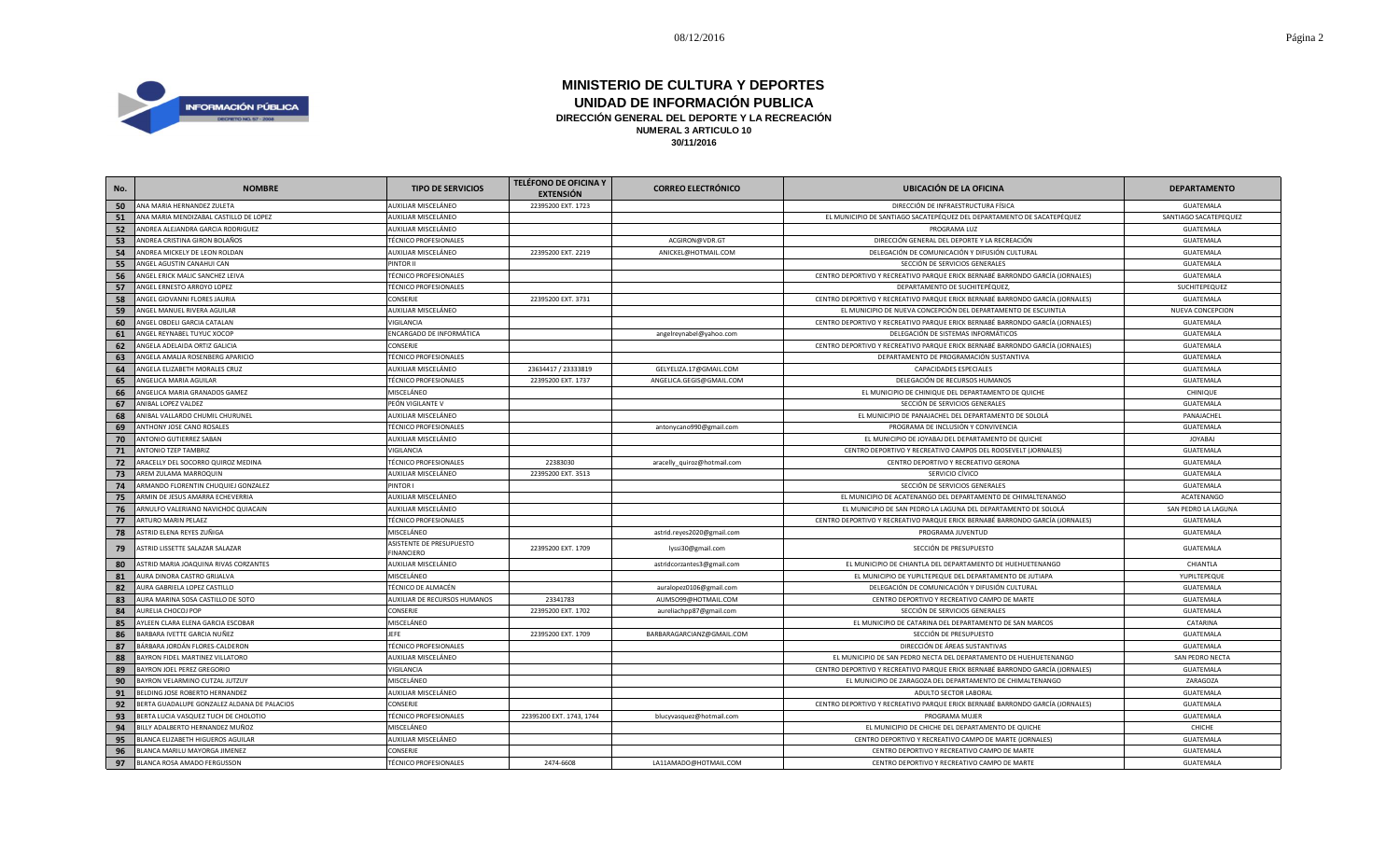

| No. | <b>NOMBRE</b>                               | <b>TIPO DE SERVICIOS</b>               | <b>TELÉFONO DE OFICINA Y</b><br><b>EXTENSIÓN</b> | <b>CORREO ELECTRÓNICO</b>   | <b>UBICACIÓN DE LA OFICINA</b>                                                | <b>DEPARTAMENTO</b>   |
|-----|---------------------------------------------|----------------------------------------|--------------------------------------------------|-----------------------------|-------------------------------------------------------------------------------|-----------------------|
| 50  | ANA MARIA HERNANDEZ ZULETA                  | AUXILIAR MISCELÁNEO                    | 22395200 EXT. 1723                               |                             | DIRECCIÓN DE INFRAESTRUCTURA FÍSICA                                           | GUATEMALA             |
| 51  | ANA MARIA MENDIZABAL CASTILLO DE LOPEZ      | AUXILIAR MISCELÁNEO                    |                                                  |                             | EL MUNICIPIO DE SANTIAGO SACATEPÉQUEZ DEL DEPARTAMENTO DE SACATEPÉQUEZ        | SANTIAGO SACATEPEQUEZ |
| 52  | ANDREA ALEJANDRA GARCIA RODRIGUEZ           | AUXILIAR MISCELÁNEO                    |                                                  |                             | PROGRAMA LUZ                                                                  | GUATEMALA             |
| 53  | ANDREA CRISTINA GIRON BOLAÑOS               | <b>TÉCNICO PROFESIONALES</b>           |                                                  | ACGIRON@VDR.GT              | DIRECCIÓN GENERAL DEL DEPORTE Y LA RECREACIÓN                                 | GUATEMALA             |
| 54  | ANDREA MICKELY DE LEON ROLDAN               | AUXILIAR MISCELÁNEO                    | 22395200 EXT. 2219                               | ANICKEL@HOTMAIL.COM         | DELEGACIÓN DE COMUNICACIÓN Y DIFUSIÓN CULTURAL                                | GUATEMALA             |
| 55  | ANGEL AGUSTIN CANAHUI CAN                   | PINTOR II                              |                                                  |                             | SECCIÓN DE SERVICIOS GENERALES                                                | GUATEMALA             |
| 56  | ANGEL ERICK MALIC SANCHEZ LEIVA             | <b>TÉCNICO PROFESIONALES</b>           |                                                  |                             | CENTRO DEPORTIVO Y RECREATIVO PARQUE ERICK BERNABÉ BARRONDO GARCÍA (JORNALES) | GUATEMALA             |
| 57  | ANGEL ERNESTO ARROYO LOPEZ                  | <b>TÉCNICO PROFESIONALES</b>           |                                                  |                             | DEPARTAMENTO DE SUCHITEPÉQUEZ,                                                | SUCHITEPEQUEZ         |
| 58  | ANGEL GIOVANNI FLORES JAURIA                | CONSERJE                               | 22395200 EXT. 3731                               |                             | CENTRO DEPORTIVO Y RECREATIVO PARQUE ERICK BERNABÉ BARRONDO GARCÍA (JORNALES) | GUATEMALA             |
| 59  | ANGEL MANUEL RIVERA AGUILAR                 | AUXILIAR MISCELÁNEO                    |                                                  |                             | EL MUNICIPIO DE NUEVA CONCEPCIÓN DEL DEPARTAMENTO DE ESCUINTLA                | NUEVA CONCEPCION      |
| 60  | ANGEL OBDELI GARCIA CATALAN                 | VIGILANCIA                             |                                                  |                             | CENTRO DEPORTIVO Y RECREATIVO PARQUE ERICK BERNABÉ BARRONDO GARCÍA (JORNALES) | GUATEMALA             |
| 61  | ANGEL REYNABEL TUYUC XOCOP                  | ENCARGADO DE INFORMÁTICA               |                                                  | angelreynabel@yahoo.com     | DELEGACIÓN DE SISTEMAS INFORMÁTICOS                                           | GUATEMALA             |
| 62  | ANGELA ADELAIDA ORTIZ GALICIA               | CONSERJE                               |                                                  |                             | CENTRO DEPORTIVO Y RECREATIVO PARQUE ERICK BERNABÉ BARRONDO GARCÍA (JORNALES) | GUATEMALA             |
| 63  | ANGELA AMALIA ROSENBERG APARICIO            | <b>TÉCNICO PROFESIONALES</b>           |                                                  |                             | DEPARTAMENTO DE PROGRAMACIÓN SUSTANTIVA                                       | GUATEMALA             |
| 64  | ANGELA ELIZABETH MORALES CRUZ               | AUXILIAR MISCELÁNEO                    | 23634417 / 23333819                              | GELYELIZA.17@GMAIL.COM      | CAPACIDADES ESPECIALES                                                        | GUATEMALA             |
| 65  | ANGELICA MARIA AGUILAR                      | <b>TÉCNICO PROFESIONALES</b>           | 22395200 EXT. 1737                               | ANGELICA.GEGIS@GMAIL.COM    | DELEGACIÓN DE RECURSOS HUMANOS                                                | GUATEMALA             |
| 66  | ANGELICA MARIA GRANADOS GAMEZ               | MISCELÁNEO                             |                                                  |                             | EL MUNICIPIO DE CHINIQUE DEL DEPARTAMENTO DE QUICHE                           | CHINIQUE              |
| 67  | ANIBAL LOPEZ VALDEZ                         | PEÓN VIGILANTE V                       |                                                  |                             | SECCIÓN DE SERVICIOS GENERALES                                                | GUATEMALA             |
| 68  | ANIBAL VALLARDO CHUMIL CHURUNEL             | AUXILIAR MISCELÁNEO                    |                                                  |                             | EL MUNICIPIO DE PANAJACHEL DEL DEPARTAMENTO DE SOLOLÁ                         | PANAJACHEL            |
| 69  | ANTHONY JOSE CANO ROSALES                   | <b>TÉCNICO PROFESIONALES</b>           |                                                  | antonycano990@gmail.com     | PROGRAMA DE INCLUSIÓN Y CONVIVENCIA                                           | GUATEMALA             |
| 70  | ANTONIO GUTIERREZ SABAN                     | AUXILIAR MISCELÁNEO                    |                                                  |                             | EL MUNICIPIO DE JOYABAJ DEL DEPARTAMENTO DE QUICHE                            | <b>JOYABAJ</b>        |
| 71  | ANTONIO TZEP TAMBRIZ                        | VIGILANCIA                             |                                                  |                             | CENTRO DEPORTIVO Y RECREATIVO CAMPOS DEL ROOSEVELT (JORNALES)                 | GUATEMALA             |
| 72  | ARACELLY DEL SOCORRO QUIROZ MEDINA          | <b>TÉCNICO PROFESIONALES</b>           | 22383030                                         | aracelly_quiroz@hotmail.com | CENTRO DEPORTIVO Y RECREATIVO GERONA                                          | GUATEMALA             |
| 73  | AREM ZULAMA MARROQUIN                       | AUXILIAR MISCELÁNEO                    | 22395200 EXT. 3513                               |                             | SERVICIO CÍVICO                                                               | GUATEMALA             |
| 74  | ARMANDO FLORENTIN CHUQUIEJ GONZALEZ         | PINTOR I                               |                                                  |                             | SECCIÓN DE SERVICIOS GENERALES                                                | GUATEMALA             |
| 75  | ARMIN DE JESUS AMARRA ECHEVERRIA            | AUXILIAR MISCELÁNEO                    |                                                  |                             | EL MUNICIPIO DE ACATENANGO DEL DEPARTAMENTO DE CHIMALTENANGO                  | ACATENANGO            |
| 76  | ARNULFO VALERIANO NAVICHOC QUIACAIN         | AUXILIAR MISCELÁNEO                    |                                                  |                             | EL MUNICIPIO DE SAN PEDRO LA LAGUNA DEL DEPARTAMENTO DE SOLOLÁ                | SAN PEDRO LA LAGUNA   |
| 77  | ARTURO MARIN PELAEZ                         | <b>TÉCNICO PROFESIONALES</b>           |                                                  |                             | CENTRO DEPORTIVO Y RECREATIVO PARQUE ERICK BERNABÉ BARRONDO GARCÍA (JORNALES) | GUATEMALA             |
| 78  | ASTRID ELENA REYES ZUÑIGA                   | MISCELÁNEO                             |                                                  | astrid.reyes2020@gmail.com  | PROGRAMA JUVENTUD                                                             | GUATEMALA             |
| 79  | ASTRID LISSETTE SALAZAR SALAZAR             | ASISTENTE DE PRESUPUESTO<br>FINANCIERO | 22395200 EXT. 1709                               | lyssi30@gmail.com           | SECCIÓN DE PRESUPUESTO                                                        | GUATEMALA             |
| 80  | ASTRID MARIA JOAQUINA RIVAS CORZANTES       | AUXILIAR MISCELÁNEO                    |                                                  | astridcorzantes3@gmail.com  | EL MUNICIPIO DE CHIANTLA DEL DEPARTAMENTO DE HUEHUETENANGO                    | CHIANTLA              |
| 81  | AURA DINORA CASTRO GRIJALVA                 | MISCELÁNEO                             |                                                  |                             | EL MUNICIPIO DE YUPILTEPEQUE DEL DEPARTAMENTO DE JUTIAPA                      | YUPILTEPEQUE          |
| 82  | AURA GABRIELA LOPEZ CASTILLO                | TÉCNICO DE ALMACÉN                     |                                                  | auralopez0106@gmail.com     | DELEGACIÓN DE COMUNICACIÓN Y DIFUSIÓN CULTURAL                                | GUATEMALA             |
| 83  | AURA MARINA SOSA CASTILLO DE SOTO           | AUXILIAR DE RECURSOS HUMANOS           | 23341783                                         | AUMSO99@HOTMAIL.COM         | CENTRO DEPORTIVO Y RECREATIVO CAMPO DE MARTE                                  | GUATEMALA             |
| 84  | AURELIA CHOCOJ POP                          | CONSERJE                               | 22395200 EXT. 1702                               | aureliachpp87@gmail.com     | SECCIÓN DE SERVICIOS GENERALES                                                | GUATEMALA             |
| 85  | AYLEEN CLARA ELENA GARCIA ESCOBAR           | MISCELÁNEO                             |                                                  |                             | EL MUNICIPIO DE CATARINA DEL DEPARTAMENTO DE SAN MARCOS                       | CATARINA              |
| 86  | BARBARA IVETTE GARCIA NUÑEZ                 | <b>JEFE</b>                            | 22395200 EXT. 1709                               | BARBARAGARCIANZ@GMAIL.COM   | SECCIÓN DE PRESUPUESTO                                                        | GUATEMALA             |
| 87  | BÁRBARA JORDÁN FLORES-CALDERON              | <b>TÉCNICO PROFESIONALES</b>           |                                                  |                             | DIRECCIÓN DE ÁREAS SUSTANTIVAS                                                | GUATEMALA             |
| 88  | BAYRON FIDEL MARTINEZ VILLATORO             | AUXILIAR MISCELÁNEO                    |                                                  |                             | EL MUNICIPIO DE SAN PEDRO NECTA DEL DEPARTAMENTO DE HUEHUETENANGO             | SAN PEDRO NECTA       |
| 89  | BAYRON JOEL PEREZ GREGORIO                  | VIGILANCIA                             |                                                  |                             | CENTRO DEPORTIVO Y RECREATIVO PARQUE ERICK BERNABÉ BARRONDO GARCÍA (JORNALES) | GUATEMALA             |
| 90  | BAYRON VELARMINO CUTZAL JUTZUY              | MISCELÁNEO                             |                                                  |                             | EL MUNICIPIO DE ZARAGOZA DEL DEPARTAMENTO DE CHIMALTENANGO                    | ZARAGOZA              |
| 91  | BELDING JOSE ROBERTO HERNANDEZ              | AUXILIAR MISCELÁNEO                    |                                                  |                             | ADULTO SECTOR LABORAL                                                         | GUATEMALA             |
| 92  | BERTA GUADALUPE GONZALEZ ALDANA DE PALACIOS | CONSERJE                               |                                                  |                             | CENTRO DEPORTIVO Y RECREATIVO PARQUE ERICK BERNABÉ BARRONDO GARCÍA (JORNALES) | GUATEMALA             |
| 93  | BERTA LUCIA VASQUEZ TUCH DE CHOLOTIO        | <b>TÉCNICO PROFESIONALES</b>           | 22395200 EXT. 1743, 1744                         | blucyvasquez@hotmail.com    | PROGRAMA MUJER                                                                | GUATEMALA             |
| 94  | BILLY ADALBERTO HERNANDEZ MUÑOZ             | MISCELÁNEO                             |                                                  |                             | EL MUNICIPIO DE CHICHE DEL DEPARTAMENTO DE QUICHE                             | CHICHE                |
| 95  | BLANCA ELIZABETH HIGUEROS AGUILAR           | AUXILIAR MISCELÁNEO                    |                                                  |                             | CENTRO DEPORTIVO Y RECREATIVO CAMPO DE MARTE (JORNALES)                       | GUATEMALA             |
| 96  | BLANCA MARILU MAYORGA JIMENEZ               | CONSERJE                               |                                                  |                             | CENTRO DEPORTIVO Y RECREATIVO CAMPO DE MARTE                                  | <b>GUATEMALA</b>      |
| 97  | BLANCA ROSA AMADO FERGUSSON                 | <b>TÉCNICO PROFESIONALES</b>           | 2474-6608                                        | LA11AMADO@HOTMAIL.COM       | CENTRO DEPORTIVO Y RECREATIVO CAMPO DE MARTE                                  | GUATEMALA             |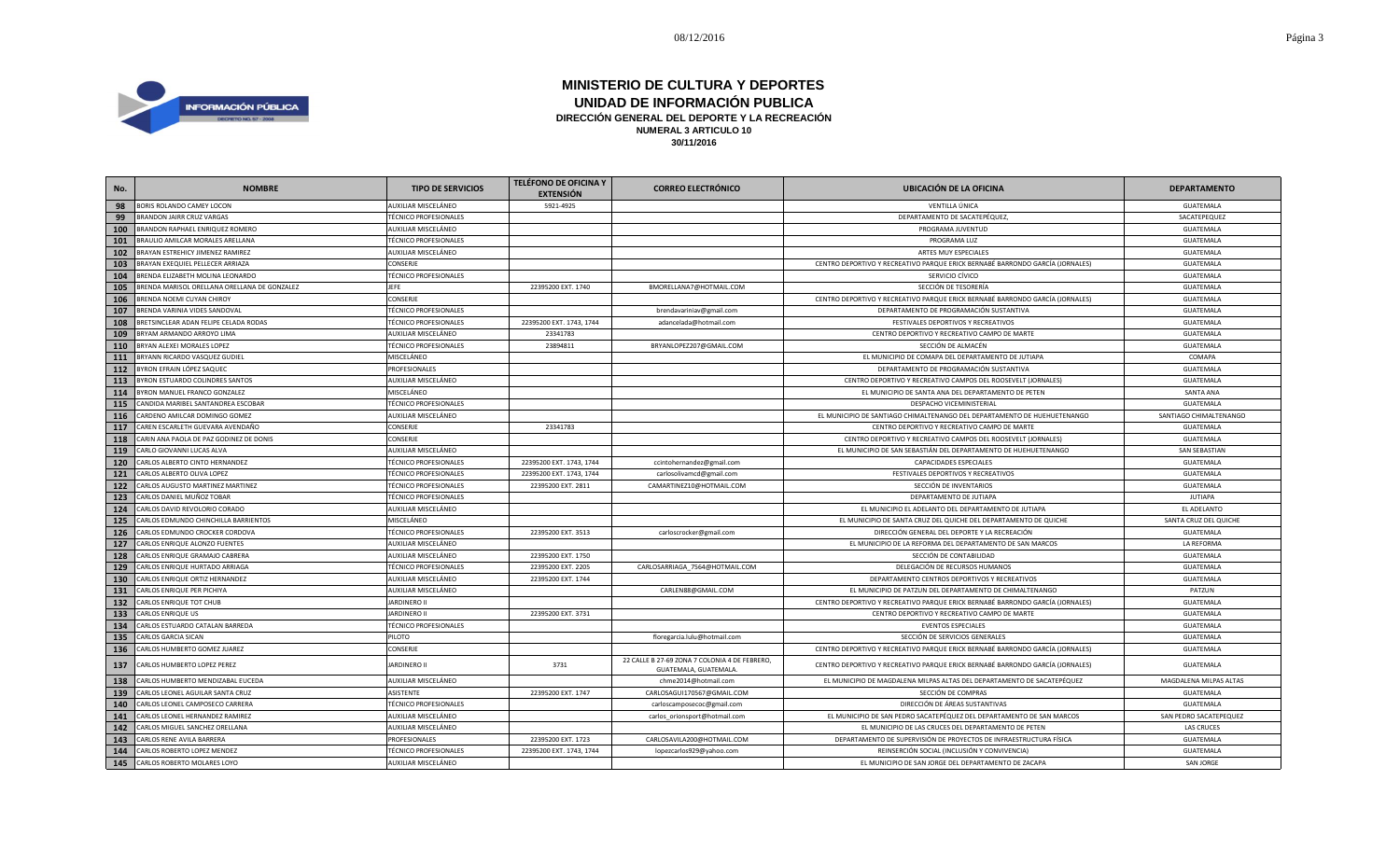

| No. | <b>NOMBRE</b>                                | <b>TIPO DE SERVICIOS</b>     | TELÉFONO DE OFICINA Y<br><b>EXTENSIÓN</b> | <b>CORREO ELECTRÓNICO</b>                                             | <b>UBICACIÓN DE LA OFICINA</b>                                                | <b>DEPARTAMENTO</b>    |
|-----|----------------------------------------------|------------------------------|-------------------------------------------|-----------------------------------------------------------------------|-------------------------------------------------------------------------------|------------------------|
| 98  | BORIS ROLANDO CAMEY LOCON                    | AUXILIAR MISCELÁNEO          | 5921-4925                                 |                                                                       | VENTILLA ÚNICA                                                                | GUATEMALA              |
| 99  | BRANDON JAIRR CRUZ VARGAS                    | <b>TÉCNICO PROFESIONALES</b> |                                           |                                                                       | DEPARTAMENTO DE SACATEPÉQUEZ,                                                 | SACATEPEQUEZ           |
| 100 | BRANDON RAPHAEL ENRIQUEZ ROMERO              | AUXILIAR MISCELÁNEO          |                                           |                                                                       | PROGRAMA JUVENTUD                                                             | GUATEMALA              |
| 101 | BRAULIO AMILCAR MORALES ARELLANA             | <b>TÉCNICO PROFESIONALES</b> |                                           |                                                                       | PROGRAMA LUZ                                                                  | GUATEMALA              |
| 102 | BRAYAN ESTREHICY JIMENEZ RAMIREZ             | AUXILIAR MISCELÁNEO          |                                           |                                                                       | ARTES MUY ESPECIALES                                                          | GUATEMALA              |
| 103 | BRAYAN EXEQUIEL PELLECER ARRIAZA             | CONSERJE                     |                                           |                                                                       | CENTRO DEPORTIVO Y RECREATIVO PARQUE ERICK BERNABÉ BARRONDO GARCÍA (JORNALES) | GUATEMALA              |
| 104 | BRENDA ELIZABETH MOLINA LEONARDO             | <b>TÉCNICO PROFESIONALES</b> |                                           |                                                                       | SERVICIO CÍVICO                                                               | GUATEMALA              |
| 105 | BRENDA MARISOL ORELLANA ORELLANA DE GONZALEZ | <b>JEFE</b>                  | 22395200 EXT. 1740                        | BMORELLANA7@HOTMAIL.COM                                               | SECCIÓN DE TESORERÍA                                                          | GUATEMALA              |
| 106 | BRENDA NOEMI CUYAN CHIROY                    | CONSERJE                     |                                           |                                                                       | CENTRO DEPORTIVO Y RECREATIVO PARQUE ERICK BERNABÉ BARRONDO GARCÍA (JORNALES) | GUATEMALA              |
| 107 | BRENDA VARINIA VIDES SANDOVAL                | <b>TÉCNICO PROFESIONALES</b> |                                           | brendavariniav@gmail.com                                              | DEPARTAMENTO DE PROGRAMACIÓN SUSTANTIVA                                       | GUATEMALA              |
| 108 | BRETSINCLEAR ADAN FELIPE CELADA RODAS        | <b>TÉCNICO PROFESIONALES</b> | 22395200 EXT. 1743, 1744                  | adancelada@hotmail.com                                                | FESTIVALES DEPORTIVOS Y RECREATIVOS                                           | GUATEMALA              |
| 109 | BRYAM ARMANDO ARROYO LIMA                    | AUXILIAR MISCELÁNEO          | 23341783                                  |                                                                       | CENTRO DEPORTIVO Y RECREATIVO CAMPO DE MARTE                                  | GUATEMALA              |
| 110 | BRYAN ALEXEI MORALES LOPEZ                   | <b>TÉCNICO PROFESIONALES</b> | 23894811                                  | BRYANLOPEZ207@GMAIL.COM                                               | SECCIÓN DE ALMACÉN                                                            | <b>GUATEMALA</b>       |
| 111 | BRYANN RICARDO VASQUEZ GUDIEL                | MISCELÁNEO                   |                                           |                                                                       | EL MUNICIPIO DE COMAPA DEL DEPARTAMENTO DE JUTIAPA                            | COMAPA                 |
| 112 | BYRON EFRAIN LÓPEZ SAQUEC                    | PROFESIONALES                |                                           |                                                                       | DEPARTAMENTO DE PROGRAMACIÓN SUSTANTIVA                                       | GUATEMALA              |
| 113 | BYRON ESTUARDO COLINDRES SANTOS              | AUXILIAR MISCELÁNEO          |                                           |                                                                       | CENTRO DEPORTIVO Y RECREATIVO CAMPOS DEL ROOSEVELT (JORNALES)                 | GUATEMALA              |
| 114 | BYRON MANUEL FRANCO GONZALEZ                 | MISCELÁNEO                   |                                           |                                                                       | EL MUNICIPIO DE SANTA ANA DEL DEPARTAMENTO DE PETEN                           | SANTA ANA              |
| 115 | CANDIDA MARIBEL SANTANDREA ESCOBAR           | <b>TÉCNICO PROFESIONALES</b> |                                           |                                                                       | DESPACHO VICEMINISTERIAL                                                      | GUATEMALA              |
| 116 | CARDENO AMILCAR DOMINGO GOMEZ                | AUXILIAR MISCELÁNEO          |                                           |                                                                       | EL MUNICIPIO DE SANTIAGO CHIMALTENANGO DEL DEPARTAMENTO DE HUEHUETENANGO      | SANTIAGO CHIMALTENANGO |
| 117 | CAREN ESCARLETH GUEVARA AVENDAÑO             | CONSERJE                     | 23341783                                  |                                                                       | CENTRO DEPORTIVO Y RECREATIVO CAMPO DE MARTE                                  | <b>GUATEMALA</b>       |
| 118 | CARIN ANA PAOLA DE PAZ GODINEZ DE DONIS      | CONSERJE                     |                                           |                                                                       | CENTRO DEPORTIVO Y RECREATIVO CAMPOS DEL ROOSEVELT (JORNALES)                 | GUATEMALA              |
| 119 | CARLO GIOVANNI LUCAS ALVA                    | AUXILIAR MISCELÁNEO          |                                           |                                                                       | EL MUNICIPIO DE SAN SEBASTIÁN DEL DEPARTAMENTO DE HUEHUETENANGO               | <b>SAN SEBASTIAN</b>   |
| 120 | CARLOS ALBERTO CINTO HERNANDEZ               | <b>TÉCNICO PROFESIONALES</b> | 22395200 EXT. 1743, 1744                  | ccintohernandez@gmail.com                                             | CAPACIDADES ESPECIALES                                                        | GUATEMALA              |
| 121 | CARLOS ALBERTO OLIVA LOPEZ                   | <b>TÉCNICO PROFESIONALES</b> | 22395200 EXT. 1743, 1744                  | carlosolivamcd@gmail.com                                              | FESTIVALES DEPORTIVOS Y RECREATIVOS                                           | GUATEMALA              |
| 122 | CARLOS AUGUSTO MARTINEZ MARTINEZ             | <b>TÉCNICO PROFESIONALES</b> | 22395200 EXT. 2811                        | CAMARTINEZ10@HOTMAIL.COM                                              | SECCIÓN DE INVENTARIOS                                                        | GUATEMALA              |
| 123 | CARLOS DANIEL MUÑOZ TOBAR                    | <b>TÉCNICO PROFESIONALES</b> |                                           |                                                                       | DEPARTAMENTO DE JUTIAPA                                                       | <b>JUTIAPA</b>         |
| 124 | CARLOS DAVID REVOLORIO CORADO                | AUXILIAR MISCELÁNEO          |                                           |                                                                       | EL MUNICIPIO EL ADELANTO DEL DEPARTAMENTO DE JUTIAPA                          | EL ADELANTO            |
| 125 | CARLOS EDMUNDO CHINCHILLA BARRIENTOS         | MISCELÁNEO                   |                                           |                                                                       | EL MUNICIPIO DE SANTA CRUZ DEL QUICHE DEL DEPARTAMENTO DE QUICHE              | SANTA CRUZ DEL QUICHE  |
| 126 | CARLOS EDMUNDO CROCKER CORDOVA               | <b>TÉCNICO PROFESIONALES</b> | 22395200 EXT. 3513                        | carloscrocker@gmail.com                                               | DIRECCIÓN GENERAL DEL DEPORTE Y LA RECREACIÓN                                 | GUATEMALA              |
| 127 | CARLOS ENRIQUE ALONZO FUENTES                | AUXILIAR MISCELÁNEO          |                                           |                                                                       | EL MUNICIPIO DE LA REFORMA DEL DEPARTAMENTO DE SAN MARCOS                     | LA REFORMA             |
| 128 | CARLOS ENRIQUE GRAMAJO CABRERA               | AUXILIAR MISCELÁNEO          | 22395200 EXT. 1750                        |                                                                       | SECCIÓN DE CONTABILIDAD                                                       | GUATEMALA              |
| 129 | CARLOS ENRIQUE HURTADO ARRIAGA               | <b>TÉCNICO PROFESIONALES</b> | 22395200 EXT. 2205                        | CARLOSARRIAGA_7564@HOTMAIL.COM                                        | DELEGACIÓN DE RECURSOS HUMANOS                                                | GUATEMALA              |
| 130 | CARLOS ENRIQUE ORTIZ HERNANDEZ               | AUXILIAR MISCELÁNEO          | 22395200 EXT. 1744                        |                                                                       | DEPARTAMENTO CENTROS DEPORTIVOS Y RECREATIVOS                                 | GUATEMALA              |
| 131 | CARLOS ENRIQUE PER PICHIYA                   | AUXILIAR MISCELÁNEO          |                                           | CARLEN88@GMAIL.COM                                                    | EL MUNICIPIO DE PATZUN DEL DEPARTAMENTO DE CHIMALTENANGO                      | PATZUN                 |
| 132 | CARLOS ENRIQUE TOT CHUB                      | <b>JARDINERO II</b>          |                                           |                                                                       | CENTRO DEPORTIVO Y RECREATIVO PARQUE ERICK BERNABÉ BARRONDO GARCÍA (JORNALES) | GUATEMALA              |
| 133 | CARLOS ENRIQUE US                            | <b>JARDINERO II</b>          | 22395200 EXT. 3731                        |                                                                       | CENTRO DEPORTIVO Y RECREATIVO CAMPO DE MARTE                                  | GUATEMALA              |
| 134 | CARLOS ESTUARDO CATALAN BARREDA              | <b>TÉCNICO PROFESIONALES</b> |                                           |                                                                       | <b>EVENTOS ESPECIALES</b>                                                     | GUATEMALA              |
| 135 | CARLOS GARCIA SICAN                          | PILOTO                       |                                           | floregarcia.lulu@hotmail.com                                          | SECCIÓN DE SERVICIOS GENERALES                                                | GUATEMALA              |
| 136 | CARLOS HUMBERTO GOMEZ JUAREZ                 | CONSERJE                     |                                           |                                                                       | CENTRO DEPORTIVO Y RECREATIVO PARQUE ERICK BERNABÉ BARRONDO GARCÍA (JORNALES) | GUATEMALA              |
| 137 | CARLOS HUMBERTO LOPEZ PEREZ                  | <b>JARDINERO II</b>          | 3731                                      | 22 CALLE B 27-69 ZONA 7 COLONIA 4 DE FEBRERO,<br>GUATEMALA, GUATEMALA | CENTRO DEPORTIVO Y RECREATIVO PARQUE ERICK BERNABÉ BARRONDO GARCÍA (JORNALES) | GUATEMALA              |
| 138 | CARLOS HUMBERTO MENDIZABAL EUCEDA            | AUXILIAR MISCELÁNEO          |                                           | chme2014@hotmail.com                                                  | EL MUNICIPIO DE MAGDALENA MILPAS ALTAS DEL DEPARTAMENTO DE SACATEPÉQUEZ       | MAGDALENA MILPAS ALTAS |
| 139 | CARLOS LEONEL AGUILAR SANTA CRUZ             | ASISTENTE                    | 22395200 EXT. 1747                        | CARLOSAGUI170567@GMAIL.COM                                            | SECCIÓN DE COMPRAS                                                            | GUATEMALA              |
| 140 | CARLOS LEONEL CAMPOSECO CARRERA              | <b>TÉCNICO PROFESIONALES</b> |                                           | carloscamposecoc@gmail.com                                            | DIRECCIÓN DE ÁREAS SUSTANTIVAS                                                | GUATEMALA              |
| 141 | CARLOS LEONEL HERNANDEZ RAMIREZ              | AUXILIAR MISCELÁNEO          |                                           | carlos_orionsport@hotmail.com                                         | EL MUNICIPIO DE SAN PEDRO SACATEPÉQUEZ DEL DEPARTAMENTO DE SAN MARCOS         | SAN PEDRO SACATEPEQUEZ |
| 142 | CARLOS MIGUEL SANCHEZ ORELLANA               | AUXILIAR MISCELÁNEO          |                                           |                                                                       | EL MUNICIPIO DE LAS CRUCES DEL DEPARTAMENTO DE PETEN                          | <b>LAS CRUCES</b>      |
| 143 | CARLOS RENE AVILA BARRERA                    | PROFESIONALES                | 22395200 EXT. 1723                        | CARLOSAVILA200@HOTMAIL.COM                                            | DEPARTAMENTO DE SUPERVISIÓN DE PROYECTOS DE INFRAESTRUCTURA FÍSICA            | GUATEMALA              |
| 144 | CARLOS ROBERTO LOPEZ MENDEZ                  | <b>TÉCNICO PROFESIONALES</b> | 22395200 EXT. 1743, 1744                  | lopezcarlos929@yahoo.com                                              | REINSERCIÓN SOCIAL (INCLUSIÓN Y CONVIVENCIA)                                  | GUATEMALA              |
|     | 145 CARLOS ROBERTO MOLARES LOYO              | AUXILIAR MISCELÁNEO          |                                           |                                                                       | EL MUNICIPIO DE SAN JORGE DEL DEPARTAMENTO DE ZACAPA                          | <b>SAN JORGE</b>       |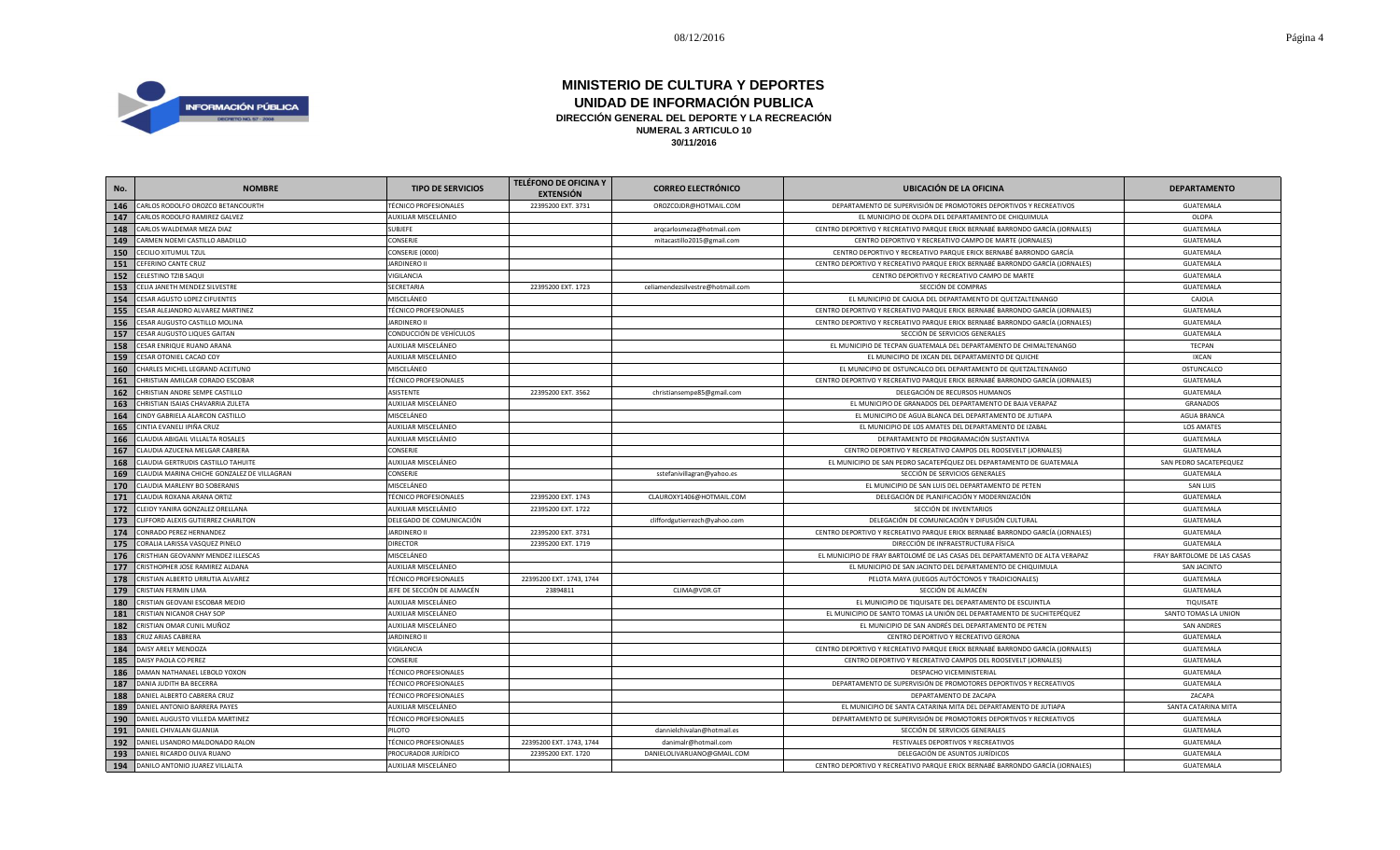

| No. | <b>NOMBRE</b>                               | <b>TIPO DE SERVICIOS</b>     | <b>TELÉFONO DE OFICINA Y</b><br><b>EXTENSIÓN</b> | <b>CORREO ELECTRÓNICO</b>        | <b>UBICACIÓN DE LA OFICINA</b>                                                | <b>DEPARTAMENTO</b>         |
|-----|---------------------------------------------|------------------------------|--------------------------------------------------|----------------------------------|-------------------------------------------------------------------------------|-----------------------------|
| 146 | CARLOS RODOLFO OROZCO BETANCOURTH           | <b>TÉCNICO PROFESIONALES</b> | 22395200 EXT. 3731                               | OROZCOJDR@HOTMAIL.COM            | DEPARTAMENTO DE SUPERVISIÓN DE PROMOTORES DEPORTIVOS Y RECREATIVOS            | GUATEMALA                   |
| 147 | CARLOS RODOLFO RAMIREZ GALVEZ               | AUXILIAR MISCELÁNEO          |                                                  |                                  | EL MUNICIPIO DE OLOPA DEL DEPARTAMENTO DE CHIQUIMULA                          | OLOPA                       |
| 148 | CARLOS WALDEMAR MEZA DIAZ                   | SUBJEFE                      |                                                  | arqcarlosmeza@hotmail.com        | CENTRO DEPORTIVO Y RECREATIVO PARQUE ERICK BERNABÉ BARRONDO GARCÍA (JORNALES) | GUATEMALA                   |
| 149 | CARMEN NOEMI CASTILLO ABADILLO              | CONSERJE                     |                                                  | mitacastillo2015@gmail.com       | CENTRO DEPORTIVO Y RECREATIVO CAMPO DE MARTE (JORNALES)                       | <b>GUATEMALA</b>            |
| 150 | CECILIO XITUMUL TZUL                        | CONSERJE (0000)              |                                                  |                                  | CENTRO DEPORTIVO Y RECREATIVO PARQUE ERICK BERNABÉ BARRONDO GARCÍA            | GUATEMALA                   |
| 151 | CEFERINO CANTE CRUZ                         | <b>JARDINERO II</b>          |                                                  |                                  | CENTRO DEPORTIVO Y RECREATIVO PARQUE ERICK BERNABÉ BARRONDO GARCÍA (JORNALES) | GUATEMALA                   |
| 152 | CELESTINO TZIB SAQUI                        | VIGILANCIA                   |                                                  |                                  | CENTRO DEPORTIVO Y RECREATIVO CAMPO DE MARTI                                  | GUATEMALA                   |
| 153 | CELIA JANETH MENDEZ SILVESTRE               | SECRETARIA                   | 22395200 EXT. 1723                               | celiamendezsilvestre@hotmail.com | SECCIÓN DE COMPRAS                                                            | GUATEMALA                   |
| 154 | <b>CESAR AGUSTO LOPEZ CIFUENTES</b>         | MISCELÁNEO                   |                                                  |                                  | EL MUNICIPIO DE CAJOLA DEL DEPARTAMENTO DE QUETZALTENANGO                     | CAJOLA                      |
| 155 | CESAR ALEJANDRO ALVAREZ MARTINEZ            | <b>TÉCNICO PROFESIONALES</b> |                                                  |                                  | CENTRO DEPORTIVO Y RECREATIVO PARQUE ERICK BERNABÉ BARRONDO GARCÍA (JORNALES) | GUATEMALA                   |
| 156 | CESAR AUGUSTO CASTILLO MOLINA               | <b>JARDINERO II</b>          |                                                  |                                  | CENTRO DEPORTIVO Y RECREATIVO PARQUE ERICK BERNABÉ BARRONDO GARCÍA (JORNALES) | GUATEMALA                   |
| 157 | CESAR AUGUSTO LIQUES GAITAN                 | CONDUCCIÓN DE VEHÍCULOS      |                                                  |                                  | SECCIÓN DE SERVICIOS GENERALES                                                | GUATEMALA                   |
| 158 | CESAR ENRIQUE RUANO ARANA                   | AUXILIAR MISCELÁNEO          |                                                  |                                  | EL MUNICIPIO DE TECPAN GUATEMALA DEL DEPARTAMENTO DE CHIMALTENANGO            | <b>TECPAN</b>               |
| 159 | CESAR OTONIEL CACAO COY                     | AUXILIAR MISCELÁNEO          |                                                  |                                  | EL MUNICIPIO DE IXCAN DEL DEPARTAMENTO DE QUICHE                              | <b>IXCAN</b>                |
| 160 | CHARLES MICHEL LEGRAND ACEITUNO             | MISCELÁNEO                   |                                                  |                                  | EL MUNICIPIO DE OSTUNCALCO DEL DEPARTAMENTO DE QUETZALTENANGO                 | OSTUNCALCO                  |
| 161 | CHRISTIAN AMILCAR CORADO ESCOBAR            | <b>TÉCNICO PROFESIONALES</b> |                                                  |                                  | CENTRO DEPORTIVO Y RECREATIVO PARQUE ERICK BERNABÉ BARRONDO GARCÍA (JORNALES) | <b>GUATEMALA</b>            |
| 162 | CHRISTIAN ANDRE SEMPE CASTILLO              | ASISTENTE                    | 22395200 EXT. 3562                               | christiansempe85@gmail.com       | DELEGACIÓN DE RECURSOS HUMANOS                                                | GUATEMALA                   |
| 163 | CHRISTIAN ISAIAS CHAVARRIA ZULETA           | AUXILIAR MISCELÁNEO          |                                                  |                                  | EL MUNICIPIO DE GRANADOS DEL DEPARTAMENTO DE BAJA VERAPAZ                     | <b>GRANADOS</b>             |
| 164 | CINDY GABRIELA ALARCON CASTILLO             | MISCELÁNEO                   |                                                  |                                  | EL MUNICIPIO DE AGUA BLANCA DEL DEPARTAMENTO DE JUTIAPA                       | AGUA BRANCA                 |
| 165 | CINTIA EVANELI IPIÑA CRUZ                   | AUXILIAR MISCELÁNEO          |                                                  |                                  | EL MUNICIPIO DE LOS AMATES DEL DEPARTAMENTO DE IZABAL                         | <b>LOS AMATES</b>           |
| 166 | CLAUDIA ABIGAIL VILLALTA ROSALES            | AUXILIAR MISCELÁNEO          |                                                  |                                  | DEPARTAMENTO DE PROGRAMACIÓN SUSTANTIVA                                       | GUATEMALA                   |
| 167 | CLAUDIA AZUCENA MELGAR CABRERA              | CONSERJE                     |                                                  |                                  | CENTRO DEPORTIVO Y RECREATIVO CAMPOS DEL ROOSEVELT (JORNALES)                 | GUATEMALA                   |
| 168 | CLAUDIA GERTRUDIS CASTILLO TAHUITE          | AUXILIAR MISCELÁNEO          |                                                  |                                  | EL MUNICIPIO DE SAN PEDRO SACATEPÉQUEZ DEL DEPARTAMENTO DE GUATEMALA          | SAN PEDRO SACATEPEQUEZ      |
| 169 | CLAUDIA MARINA CHICHE GONZALEZ DE VILLAGRAN | CONSERJE                     |                                                  | sstefanivillagran@yahoo.es       | SECCIÓN DE SERVICIOS GENERALES                                                | GUATEMALA                   |
| 170 | CLAUDIA MARLENY BO SOBERANIS                | MISCELÁNEO                   |                                                  |                                  | EL MUNICIPIO DE SAN LUIS DEL DEPARTAMENTO DE PETEN                            | <b>SAN LUIS</b>             |
| 171 | CLAUDIA ROXANA ARANA ORTIZ                  | <b>TÉCNICO PROFESIONALES</b> | 22395200 EXT. 1743                               | CLAUROXY1406@HOTMAIL.COM         | DELEGACIÓN DE PLANIFICACIÓN Y MODERNIZACIÓN                                   | GUATEMALA                   |
| 172 | CLEIDY YANIRA GONZALEZ ORELLANA             | AUXILIAR MISCELÁNEO          | 22395200 EXT. 1722                               |                                  | SECCIÓN DE INVENTARIOS                                                        | GUATEMALA                   |
| 173 | CLIFFORD ALEXIS GUTIERREZ CHARLTON          | DELEGADO DE COMUNICACIÓN     |                                                  | cliffordgutierrezch@yahoo.com    | DELEGACIÓN DE COMUNICACIÓN Y DIFUSIÓN CULTURAL                                | GUATEMALA                   |
| 174 | CONRADO PEREZ HERNANDEZ                     | <b>JARDINERO II</b>          | 22395200 EXT. 3731                               |                                  | CENTRO DEPORTIVO Y RECREATIVO PARQUE ERICK BERNABÉ BARRONDO GARCÍA (JORNALES) | GUATEMALA                   |
| 175 | CORALIA LARISSA VASQUEZ PINELO              | <b>DIRECTOR</b>              | 22395200 EXT. 1719                               |                                  | DIRECCIÓN DE INFRAESTRUCTURA FÍSICA                                           | GUATEMALA                   |
| 176 | CRISTHIAN GEOVANNY MENDEZ ILLESCAS          | MISCELÁNEO                   |                                                  |                                  | EL MUNICIPIO DE FRAY BARTOLOMÉ DE LAS CASAS DEL DEPARTAMENTO DE ALTA VERAPAZ  | FRAY BARTOLOME DE LAS CASAS |
| 177 | CRISTHOPHER JOSE RAMIREZ ALDANA             | AUXILIAR MISCELÁNEO          |                                                  |                                  | EL MUNICIPIO DE SAN JACINTO DEL DEPARTAMENTO DE CHIQUIMULA                    | SAN JACINTO                 |
| 178 | CRISTIAN ALBERTO URRUTIA ALVAREZ            | <b>TÉCNICO PROFESIONALES</b> | 22395200 EXT. 1743, 1744                         |                                  | PELOTA MAYA (JUEGOS AUTÓCTONOS Y TRADICIONALES)                               | GUATEMALA                   |
| 179 | <b>CRISTIAN FERMIN LIMA</b>                 | JEFE DE SECCIÓN DE ALMACÉN   | 23894811                                         | CLIMA@VDR.GT                     | SECCIÓN DE ALMACÉN                                                            | GUATEMALA                   |
| 180 | CRISTIAN GEOVANI ESCOBAR MEDIO              | AUXILIAR MISCELÁNEO          |                                                  |                                  | EL MUNICIPIO DE TIQUISATE DEL DEPARTAMENTO DE ESCUINTLA                       | TIQUISATE                   |
| 181 | CRISTIAN NICANOR CHAY SOP                   | AUXILIAR MISCELÁNEO          |                                                  |                                  | EL MUNICIPIO DE SANTO TOMAS LA UNIÓN DEL DEPARTAMENTO DE SUCHITEPÉQUEZ        | SANTO TOMAS LA UNION        |
| 182 | CRISTIAN OMAR CUNIL MUÑOZ                   | AUXILIAR MISCELÁNEO          |                                                  |                                  | EL MUNICIPIO DE SAN ANDRÉS DEL DEPARTAMENTO DE PETEN                          | <b>SAN ANDRES</b>           |
| 183 | CRUZ ARIAS CABRERA                          | <b>JARDINERO II</b>          |                                                  |                                  | CENTRO DEPORTIVO Y RECREATIVO GERONA                                          | GUATEMALA                   |
| 184 | DAISY ARELY MENDOZA                         | VIGILANCIA                   |                                                  |                                  | CENTRO DEPORTIVO Y RECREATIVO PARQUE ERICK BERNABÉ BARRONDO GARCÍA (JORNALES) | GUATEMALA                   |
| 185 | DAISY PAOLA CO PEREZ                        | CONSERJE                     |                                                  |                                  | CENTRO DEPORTIVO Y RECREATIVO CAMPOS DEL ROOSEVELT (JORNALES)                 | <b>GUATEMALA</b>            |
| 186 | DAMAN NATHANAEL LEBOLD YOXON                | <b>TÉCNICO PROFESIONALES</b> |                                                  |                                  | DESPACHO VICEMINISTERIAL                                                      | GUATEMALA                   |
| 187 | DANIA JUDITH BA BECERRA                     | <b>TÉCNICO PROFESIONALES</b> |                                                  |                                  | DEPARTAMENTO DE SUPERVISIÓN DE PROMOTORES DEPORTIVOS Y RECREATIVOS            | GUATEMALA                   |
| 188 | DANIEL ALBERTO CABRERA CRUZ                 | <b>TÉCNICO PROFESIONALES</b> |                                                  |                                  | DEPARTAMENTO DE ZACAPA                                                        | ZACAPA                      |
| 189 | DANIEL ANTONIO BARRERA PAYES                | AUXILIAR MISCELÁNEO          |                                                  |                                  | EL MUNICIPIO DE SANTA CATARINA MITA DEL DEPARTAMENTO DE JUTIAPA               | SANTA CATARINA MITA         |
| 190 | DANIEL AUGUSTO VILLEDA MARTINEZ             | <b>TÉCNICO PROFESIONALES</b> |                                                  |                                  | DEPARTAMENTO DE SUPERVISIÓN DE PROMOTORES DEPORTIVOS Y RECREATIVOS            | GUATEMALA                   |
| 191 | DANIEL CHIVALAN GUANIJA                     | PILOTO                       |                                                  | dannielchivalan@hotmail.es       | SECCIÓN DE SERVICIOS GENERALES                                                | GUATEMALA                   |
| 192 | DANIEL LISANDRO MALDONADO RALON             | <b>TÉCNICO PROFESIONALES</b> | 22395200 EXT. 1743, 1744                         | danimalr@hotmail.com             | FESTIVALES DEPORTIVOS Y RECREATIVOS                                           | GUATEMALA                   |
| 193 | DANIEL RICARDO OLIVA RUANO                  | PROCURADOR JURÍDICO          | 22395200 EXT. 1720                               | DANIELOLIVARUANO@GMAIL.COM       | DELEGACIÓN DE ASUNTOS JURÍDICOS                                               | GUATEMALA                   |
| 194 | DANILO ANTONIO JUAREZ VILLALTA              | AUXILIAR MISCELÁNEO          |                                                  |                                  | CENTRO DEPORTIVO Y RECREATIVO PARQUE ERICK BERNABÉ BARRONDO GARCÍA (JORNALES) | GUATEMALA                   |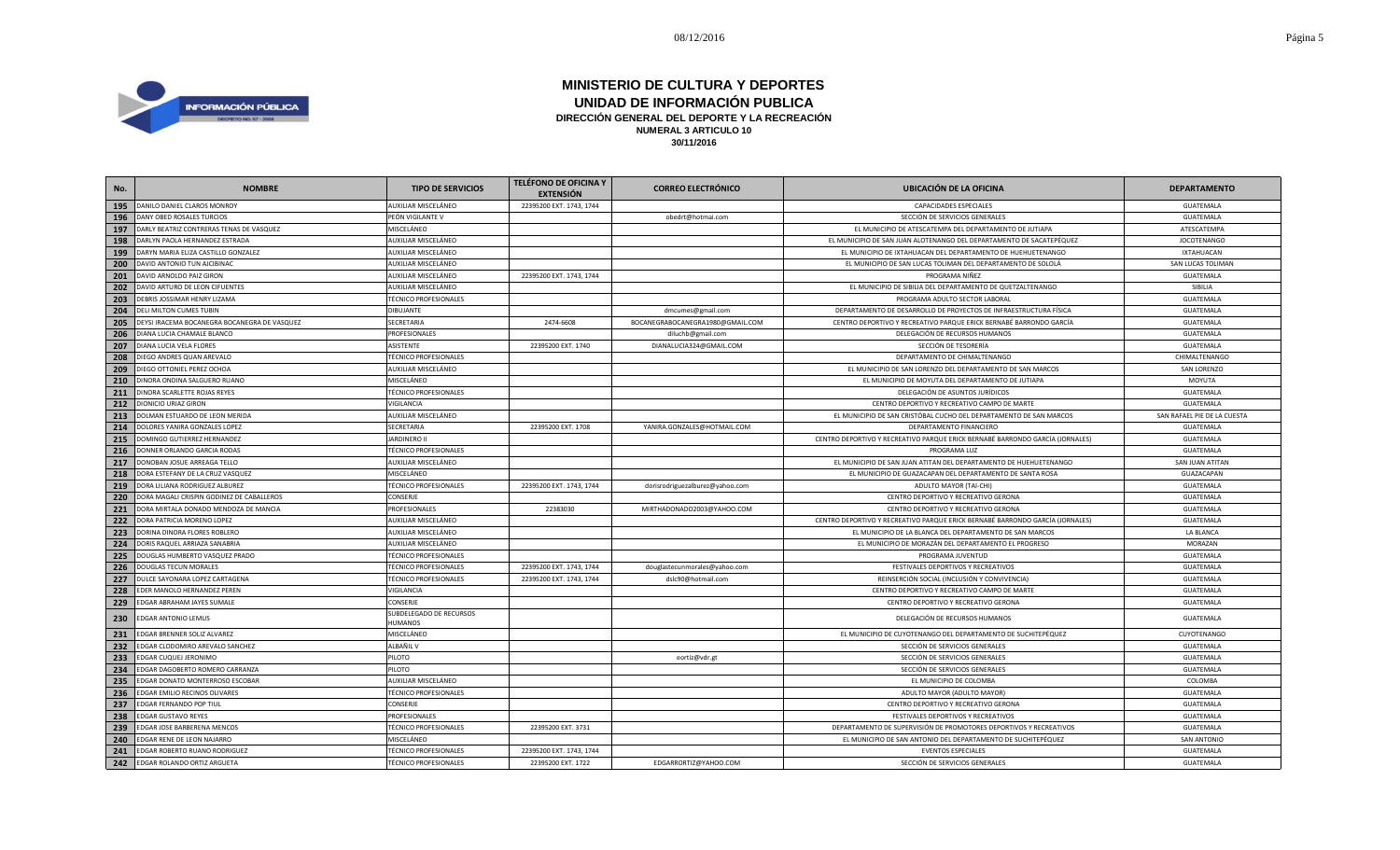

| No. | <b>NOMBRE</b>                                | <b>TIPO DE SERVICIOS</b>           | <b>TELÉFONO DE OFICINA Y</b><br><b>EXTENSIÓN</b> | <b>CORREO ELECTRÓNICO</b>        | <b>UBICACIÓN DE LA OFICINA</b>                                                | <b>DEPARTAMENTO</b>         |
|-----|----------------------------------------------|------------------------------------|--------------------------------------------------|----------------------------------|-------------------------------------------------------------------------------|-----------------------------|
| 195 | DANILO DANIEL CLAROS MONROY                  | AUXILIAR MISCELÁNEO                | 22395200 EXT. 1743, 1744                         |                                  | CAPACIDADES ESPECIALES                                                        | GUATEMALA                   |
| 196 | DANY OBED ROSALES TURCIOS                    | PEÓN VIGILANTE V                   |                                                  | obedrt@hotmai.com                | SECCIÓN DE SERVICIOS GENERALES                                                | GUATEMALA                   |
| 197 | DARLY BEATRIZ CONTRERAS TENAS DE VASQUEZ     | MISCELÁNEO                         |                                                  |                                  | EL MUNICIPIO DE ATESCATEMPA DEL DEPARTAMENTO DE JUTIAPA                       | ATESCATEMPA                 |
| 198 | DARLYN PAOLA HERNANDEZ ESTRADA               | AUXILIAR MISCELÁNEO                |                                                  |                                  | EL MUNICIPIO DE SAN JUAN ALOTENANGO DEL DEPARTAMENTO DE SACATEPÉQUEZ          | <b>JOCOTENANGO</b>          |
| 199 | DARYN MARIA ELIZA CASTILLO GONZALEZ          | AUXILIAR MISCELÁNEO                |                                                  |                                  | EL MUNICIPIO DE IXTAHUACAN DEL DEPARTAMENTO DE HUEHUETENANGO                  | <b>IXTAHUACAN</b>           |
| 200 | DAVID ANTONIO TUN AJCIBINAC                  | AUXILIAR MISCELÁNEO                |                                                  |                                  | EL MUNICIPIO DE SAN LUCAS TOLIMAN DEL DEPARTAMENTO DE SOLOLÁ                  | SAN LUCAS TOLIMAN           |
| 201 | DAVID ARNOLDO PAIZ GIRON                     | AUXILIAR MISCELÁNEO                | 22395200 EXT. 1743, 1744                         |                                  | PROGRAMA NIÑEZ                                                                | GUATEMALA                   |
| 202 | DAVID ARTURO DE LEON CIFUENTES               | AUXILIAR MISCELÁNEO                |                                                  |                                  | EL MUNICIPIO DE SIBILIA DEL DEPARTAMENTO DE QUETZALTENANGO                    | SIBILIA                     |
| 203 | DEBRIS JOSSIMAR HENRY LIZAMA                 | <b>TÉCNICO PROFESIONALES</b>       |                                                  |                                  | PROGRAMA ADULTO SECTOR LABORAL                                                | GUATEMALA                   |
| 204 | DELI MILTON CUMES TUBIN                      | <b>DIBUJANTE</b>                   |                                                  | dmcumes@gmail.com                | DEPARTAMENTO DE DESARROLLO DE PROYECTOS DE INFRAESTRUCTURA FÍSICA             | GUATEMALA                   |
| 205 | DEYSI IRACEMA BOCANEGRA BOCANEGRA DE VASQUEZ | SECRETARIA                         | 2474-6608                                        | BOCANEGRABOCANEGRA1980@GMAIL.COM | CENTRO DEPORTIVO Y RECREATIVO PARQUE ERICK BERNABÉ BARRONDO GARCÍA            | GUATEMALA                   |
| 206 | DIANA LUCIA CHAMALE BLANCO                   | <b>PROFESIONALES</b>               |                                                  | diluchb@gmail.com                | DELEGACIÓN DE RECURSOS HUMANOS                                                | GUATEMALA                   |
| 207 | DIANA LUCIA VELA FLORES                      | ASISTENTE                          | 22395200 EXT. 1740                               | DIANALUCIA324@GMAIL.COM          | SECCIÓN DE TESORERÍA                                                          | GUATEMALA                   |
| 208 | DIEGO ANDRES QUAN AREVALO                    | <b>TÉCNICO PROFESIONALES</b>       |                                                  |                                  | DEPARTAMENTO DE CHIMALTENANGO                                                 | CHIMALTENANGO               |
| 209 | DIEGO OTTONIEL PEREZ OCHOA                   | AUXILIAR MISCELÁNEO                |                                                  |                                  | EL MUNICIPIO DE SAN LORENZO DEL DEPARTAMENTO DE SAN MARCOS                    | SAN LORENZO                 |
| 210 | DINORA ONDINA SALGUERO RUANO                 | MISCELÁNEO                         |                                                  |                                  | EL MUNICIPIO DE MOYUTA DEL DEPARTAMENTO DE JUTIAPA                            | MOYUTA                      |
| 211 | DINORA SCARLETTE ROJAS REYES                 | <b>TÉCNICO PROFESIONALES</b>       |                                                  |                                  | DELEGACIÓN DE ASUNTOS JURÍDICOS                                               | GUATEMALA                   |
| 212 | DIONICIO URIAZ GIRON                         | VIGILANCIA                         |                                                  |                                  | CENTRO DEPORTIVO Y RECREATIVO CAMPO DE MARTE                                  | GUATEMALA                   |
| 213 | DOLMAN ESTUARDO DE LEON MERIDA               | AUXILIAR MISCELÁNEO                |                                                  |                                  | EL MUNICIPIO DE SAN CRISTÓBAL CUCHO DEL DEPARTAMENTO DE SAN MARCOS            | SAN RAFAEL PIE DE LA CUESTA |
| 214 | DOLORES YANIRA GONZALES LOPEZ                | SECRETARIA                         | 22395200 EXT. 1708                               | YANIRA.GONZALES@HOTMAIL.COM      | DEPARTAMENTO FINANCIERO                                                       | GUATEMALA                   |
| 215 | DOMINGO GUTIERREZ HERNANDEZ                  | <b>JARDINERO II</b>                |                                                  |                                  | CENTRO DEPORTIVO Y RECREATIVO PARQUE ERICK BERNABÉ BARRONDO GARCÍA (JORNALES) | GUATEMALA                   |
| 216 | DONNER ORLANDO GARCIA RODAS                  | <b>TÉCNICO PROFESIONALES</b>       |                                                  |                                  | PROGRAMA LUZ                                                                  | GUATEMALA                   |
| 217 | DONOBAN JOSUE ARREAGA TELLO                  | AUXILIAR MISCELÁNEO                |                                                  |                                  | EL MUNICIPIO DE SAN JUAN ATITAN DEL DEPARTAMENTO DE HUEHUETENANGO             | <b>SAN JUAN ATITAN</b>      |
| 218 | DORA ESTEFANY DE LA CRUZ VASQUEZ             | MISCELÁNEO                         |                                                  |                                  | EL MUNICIPIO DE GUAZACAPAN DEL DEPARTAMENTO DE SANTA ROSA                     | GUAZACAPAN                  |
| 219 | DORA LILIANA RODRIGUEZ ALBUREZ               | <b>TÉCNICO PROFESIONALES</b>       | 22395200 EXT. 1743, 1744                         | dorisrodriguezalburez@yahoo.com  | ADULTO MAYOR (TAI-CHI)                                                        | GUATEMALA                   |
| 220 | DORA MAGALI CRISPIN GODINEZ DE CABALLEROS    | CONSERJE                           |                                                  |                                  | CENTRO DEPORTIVO Y RECREATIVO GERONA                                          | GUATEMALA                   |
| 221 | DORA MIRTALA DONADO MENDOZA DE MANCIA        | <b>PROFESIONALES</b>               | 22383030                                         | MIRTHADONADO2003@YAHOO.COM       | CENTRO DEPORTIVO Y RECREATIVO GERONA                                          | GUATEMALA                   |
| 222 | DORA PATRICIA MORENO LOPEZ                   | AUXILIAR MISCELÁNEO                |                                                  |                                  | CENTRO DEPORTIVO Y RECREATIVO PARQUE ERICK BERNABÉ BARRONDO GARCÍA (JORNALES) | GUATEMALA                   |
| 223 | DORINA DINORA FLORES ROBLERO                 | AUXILIAR MISCELÁNEO                |                                                  |                                  | EL MUNICIPIO DE LA BLANCA DEL DEPARTAMENTO DE SAN MARCOS                      | LA BLANCA                   |
| 224 | DORIS RAQUEL ARRIAZA SANABRIA                | AUXILIAR MISCELÁNEO                |                                                  |                                  | EL MUNICIPIO DE MORAZÁN DEL DEPARTAMENTO EL PROGRESO                          | MORAZAN                     |
| 225 | DOUGLAS HUMBERTO VASQUEZ PRADO               | <b>TÉCNICO PROFESIONALES</b>       |                                                  |                                  | PROGRAMA JUVENTUD                                                             | GUATEMALA                   |
| 226 | <b>DOUGLAS TECUN MORALES</b>                 | <b>TÉCNICO PROFESIONALES</b>       | 22395200 EXT. 1743, 1744                         | douglastecunmorales@yahoo.com    | FESTIVALES DEPORTIVOS Y RECREATIVOS                                           | GUATEMALA                   |
| 227 | DULCE SAYONARA LOPEZ CARTAGENA               | <b>TÉCNICO PROFESIONALES</b>       | 22395200 EXT. 1743, 1744                         | dslc90@hotmail.com               | REINSERCIÓN SOCIAL (INCLUSIÓN Y CONVIVENCIA)                                  | GUATEMALA                   |
| 228 | EDER MANOLO HERNANDEZ PEREN                  | VIGILANCIA                         |                                                  |                                  | CENTRO DEPORTIVO Y RECREATIVO CAMPO DE MARTE                                  | GUATEMALA                   |
| 229 | EDGAR ABRAHAM JAYES SUMALE                   | CONSERJE                           |                                                  |                                  | CENTRO DEPORTIVO Y RECREATIVO GERONA                                          | GUATEMALA                   |
| 230 | <b>EDGAR ANTONIO LEMUS</b>                   | SUBDELEGADO DE RECURSOS<br>HUMANOS |                                                  |                                  | DELEGACIÓN DE RECURSOS HUMANOS                                                | GUATEMALA                   |
| 231 | EDGAR BRENNER SOLIZ ALVAREZ                  | MISCELÁNEO                         |                                                  |                                  | EL MUNICIPIO DE CUYOTENANGO DEL DEPARTAMENTO DE SUCHITEPÉQUEZ                 | CUYOTENANGO                 |
| 232 | EDGAR CLODOMIRO AREVALO SANCHEZ              | ALBAÑIL V                          |                                                  |                                  | SECCIÓN DE SERVICIOS GENERALES                                                | GUATEMALA                   |
| 233 | EDGAR CUQUEJ JERONIMO                        | PILOTO                             |                                                  | eortiz@vdr.gt                    | SECCIÓN DE SERVICIOS GENERALES                                                | GUATEMALA                   |
| 234 | EDGAR DAGOBERTO ROMERO CARRANZA              | PILOTO                             |                                                  |                                  | SECCIÓN DE SERVICIOS GENERALES                                                | GUATEMALA                   |
| 235 | EDGAR DONATO MONTERROSO ESCOBAR              | AUXILIAR MISCELÁNEO                |                                                  |                                  | EL MUNICIPIO DE COLOMBA                                                       | COLOMBA                     |
| 236 | EDGAR EMILIO RECINOS OLIVARES                | <b>TÉCNICO PROFESIONALES</b>       |                                                  |                                  | ADULTO MAYOR (ADULTO MAYOR)                                                   | GUATEMALA                   |
| 237 | EDGAR FERNANDO POP TIUL                      | CONSERJE                           |                                                  |                                  | CENTRO DEPORTIVO Y RECREATIVO GERONA                                          | GUATEMALA                   |
| 238 | EDGAR GUSTAVO REYES                          | PROFESIONALES                      |                                                  |                                  | FESTIVALES DEPORTIVOS Y RECREATIVOS                                           | GUATEMALA                   |
| 239 | EDGAR JOSE BARBERENA MENCOS                  | <b>TÉCNICO PROFESIONALES</b>       | 22395200 EXT. 3731                               |                                  | DEPARTAMENTO DE SUPERVISIÓN DE PROMOTORES DEPORTIVOS Y RECREATIVOS            | GUATEMALA                   |
| 240 | EDGAR RENE DE LEON NAJARRO                   | MISCELÁNEO                         |                                                  |                                  | EL MUNICIPIO DE SAN ANTONIO DEL DEPARTAMENTO DE SUCHITEPÉQUEZ                 | SAN ANTONIO                 |
| 241 | EDGAR ROBERTO RUANO RODRIGUEZ                | <b>TÉCNICO PROFESIONALES</b>       | 22395200 EXT. 1743, 1744                         |                                  | <b>EVENTOS ESPECIALES</b>                                                     | GUATEMALA                   |
| 242 | EDGAR ROLANDO ORTIZ ARGUETA                  | <b>TÉCNICO PROFESIONALES</b>       | 22395200 EXT. 1722                               | EDGARRORTIZ@YAHOO.COM            | SECCIÓN DE SERVICIOS GENERALES                                                | GUATEMALA                   |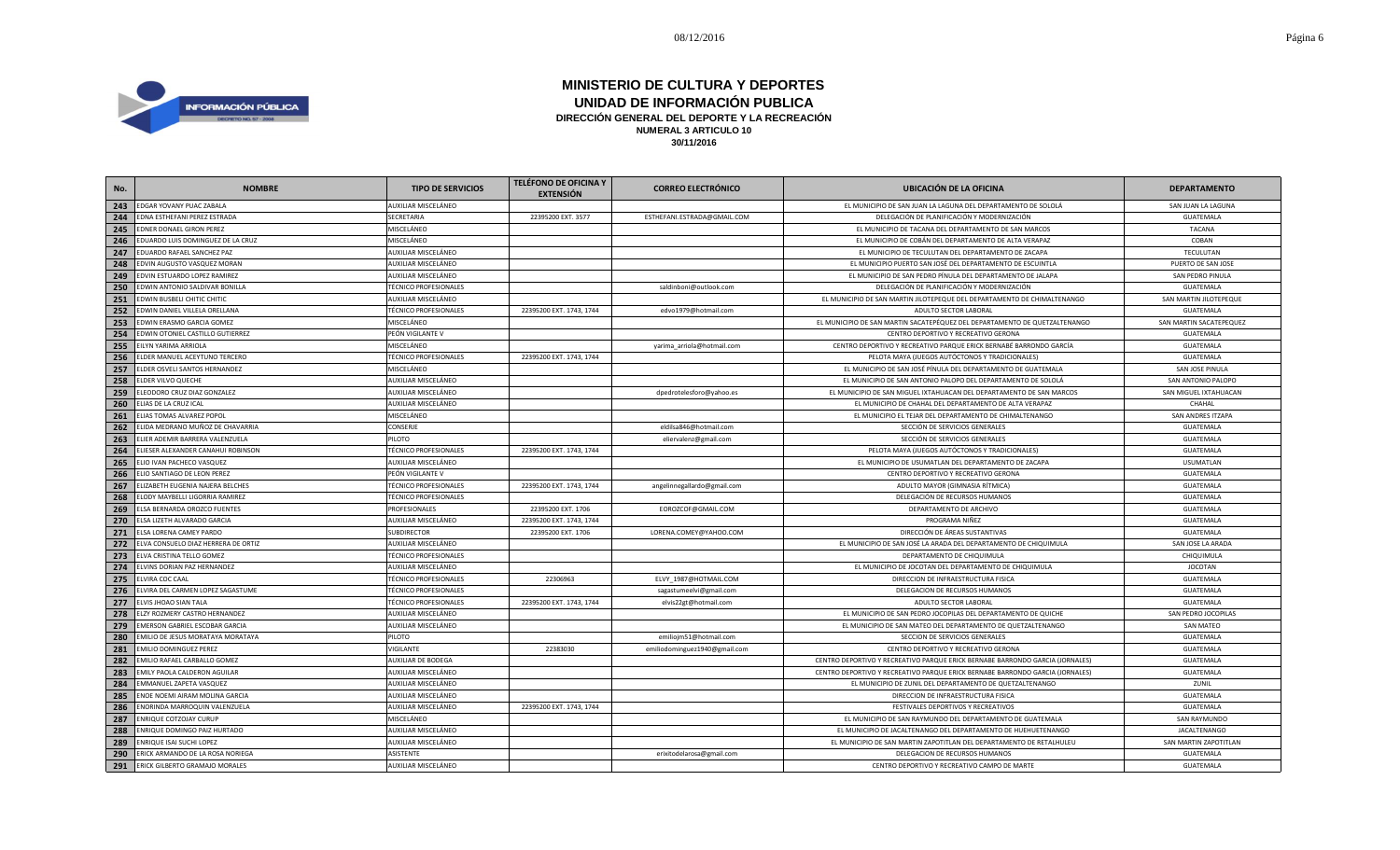

| No. | <b>NOMBRE</b>                       | <b>TIPO DE SERVICIOS</b>     | <b>TELÉFONO DE OFICINA Y</b><br><b>EXTENSIÓN</b> | <b>CORREO ELECTRÓNICO</b>     | <b>UBICACIÓN DE LA OFICINA</b>                                                | <b>DEPARTAMENTO</b>     |
|-----|-------------------------------------|------------------------------|--------------------------------------------------|-------------------------------|-------------------------------------------------------------------------------|-------------------------|
| 243 | EDGAR YOVANY PUAC ZABALA            | AUXILIAR MISCELÁNEO          |                                                  |                               | EL MUNICIPIO DE SAN JUAN LA LAGUNA DEL DEPARTAMENTO DE SOLOLÁ                 | SAN JUAN LA LAGUNA      |
| 244 | EDNA ESTHEFANI PEREZ ESTRADA        | SECRETARIA                   | 22395200 EXT. 3577                               | ESTHEFANI.ESTRADA@GMAIL.COM   | DELEGACIÓN DE PLANIFICACIÓN Y MODERNIZACIÓN                                   | GUATEMALA               |
| 245 | EDNER DONAEL GIRON PEREZ            | MISCELÁNEO                   |                                                  |                               | EL MUNICIPIO DE TACANA DEL DEPARTAMENTO DE SAN MARCOS                         | <b>TACANA</b>           |
| 246 | EDUARDO LUIS DOMINGUEZ DE LA CRUZ   | MISCELÁNEO                   |                                                  |                               | EL MUNICIPIO DE COBÁN DEL DEPARTAMENTO DE ALTA VERAPAZ                        | COBAN                   |
| 247 | EDUARDO RAFAEL SANCHEZ PAZ          | AUXILIAR MISCELÁNEO          |                                                  |                               | EL MUNICIPIO DE TECULUTAN DEL DEPARTAMENTO DE ZACAPA                          | TECULUTAN               |
| 248 | EDVIN AUGUSTO VASQUEZ MORAN         | AUXILIAR MISCELÁNEO          |                                                  |                               | EL MUNICIPIO PUERTO SAN JOSÉ DEL DEPARTAMENTO DE ESCUINTLA                    | PUERTO DE SAN JOSE      |
| 249 | EDVIN ESTUARDO LOPEZ RAMIREZ        | AUXILIAR MISCELÁNEO          |                                                  |                               | EL MUNICIPIO DE SAN PEDRO PÍNULA DEL DEPARTAMENTO DE JALAPA                   | SAN PEDRO PINULA        |
| 250 | EDWIN ANTONIO SALDIVAR BONILLA      | <b>TÉCNICO PROFESIONALES</b> |                                                  | saldinboni@outlook.com        | DELEGACIÓN DE PLANIFICACIÓN Y MODERNIZACIÓN                                   | GUATEMALA               |
| 251 | EDWIN BUSBELI CHITIC CHITIC         | AUXILIAR MISCELÁNEO          |                                                  |                               | EL MUNICIPIO DE SAN MARTIN JILOTEPEQUE DEL DEPARTAMENTO DE CHIMALTENANGO      | SAN MARTIN JILOTEPEQUE  |
| 252 | EDWIN DANIEL VILLELA ORELLANA       | <b>TÉCNICO PROFESIONALES</b> | 22395200 EXT. 1743, 1744                         | edvo1979@hotmail.com          | ADULTO SECTOR LABORAL                                                         | GUATEMALA               |
| 253 | EDWIN ERASMO GARCIA GOMEZ           | MISCELÁNEO                   |                                                  |                               | EL MUNICIPIO DE SAN MARTIN SACATEPÉQUEZ DEL DEPARTAMENTO DE QUETZALTENANGO    | SAN MARTIN SACATEPEQUEZ |
| 254 | EDWIN OTONIEL CASTILLO GUTIERREZ    | PEÓN VIGILANTE V             |                                                  |                               | CENTRO DEPORTIVO Y RECREATIVO GERONA                                          | GUATEMALA               |
| 255 | EILYN YARIMA ARRIOLA                | MISCELÁNEO                   |                                                  | yarima_arriola@hotmail.com    | CENTRO DEPORTIVO Y RECREATIVO PARQUE ERICK BERNABÉ BARRONDO GARCÍA            | GUATEMALA               |
| 256 | ELDER MANUEL ACEYTUNO TERCERO       | <b>TÉCNICO PROFESIONALES</b> | 22395200 EXT. 1743, 1744                         |                               | PELOTA MAYA (JUEGOS AUTÓCTONOS Y TRADICIONALES)                               | GUATEMALA               |
| 257 | ELDER OSVELI SANTOS HERNANDEZ       | MISCELÁNEO                   |                                                  |                               | EL MUNICIPIO DE SAN JOSÉ PÍNULA DEL DEPARTAMENTO DE GUATEMALA                 | SAN JOSE PINULA         |
| 258 | ELDER VILVO QUECHE                  | AUXILIAR MISCELÁNEO          |                                                  |                               | EL MUNICIPIO DE SAN ANTONIO PALOPO DEL DEPARTAMENTO DE SOLOLÁ                 | SAN ANTONIO PALOPO      |
| 259 | ELEODORO CRUZ DIAZ GONZALEZ         | AUXILIAR MISCELÁNEO          |                                                  | dpedrotelesforo@yahoo.es      | EL MUNICIPIO DE SAN MIGUEL IXTAHUACAN DEL DEPARTAMENTO DE SAN MARCOS          | SAN MIGUEL IXTAHUACAN   |
| 260 | ELIAS DE LA CRUZ ICAL               | AUXILIAR MISCELÁNEO          |                                                  |                               | EL MUNICIPIO DE CHAHAL DEL DEPARTAMENTO DE ALTA VERAPAZ                       | CHAHAL                  |
| 261 | ELIAS TOMAS ALVAREZ POPOL           | MISCELÁNEO                   |                                                  |                               | EL MUNICIPIO EL TEJAR DEL DEPARTAMENTO DE CHIMALTENANGO                       | SAN ANDRES ITZAPA       |
| 262 | ELIDA MEDRANO MUÑOZ DE CHAVARRIA    | CONSERJE                     |                                                  | eldilsa846@hotmail.com        | SECCIÓN DE SERVICIOS GENERALES                                                | GUATEMALA               |
| 263 | ELIER ADEMIR BARRERA VALENZUELA     | PILOTO                       |                                                  | eliervalenz@gmail.com         | SECCIÓN DE SERVICIOS GENERALES                                                | GUATEMALA               |
| 264 | ELIESER ALEXANDER CANAHUI ROBINSON  | <b>TÉCNICO PROFESIONALES</b> | 22395200 EXT. 1743, 1744                         |                               | PELOTA MAYA (JUEGOS AUTÓCTONOS Y TRADICIONALES)                               | GUATEMALA               |
| 265 | ELIO IVAN PACHECO VASQUEZ           | AUXILIAR MISCELÁNEO          |                                                  |                               | EL MUNICIPIO DE USUMATLAN DEL DEPARTAMENTO DE ZACAPA                          | <b>USUMATLAN</b>        |
| 266 | ELIO SANTIAGO DE LEON PEREZ         | PEÓN VIGILANTE V             |                                                  |                               | CENTRO DEPORTIVO Y RECREATIVO GERONA                                          | GUATEMALA               |
| 267 | ELIZABETH EUGENIA NAJERA BELCHES    | <b>TÉCNICO PROFESIONALES</b> | 22395200 EXT. 1743, 1744                         | angelinnegallardo@gmail.com   | ADULTO MAYOR (GIMNASIA RÍTMICA)                                               | GUATEMALA               |
| 268 | ELODY MAYBELLI LIGORRIA RAMIREZ     | <b>TÉCNICO PROFESIONALES</b> |                                                  |                               | DELEGACIÓN DE RECURSOS HUMANOS                                                | GUATEMALA               |
| 269 | ELSA BERNARDA OROZCO FUENTES        | PROFESIONALES                | 22395200 EXT. 1706                               | EOROZCOF@GMAIL.COM            | DEPARTAMENTO DE ARCHIVO                                                       | GUATEMALA               |
| 270 | ELSA LIZETH ALVARADO GARCIA         | AUXILIAR MISCELÁNEO          | 22395200 EXT. 1743, 1744                         |                               | PROGRAMA NIÑEZ                                                                | GUATEMALA               |
| 271 | ELSA LORENA CAMEY PARDO             | <b>SUBDIRECTOR</b>           | 22395200 EXT. 1706                               | LORENA.COMEY@YAHOO.COM        | DIRECCIÓN DE ÁREAS SUSTANTIVAS                                                | GUATEMALA               |
| 272 | ELVA CONSUELO DIAZ HERRERA DE ORTIZ | AUXILIAR MISCELÁNEO          |                                                  |                               | EL MUNICIPIO DE SAN JOSÉ LA ARADA DEL DEPARTAMENTO DE CHIQUIMULA              | SAN JOSE LA ARADA       |
| 273 | ELVA CRISTINA TELLO GOMEZ           | <b>TÉCNICO PROFESIONALES</b> |                                                  |                               | DEPARTAMENTO DE CHIQUIMULA                                                    | CHIQUIMULA              |
| 274 | ELVINS DORIAN PAZ HERNANDEZ         | AUXILIAR MISCELÁNEO          |                                                  |                               | EL MUNICIPIO DE JOCOTAN DEL DEPARTAMENTO DE CHIQUIMULA                        | <b>JOCOTAN</b>          |
| 275 | ELVIRA COC CAAL                     | <b>TÉCNICO PROFESIONALES</b> | 22306963                                         | ELVY_1987@HOTMAIL.COM         | DIRECCION DE INFRAESTRUCTURA FISICA                                           | GUATEMALA               |
| 276 | ELVIRA DEL CARMEN LOPEZ SAGASTUME   | TÉCNICO PROFESIONALES        |                                                  | sagastumeelvi@gmail.com       | DELEGACION DE RECURSOS HUMANOS                                                | GUATEMALA               |
| 277 | ELVIS JHOAO SIAN TALA               | <b>TÉCNICO PROFESIONALES</b> | 22395200 EXT. 1743, 1744                         | elvis22gt@hotmail.com         | ADULTO SECTOR LABORAL                                                         | GUATEMALA               |
| 278 | ELZY ROZMERY CASTRO HERNANDEZ       | AUXILIAR MISCELÁNEO          |                                                  |                               | EL MUNICIPIO DE SAN PEDRO JOCOPILAS DEL DEPARTAMENTO DE QUICHE                | SAN PEDRO JOCOPILAS     |
| 279 | EMERSON GABRIEL ESCOBAR GARCIA      | AUXILIAR MISCELÁNEO          |                                                  |                               | EL MUNICIPIO DE SAN MATEO DEL DEPARTAMENTO DE QUETZALTENANGO                  | SAN MATEO               |
| 280 | EMILIO DE JESUS MORATAYA MORATAYA   | PILOTO                       |                                                  | emiliojm51@hotmail.com        | SECCION DE SERVICIOS GENERALES                                                | GUATEMALA               |
| 281 | <b>EMILIO DOMINGUEZ PEREZ</b>       | VIGILANTE                    | 22383030                                         | emiliodominguez1940@gmail.com | CENTRO DEPORTIVO Y RECREATIVO GERONA                                          | GUATEMALA               |
| 282 | EMILIO RAFAEL CARBALLO GOMEZ        | AUXILIAR DE BODEGA           |                                                  |                               | CENTRO DEPORTIVO Y RECREATIVO PARQUE ERICK BERNABE BARRONDO GARCIA (JORNALES) | GUATEMALA               |
| 283 | EMILY PAOLA CALDERON AGUILAR        | AUXILIAR MISCELÁNEO          |                                                  |                               | CENTRO DEPORTIVO Y RECREATIVO PARQUE ERICK BERNABE BARRONDO GARCIA (JORNALES) | GUATEMALA               |
| 284 | EMMANUEL ZAPETA VASQUEZ             | AUXILIAR MISCELÁNEO          |                                                  |                               | EL MUNICIPIO DE ZUNIL DEL DEPARTAMENTO DE QUETZALTENANGO                      | ZUNIL                   |
| 285 | ENOE NOEMI AIRAM MOLINA GARCIA      | AUXILIAR MISCELÁNEO          |                                                  |                               | DIRECCION DE INFRAESTRUCTURA FISICA                                           | GUATEMALA               |
| 286 | ENORINDA MARROQUIN VALENZUELA       | AUXILIAR MISCELÁNEO          | 22395200 EXT. 1743, 1744                         |                               | FESTIVALES DEPORTIVOS Y RECREATIVOS                                           | GUATEMALA               |
| 287 | ENRIQUE COTZOJAY CURUP              | MISCELÁNEO                   |                                                  |                               | EL MUNICIPIO DE SAN RAYMUNDO DEL DEPARTAMENTO DE GUATEMALA                    | SAN RAYMUNDO            |
| 288 | ENRIQUE DOMINGO PAIZ HURTADO        | AUXILIAR MISCELÁNEO          |                                                  |                               | EL MUNICIPIO DE JACALTENANGO DEL DEPARTAMENTO DE HUEHUETENANGO                | <b>JACALTENANGO</b>     |
| 289 | ENRIQUE ISAI SUCHI LOPEZ            | AUXILIAR MISCELÁNEO          |                                                  |                               | EL MUNICIPIO DE SAN MARTIN ZAPOTITLAN DEL DEPARTAMENTO DE RETALHULEU          | SAN MARTIN ZAPOTITLAN   |
| 290 | ERICK ARMANDO DE LA ROSA NORIEGA    | ASISTENTE                    |                                                  | erixitodelarosa@gmail.com     | DELEGACION DE RECURSOS HUMANOS                                                | <b>GUATEMALA</b>        |
| 291 | ERICK GILBERTO GRAMAJO MORALES      | AUXILIAR MISCELÁNEO          |                                                  |                               | CENTRO DEPORTIVO Y RECREATIVO CAMPO DE MARTE                                  | GUATEMALA               |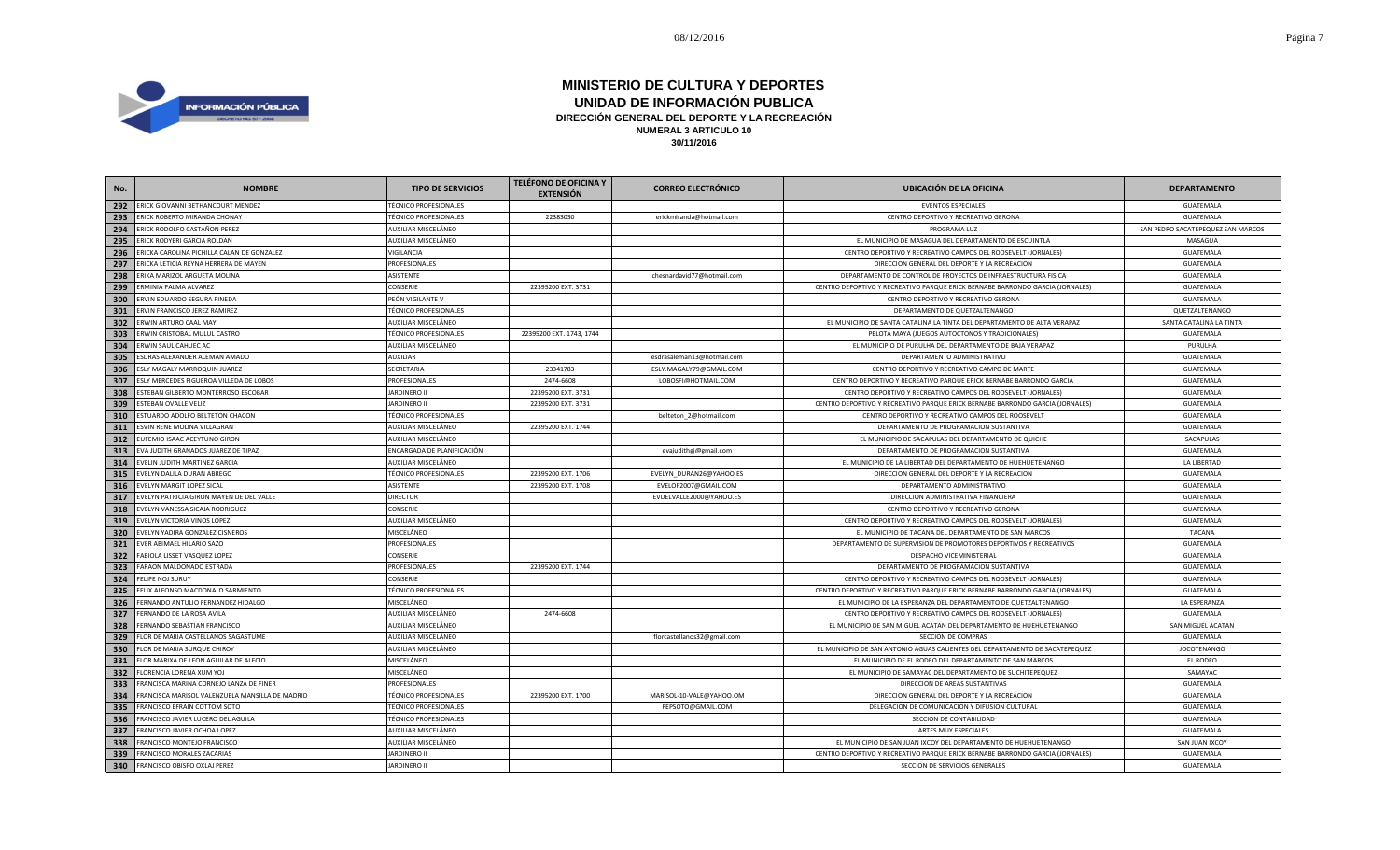

| No. | <b>NOMBRE</b>                                   | <b>TIPO DE SERVICIOS</b>     | <b>TELÉFONO DE OFICINA Y</b><br><b>EXTENSIÓN</b> | <b>CORREO ELECTRÓNICO</b>   | <b>UBICACIÓN DE LA OFICINA</b>                                                | <b>DEPARTAMENTO</b>               |
|-----|-------------------------------------------------|------------------------------|--------------------------------------------------|-----------------------------|-------------------------------------------------------------------------------|-----------------------------------|
| 292 | ERICK GIOVANNI BETHANCOURT MENDEZ               | <b>TÉCNICO PROFESIONALES</b> |                                                  |                             | <b>EVENTOS ESPECIALES</b>                                                     | GUATEMALA                         |
| 293 | ERICK ROBERTO MIRANDA CHONAY                    | <b>TÉCNICO PROFESIONALES</b> | 22383030                                         | erickmiranda@hotmail.com    | CENTRO DEPORTIVO Y RECREATIVO GERONA                                          | <b>GUATEMALA</b>                  |
| 294 | ERICK RODOLFO CASTAÑON PEREZ                    | AUXILIAR MISCELÁNEO          |                                                  |                             | PROGRAMA LUZ                                                                  | SAN PEDRO SACATEPEQUEZ SAN MARCOS |
| 295 | ERICK RODYERI GARCIA ROLDAN                     | AUXILIAR MISCELÁNEO          |                                                  |                             | EL MUNICIPIO DE MASAGUA DEL DEPARTAMENTO DE ESCUINTLA                         | MASAGUA                           |
| 296 | ERICKA CAROLINA PICHILLA CALAN DE GONZALEZ      | VIGILANCIA                   |                                                  |                             | CENTRO DEPORTIVO Y RECREATIVO CAMPOS DEL ROOSEVELT (JORNALES)                 | GUATEMALA                         |
| 297 | ERICKA LETICIA REYNA HERRERA DE MAYEN           | PROFESIONALES                |                                                  |                             | DIRECCION GENERAL DEL DEPORTE Y LA RECREACION                                 | <b>GUATEMALA</b>                  |
| 298 | ERIKA MARIZOL ARGUETA MOLINA                    | ASISTENTE                    |                                                  | chesnardavid77@hotmail.com  | DEPARTAMENTO DE CONTROL DE PROYECTOS DE INFRAESTRUCTURA FISICA                | GUATEMALA                         |
| 299 | ERMINIA PALMA ALVAREZ                           | CONSERJE                     | 22395200 EXT. 3731                               |                             | CENTRO DEPORTIVO Y RECREATIVO PARQUE ERICK BERNABE BARRONDO GARCIA (JORNALES) | GUATEMALA                         |
| 300 | ERVIN EDUARDO SEGURA PINEDA                     | PEÓN VIGILANTE V             |                                                  |                             | CENTRO DEPORTIVO Y RECREATIVO GERONA                                          | GUATEMALA                         |
| 301 | ERVIN FRANCISCO JEREZ RAMIREZ                   | <b>TÉCNICO PROFESIONALES</b> |                                                  |                             | DEPARTAMENTO DE QUETZALTENANGO                                                | QUETZALTENANGO                    |
| 302 | ERWIN ARTURO CAAL MAY                           | AUXILIAR MISCELÁNEO          |                                                  |                             | EL MUNICIPIO DE SANTA CATALINA LA TINTA DEL DEPARTAMENTO DE ALTA VERAPAZ      | SANTA CATALINA LA TINTA           |
| 303 | ERWIN CRISTOBAL MULUL CASTRO                    | <b>TÉCNICO PROFESIONALES</b> | 22395200 EXT. 1743, 1744                         |                             | PELOTA MAYA (JUEGOS AUTOCTONOS Y TRADICIONALES)                               | GUATEMALA                         |
| 304 | ERWIN SAUL CAHUEC AC                            | AUXILIAR MISCELÁNEO          |                                                  |                             | EL MUNICIPIO DE PURULHA DEL DEPARTAMENTO DE BAJA VERAPAZ                      | PURULHA                           |
| 305 | ESDRAS ALEXANDER ALEMAN AMADO                   | AUXILIAR                     |                                                  | esdrasaleman13@hotmail.com  | DEPARTAMENTO ADMINISTRATIVO                                                   | GUATEMALA                         |
| 306 | ESLY MAGALY MARROQUIN JUAREZ                    | SECRETARIA                   | 23341783                                         | ESLY.MAGALY79@GMAIL.COM     | CENTRO DEPORTIVO Y RECREATIVO CAMPO DE MARTE                                  | GUATEMALA                         |
| 307 | ESLY MERCEDES FIGUEROA VILLEDA DE LOBOS         | <b>PROFESIONALES</b>         | 2474-6608                                        | LOBOSFI@HOTMAIL.COM         | CENTRO DEPORTIVO Y RECREATIVO PARQUE ERICK BERNABE BARRONDO GARCIA            | GUATEMALA                         |
| 308 | ESTEBAN GILBERTO MONTERROSO ESCOBAR             | <b>JARDINERO II</b>          | 22395200 EXT. 3731                               |                             | CENTRO DEPORTIVO Y RECREATIVO CAMPOS DEL ROOSEVELT (JORNALES)                 | GUATEMALA                         |
| 309 | <b>ESTEBAN OVALLE VELIZ</b>                     | <b>JARDINERO II</b>          | 22395200 EXT. 3731                               |                             | CENTRO DEPORTIVO Y RECREATIVO PARQUE ERICK BERNABE BARRONDO GARCIA (JORNALES) | GUATEMALA                         |
| 310 | ESTUARDO ADOLFO BELTETON CHACON                 | <b>TÉCNICO PROFESIONALES</b> |                                                  | belteton_2@hotmail.com      | CENTRO DEPORTIVO Y RECREATIVO CAMPOS DEL ROOSEVELT                            | <b>GUATEMALA</b>                  |
| 311 | ESVIN RENE MOLINA VILLAGRAN                     | AUXILIAR MISCELÁNEO          | 22395200 EXT. 1744                               |                             | DEPARTAMENTO DE PROGRAMACION SUSTANTIVA                                       | <b>GUATEMALA</b>                  |
| 312 | EUFEMIO ISAAC ACEYTUNO GIRON                    | AUXILIAR MISCELÁNEO          |                                                  |                             | EL MUNICIPIO DE SACAPULAS DEL DEPARTAMENTO DE QUICHE                          | SACAPULAS                         |
| 313 | EVA JUDITH GRANADOS JUAREZ DE TIPAZ             | ENCARGADA DE PLANIFICACIÓN   |                                                  | evajudithgj@gmail.com       | DEPARTAMENTO DE PROGRAMACION SUSTANTIVA                                       | GUATEMALA                         |
| 314 | EVELIN JUDITH MARTINEZ GARCIA                   | AUXILIAR MISCELÁNEO          |                                                  |                             | EL MUNICIPIO DE LA LIBERTAD DEL DEPARTAMENTO DE HUEHUETENANGO                 | LA LIBERTAD                       |
| 315 | EVELYN DALILA DURAN ABREGO                      | <b>TÉCNICO PROFESIONALES</b> | 22395200 EXT. 1706                               | EVELYN_DURAN26@YAHOO.ES     | DIRECCION GENERAL DEL DEPORTE Y LA RECREACION                                 | <b>GUATEMALA</b>                  |
| 316 | EVELYN MARGIT LOPEZ SICAL                       | <b>ASISTENTE</b>             | 22395200 EXT. 1708                               | EVELOP2007@GMAIL.COM        | DEPARTAMENTO ADMINISTRATIVO                                                   | GUATEMALA                         |
| 317 | EVELYN PATRICIA GIRON MAYEN DE DEL VALLE        | <b>DIRECTOR</b>              |                                                  | EVDELVALLE2000@YAHOO.ES     | DIRECCION ADMINISTRATIVA FINANCIERA                                           | GUATEMALA                         |
| 318 | EVELYN VANESSA SICAJA RODRIGUEZ                 | <b>CONSERJE</b>              |                                                  |                             | CENTRO DEPORTIVO Y RECREATIVO GERONA                                          | GUATEMALA                         |
| 319 | EVELYN VICTORIA VINOS LOPEZ                     | AUXILIAR MISCELÁNEO          |                                                  |                             | CENTRO DEPORTIVO Y RECREATIVO CAMPOS DEL ROOSEVELT (JORNALES)                 | GUATEMALA                         |
| 320 | EVELYN YADIRA GONZALEZ CISNEROS                 | MISCELÁNEO                   |                                                  |                             | EL MUNICIPIO DE TACANA DEL DEPARTAMENTO DE SAN MARCOS                         | TACANA                            |
| 321 | EVER ABIMAEL HILARIO SAZO                       | PROFESIONALES                |                                                  |                             | DEPARTAMENTO DE SUPERVISION DE PROMOTORES DEPORTIVOS Y RECREATIVOS            | GUATEMALA                         |
| 322 | FABIOLA LISSET VASQUEZ LOPEZ                    | CONSERJE                     |                                                  |                             | DESPACHO VICEMINISTERIAL                                                      | GUATEMALA                         |
| 323 | FARAON MALDONADO ESTRADA                        | PROFESIONALES                | 22395200 EXT. 1744                               |                             | DEPARTAMENTO DE PROGRAMACION SUSTANTIVA                                       | GUATEMALA                         |
| 324 | FELIPE NOJ SURUY                                | CONSERJE                     |                                                  |                             | CENTRO DEPORTIVO Y RECREATIVO CAMPOS DEL ROOSEVELT (JORNALES)                 | GUATEMALA                         |
| 325 | FELIX ALFONSO MACDONALD SARMIENTO               | <b>TÉCNICO PROFESIONALES</b> |                                                  |                             | CENTRO DEPORTIVO Y RECREATIVO PARQUE ERICK BERNABE BARRONDO GARCIA (JORNALES) | GUATEMALA                         |
| 326 | FERNANDO ANTULIO FERNANDEZ HIDALGO              | MISCELÁNEO                   |                                                  |                             | EL MUNICIPIO DE LA ESPERANZA DEL DEPARTAMENTO DE QUETZALTENANGO               | LA ESPERANZA                      |
| 327 | FERNANDO DE LA ROSA AVILA                       | AUXILIAR MISCELÁNEO          | 2474-6608                                        |                             | CENTRO DEPORTIVO Y RECREATIVO CAMPOS DEL ROOSEVELT (JORNALES)                 | GUATEMALA                         |
| 328 | FERNANDO SEBASTIAN FRANCISCO                    | AUXILIAR MISCELÁNEO          |                                                  |                             | EL MUNICIPIO DE SAN MIGUEL ACATAN DEL DEPARTAMENTO DE HUEHUETENANGO           | SAN MIGUEL ACATAN                 |
| 329 | FLOR DE MARIA CASTELLANOS SAGASTUME             | AUXILIAR MISCELÁNEO          |                                                  | florcastellanos32@gmail.com | SECCION DE COMPRAS                                                            | GUATEMALA                         |
| 330 | FLOR DE MARIA SURQUE CHIROY                     | AUXILIAR MISCELÁNEO          |                                                  |                             | EL MUNICIPIO DE SAN ANTONIO AGUAS CALIENTES DEL DEPARTAMENTO DE SACATEPEQUEZ  | <b>JOCOTENANGO</b>                |
| 331 | FLOR MARIXA DE LEON AGUILAR DE ALECIO           | MISCELÁNEO                   |                                                  |                             | EL MUNICIPIO DE EL RODEO DEL DEPARTAMENTO DE SAN MARCOS                       | EL RODEO                          |
| 332 | FLORENCIA LORENA XUM YOJ                        | MISCELÁNEO                   |                                                  |                             | EL MUNICIPIO DE SAMAYAC DEL DEPARTAMENTO DE SUCHITEPEQUEZ                     | SAMAYAC                           |
| 333 | FRANCISCA MARINA CORNEJO LANZA DE FINER         | PROFESIONALES                |                                                  |                             | DIRECCION DE AREAS SUSTANTIVAS                                                | GUATEMALA                         |
| 334 | FRANCISCA MARISOL VALENZUELA MANSILLA DE MADRID | <b>TÉCNICO PROFESIONALES</b> | 22395200 EXT. 1700                               | MARISOL-10-VALE@YAHOO.OM    | DIRECCION GENERAL DEL DEPORTE Y LA RECREACION                                 | GUATEMALA                         |
| 335 | FRANCISCO EFRAIN COTTOM SOTO                    | <b>TÉCNICO PROFESIONALES</b> |                                                  | FEPSOTO@GMAIL.COM           | DELEGACION DE COMUNICACION Y DIFUSION CULTURAL                                | GUATEMALA                         |
| 336 | FRANCISCO JAVIER LUCERO DEL AGUILA              | <b>TÉCNICO PROFESIONALES</b> |                                                  |                             | SECCION DE CONTABILIDAD                                                       | GUATEMALA                         |
| 337 | FRANCISCO JAVIER OCHOA LOPEZ                    | AUXILIAR MISCELÁNEO          |                                                  |                             | ARTES MUY ESPECIALES                                                          | <b>GUATEMALA</b>                  |
| 338 | FRANCISCO MONTEJO FRANCISCO                     | AUXILIAR MISCELÁNEO          |                                                  |                             | EL MUNICIPIO DE SAN JUAN IXCOY DEL DEPARTAMENTO DE HUEHUETENANGO              | SAN JUAN IXCOY                    |
| 339 | FRANCISCO MORALES ZACARIAS                      | <b>JARDINERO II</b>          |                                                  |                             | CENTRO DEPORTIVO Y RECREATIVO PARQUE ERICK BERNABE BARRONDO GARCIA (JORNALES) | <b>GUATEMALA</b>                  |
| 340 | FRANCISCO OBISPO OXLAJ PEREZ                    | <b>JARDINERO II</b>          |                                                  |                             | SECCION DE SERVICIOS GENERALES                                                | <b>GUATEMALA</b>                  |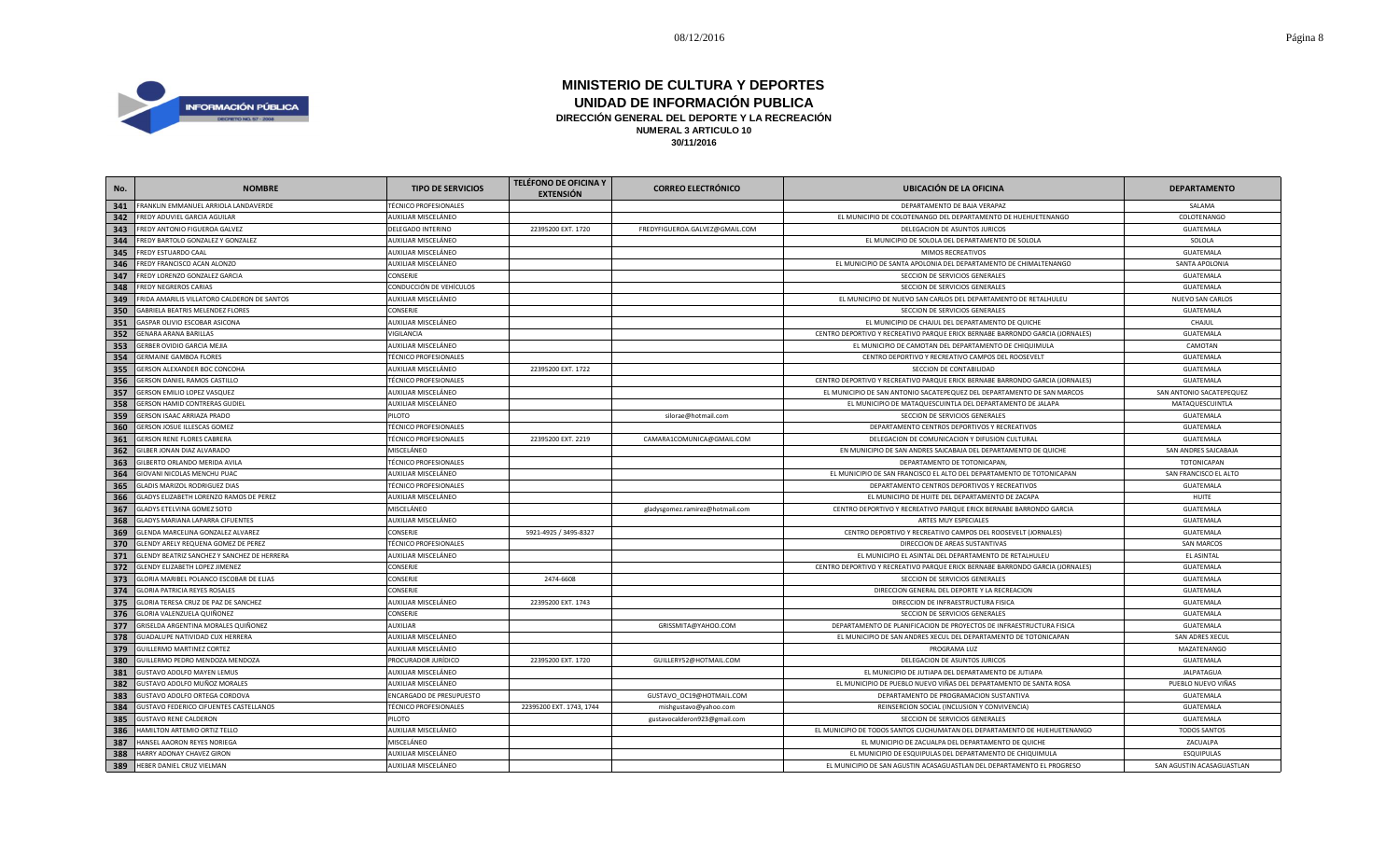

| No. | <b>NOMBRE</b>                               | <b>TIPO DE SERVICIOS</b>     | <b>TELÉFONO DE OFICINA Y</b><br><b>EXTENSIÓN</b> | <b>CORREO ELECTRÓNICO</b>       | <b>UBICACIÓN DE LA OFICINA</b>                                                | <b>DEPARTAMENTO</b>       |
|-----|---------------------------------------------|------------------------------|--------------------------------------------------|---------------------------------|-------------------------------------------------------------------------------|---------------------------|
| 341 | FRANKLIN EMMANUEL ARRIOLA LANDAVERDE        | <b>TÉCNICO PROFESIONALES</b> |                                                  |                                 | DEPARTAMENTO DE BAJA VERAPAZ                                                  | SALAMA                    |
| 342 | <b>FREDY ADUVIEL GARCIA AGUILAR</b>         | AUXILIAR MISCELÁNEO          |                                                  |                                 | EL MUNICIPIO DE COLOTENANGO DEL DEPARTAMENTO DE HUEHUETENANGO                 | COLOTENANGO               |
| 343 | FREDY ANTONIO FIGUEROA GALVEZ               | <b>DELEGADO INTERINO</b>     | 22395200 EXT. 1720                               | FREDYFIGUEROA.GALVEZ@GMAIL.COM  | DELEGACION DE ASUNTOS JURICOS                                                 | GUATEMALA                 |
| 344 | FREDY BARTOLO GONZALEZ Y GONZALEZ           | AUXILIAR MISCELÁNEO          |                                                  |                                 | EL MUNICIPIO DE SOLOLA DEL DEPARTAMENTO DE SOLOLA                             | SOLOLA                    |
| 345 | FREDY ESTUARDO CAAL                         | AUXILIAR MISCELÁNEO          |                                                  |                                 | MIMOS RECREATIVOS                                                             | GUATEMALA                 |
| 346 | FREDY FRANCISCO ACAN ALONZO                 | AUXILIAR MISCELÁNEO          |                                                  |                                 | EL MUNICIPIO DE SANTA APOLONIA DEL DEPARTAMENTO DE CHIMALTENANGO              | SANTA APOLONIA            |
| 347 | FREDY LORENZO GONZALEZ GARCIA               | CONSERJE                     |                                                  |                                 | SECCION DE SERVICIOS GENERALES                                                | GUATEMALA                 |
| 348 | FREDY NEGREROS CARIAS                       | CONDUCCIÓN DE VEHÍCULOS      |                                                  |                                 | SECCION DE SERVICIOS GENERALES                                                | GUATEMALA                 |
| 349 | FRIDA AMARILIS VILLATORO CALDERON DE SANTOS | AUXILIAR MISCELÁNEO          |                                                  |                                 | EL MUNICIPIO DE NUEVO SAN CARLOS DEL DEPARTAMENTO DE RETALHULEU               | <b>NUEVO SAN CARLOS</b>   |
| 350 | GABRIELA BEATRIS MELENDEZ FLORES            | CONSERJE                     |                                                  |                                 | SECCION DE SERVICIOS GENERALES                                                | GUATEMALA                 |
| 351 | GASPAR OLIVIO ESCOBAR ASICONA               | AUXILIAR MISCELÁNEO          |                                                  |                                 | EL MUNICIPIO DE CHAJUL DEL DEPARTAMENTO DE QUICHE                             | CHAJUL                    |
| 352 | GENARA ARANA BARILLAS                       | VIGILANCIA                   |                                                  |                                 | CENTRO DEPORTIVO Y RECREATIVO PARQUE ERICK BERNABE BARRONDO GARCIA (JORNALES) | GUATEMALA                 |
| 353 | GERBER OVIDIO GARCIA MEJIA                  | AUXILIAR MISCELÁNEO          |                                                  |                                 | EL MUNICIPIO DE CAMOTAN DEL DEPARTAMENTO DE CHIQUIMULA                        | CAMOTAN                   |
| 354 | <b>GERMAINE GAMBOA FLORES</b>               | <b>TÉCNICO PROFESIONALES</b> |                                                  |                                 | CENTRO DEPORTIVO Y RECREATIVO CAMPOS DEL ROOSEVELT                            | GUATEMALA                 |
| 355 | GERSON ALEXANDER BOC CONCOHA                | AUXILIAR MISCELÁNEO          | 22395200 EXT. 1722                               |                                 | SECCION DE CONTABILIDAD                                                       | GUATEMALA                 |
| 356 | GERSON DANIEL RAMOS CASTILLO                | <b>TÉCNICO PROFESIONALES</b> |                                                  |                                 | CENTRO DEPORTIVO Y RECREATIVO PARQUE ERICK BERNABE BARRONDO GARCIA (JORNALES) | GUATEMALA                 |
| 357 | GERSON EMILIO LOPEZ VASQUEZ                 | AUXILIAR MISCELÁNEO          |                                                  |                                 | EL MUNICIPIO DE SAN ANTONIO SACATEPEQUEZ DEL DEPARTAMENTO DE SAN MARCOS       | SAN ANTONIO SACATEPEQUEZ  |
| 358 | GERSON HAMID CONTRERAS GUDIEL               | AUXILIAR MISCELÁNEO          |                                                  |                                 | EL MUNICIPIO DE MATAQUESCUINTLA DEL DEPARTAMENTO DE JALAPA                    | MATAQUESCUINTLA           |
| 359 | GERSON ISAAC ARRIAZA PRADO                  | PILOTO                       |                                                  | silorae@hotmail.com             | SECCION DE SERVICIOS GENERALES                                                | GUATEMALA                 |
| 360 | GERSON JOSUE ILLESCAS GOMEZ                 | <b>TÉCNICO PROFESIONALES</b> |                                                  |                                 | DEPARTAMENTO CENTROS DEPORTIVOS Y RECREATIVOS                                 | GUATEMALA                 |
| 361 | <b>GERSON RENE FLORES CABRERA</b>           | <b>TÉCNICO PROFESIONALES</b> | 22395200 EXT. 2219                               | CAMARA1COMUNICA@GMAIL.COM       | DELEGACION DE COMUNICACION Y DIFUSION CULTURAL                                | GUATEMALA                 |
| 362 | GILBER JONAN DIAZ ALVARADO                  | MISCELÁNEO                   |                                                  |                                 | EN MUNICIPIO DE SAN ANDRES SAJCABAJA DEL DEPARTAMENTO DE QUICHE               | SAN ANDRES SAJCABAJA      |
| 363 | GILBERTO ORLANDO MERIDA AVILA               | <b>TÉCNICO PROFESIONALES</b> |                                                  |                                 | DEPARTAMENTO DE TOTONICAPAN,                                                  | <b>TOTONICAPAN</b>        |
| 364 | GIOVANI NICOLAS MENCHU PUAC                 | AUXILIAR MISCELÁNEO          |                                                  |                                 | EL MUNICIPIO DE SAN FRANCISCO EL ALTO DEL DEPARTAMENTO DE TOTONICAPAN         | SAN FRANCISCO EL ALTO     |
| 365 | GLADIS MARIZOL RODRIGUEZ DIAS               | <b>TÉCNICO PROFESIONALES</b> |                                                  |                                 | DEPARTAMENTO CENTROS DEPORTIVOS Y RECREATIVOS                                 | GUATEMALA                 |
| 366 | GLADYS ELIZABETH LORENZO RAMOS DE PEREZ     | AUXILIAR MISCELÁNEO          |                                                  |                                 | EL MUNICIPIO DE HUITE DEL DEPARTAMENTO DE ZACAPA                              | HUITE                     |
| 367 | GLADYS ETELVINA GOMEZ SOTO                  | MISCELÁNEO                   |                                                  | gladysgomez.ramirez@hotmail.com | CENTRO DEPORTIVO Y RECREATIVO PARQUE ERICK BERNABE BARRONDO GARCIA            | GUATEMALA                 |
| 368 | GLADYS MARIANA LAPARRA CIFUENTES            | AUXILIAR MISCELÁNEO          |                                                  |                                 | ARTES MUY ESPECIALES                                                          | GUATEMALA                 |
| 369 | GLENDA MARCELINA GONZALEZ ALVAREZ           | CONSERJE                     | 5921-4925 / 3495-8327                            |                                 | CENTRO DEPORTIVO Y RECREATIVO CAMPOS DEL ROOSEVELT (JORNALES)                 | GUATEMALA                 |
| 370 | GLENDY ARELY REQUENA GOMEZ DE PEREZ         | <b>TÉCNICO PROFESIONALES</b> |                                                  |                                 | DIRECCION DE AREAS SUSTANTIVAS                                                | <b>SAN MARCOS</b>         |
| 371 | GLENDY BEATRIZ SANCHEZ Y SANCHEZ DE HERRERA | AUXILIAR MISCELÁNEO          |                                                  |                                 | EL MUNICIPIO EL ASINTAL DEL DEPARTAMENTO DE RETALHULEU                        | EL ASINTAL                |
| 372 | GLENDY ELIZABETH LOPEZ JIMENEZ              | CONSERJE                     |                                                  |                                 | CENTRO DEPORTIVO Y RECREATIVO PARQUE ERICK BERNABE BARRONDO GARCIA (JORNALES) | GUATEMALA                 |
| 373 | GLORIA MARIBEL POLANCO ESCOBAR DE ELIAS     | <b>CONSERJE</b>              | 2474-6608                                        |                                 | SECCION DE SERVICIOS GENERALES                                                | <b>GUATEMALA</b>          |
| 374 | <b>GLORIA PATRICIA REYES ROSALES</b>        | CONSERJE                     |                                                  |                                 | DIRECCION GENERAL DEL DEPORTE Y LA RECREACION                                 | <b>GUATEMALA</b>          |
| 375 | GLORIA TERESA CRUZ DE PAZ DE SANCHEZ        | AUXILIAR MISCELÁNEO          | 22395200 EXT. 1743                               |                                 | DIRECCION DE INFRAESTRUCTURA FISICA                                           | GUATEMALA                 |
| 376 | GLORIA VALENZUELA QUIÑONEZ                  | <b>CONSERJE</b>              |                                                  |                                 | SECCION DE SERVICIOS GENERALES                                                | GUATEMALA                 |
| 377 | GRISELDA ARGENTINA MORALES QUIÑONEZ         | <b>AUXILIAR</b>              |                                                  | GRISSMITA@YAHOO.COM             | DEPARTAMENTO DE PLANIFICACION DE PROYECTOS DE INFRAESTRUCTURA FISICA          | GUATEMALA                 |
| 378 | GUADALUPE NATIVIDAD CUX HERRERA             | AUXILIAR MISCELÁNEO          |                                                  |                                 | EL MUNICIPIO DE SAN ANDRES XECUL DEL DEPARTAMENTO DE TOTONICAPAN              | SAN ADRES XECUL           |
| 379 | GUILLERMO MARTINEZ CORTEZ                   | AUXILIAR MISCELÁNEO          |                                                  |                                 | PROGRAMA LUZ                                                                  | MAZATENANGO               |
| 380 | GUILLERMO PEDRO MENDOZA MENDOZA             | PROCURADOR JURÍDICO          | 22395200 EXT. 1720                               | GUILLERY52@HOTMAIL.COM          | DELEGACION DE ASUNTOS JURICOS                                                 | GUATEMALA                 |
| 381 | GUSTAVO ADOLFO MAYEN LEMUS                  | AUXILIAR MISCELÁNEO          |                                                  |                                 | EL MUNICIPIO DE JUTIAPA DEL DEPARTAMENTO DE JUTIAPA                           | <b>JALPATAGUA</b>         |
| 382 | GUSTAVO ADOLFO MUÑOZ MORALES                | AUXILIAR MISCELÁNEO          |                                                  |                                 | EL MUNICIPIO DE PUEBLO NUEVO VIÑAS DEL DEPARTAMENTO DE SANTA ROSA             | PUEBLO NUEVO VIÑAS        |
| 383 | GUSTAVO ADOLFO ORTEGA CORDOVA               | ENCARGADO DE PRESUPUESTO     |                                                  | GUSTAVO_OC19@HOTMAIL.COM        | DEPARTAMENTO DE PROGRAMACION SUSTANTIVA                                       | GUATEMALA                 |
| 384 | GUSTAVO FEDERICO CIFUENTES CASTELLANOS      | <b>TÉCNICO PROFESIONALES</b> | 22395200 EXT. 1743, 1744                         | mishgustavo@yahoo.com           | REINSERCION SOCIAL (INCLUSION Y CONVIVENCIA)                                  | GUATEMALA                 |
| 385 | <b>GUSTAVO RENE CALDERON</b>                | PILOTO                       |                                                  | gustavocalderon923@gmail.com    | SECCION DE SERVICIOS GENERALES                                                | GUATEMALA                 |
| 386 | HAMILTON ARTEMIO ORTIZ TELLO                | AUXILIAR MISCELÁNEO          |                                                  |                                 | EL MUNICIPIO DE TODOS SANTOS CUCHUMATAN DEL DEPARTAMENTO DE HUEHUETENANGO     | <b>TODOS SANTOS</b>       |
| 387 | HANSEL AAORON REYES NORIEGA                 | MISCELÁNEO                   |                                                  |                                 | EL MUNICIPIO DE ZACUALPA DEL DEPARTAMENTO DE QUICHE                           | ZACUALPA                  |
| 388 | HARRY ADONAY CHAVEZ GIRON                   | AUXILIAR MISCELÁNEO          |                                                  |                                 | EL MUNICIPIO DE ESQUIPULAS DEL DEPARTAMENTO DE CHIQUIMULA                     | <b>ESQUIPULAS</b>         |
| 389 | HEBER DANIEL CRUZ VIELMAN                   | AUXILIAR MISCELÁNEO          |                                                  |                                 | EL MUNICIPIO DE SAN AGUSTIN ACASAGUASTLAN DEL DEPARTAMENTO EL PROGRESO        | SAN AGUSTIN ACASAGUASTLAN |
|     |                                             |                              |                                                  |                                 |                                                                               |                           |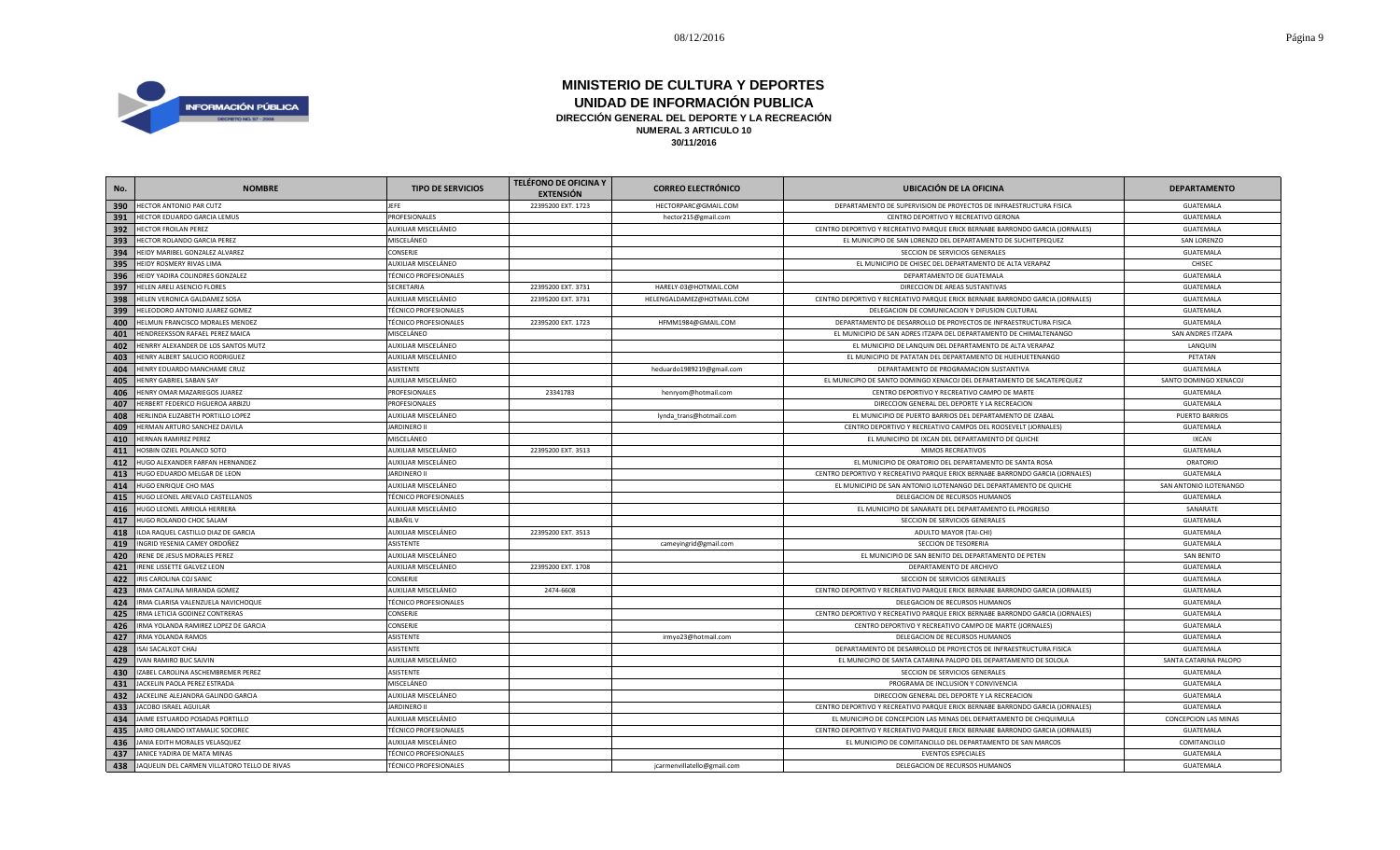

| No. | <b>NOMBRE</b>                                | <b>TIPO DE SERVICIOS</b>     | <b>TELÉFONO DE OFICINA Y</b><br><b>EXTENSIÓN</b> | <b>CORREO ELECTRÓNICO</b>   | <b>UBICACIÓN DE LA OFICINA</b>                                                | <b>DEPARTAMENTO</b>    |
|-----|----------------------------------------------|------------------------------|--------------------------------------------------|-----------------------------|-------------------------------------------------------------------------------|------------------------|
| 390 | HECTOR ANTONIO PAR CUTZ                      | JEFE                         | 22395200 EXT. 1723                               | HECTORPARC@GMAIL.COM        | DEPARTAMENTO DE SUPERVISION DE PROYECTOS DE INFRAESTRUCTURA FISICA            | GUATEMALA              |
| 391 | HECTOR EDUARDO GARCIA LEMUS                  | PROFESIONALES                |                                                  | hector215@gmail.com         | CENTRO DEPORTIVO Y RECREATIVO GERONA                                          | GUATEMALA              |
| 392 | <b>HECTOR FROILAN PEREZ</b>                  | AUXILIAR MISCELÁNEO          |                                                  |                             | CENTRO DEPORTIVO Y RECREATIVO PARQUE ERICK BERNABE BARRONDO GARCIA (JORNALES) | GUATEMALA              |
| 393 | HECTOR ROLANDO GARCIA PEREZ                  | MISCELÁNEO                   |                                                  |                             | EL MUNICIPIO DE SAN LORENZO DEL DEPARTAMENTO DE SUCHITEPEQUEZ                 | SAN LORENZO            |
| 394 | HEIDY MARIBEL GONZALEZ ALVAREZ               | CONSERJE                     |                                                  |                             | SECCION DE SERVICIOS GENERALES                                                | <b>GUATEMALA</b>       |
| 395 | HEIDY ROSMERY RIVAS LIMA                     | AUXILIAR MISCELÁNEO          |                                                  |                             | EL MUNICIPIO DE CHISEC DEL DEPARTAMENTO DE ALTA VERAPAZ                       | CHISEC                 |
| 396 | HEIDY YADIRA COLINDRES GONZALEZ              | <b>TÉCNICO PROFESIONALES</b> |                                                  |                             | DEPARTAMENTO DE GUATEMALA                                                     | <b>GUATEMALA</b>       |
| 397 | HELEN ARELI ASENCIO FLORES                   | SECRETARIA                   | 22395200 EXT. 3731                               | HARELY-03@HOTMAIL.COM       | DIRECCION DE AREAS SUSTANTIVAS                                                | GUATEMALA              |
| 398 | HELEN VERONICA GALDAMEZ SOSA                 | AUXILIAR MISCELÁNEO          | 22395200 EXT. 3731                               | HELENGALDAMEZ@HOTMAIL.COM   | CENTRO DEPORTIVO Y RECREATIVO PARQUE ERICK BERNABE BARRONDO GARCIA (JORNALES) | GUATEMALA              |
| 399 | HELEODORO ANTONIO JUAREZ GOMEZ               | <b>TÉCNICO PROFESIONALES</b> |                                                  |                             | DELEGACION DE COMUNICACION Y DIFUSION CULTURAL                                | GUATEMALA              |
| 400 | HELMUN FRANCISCO MORALES MENDEZ              | <b>TÉCNICO PROFESIONALES</b> | 22395200 EXT. 1723                               | HFMM1984@GMAIL.COM          | DEPARTAMENTO DE DESARROLLO DE PROYECTOS DE INFRAESTRUCTURA FISICA             | GUATEMALA              |
| 401 | HENDREEKSSON RAFAEL PEREZ MAICA              | MISCELÁNEO                   |                                                  |                             | EL MUNICIPIO DE SAN ADRES ITZAPA DEL DEPARTAMENTO DE CHIMALTENANGO            | SAN ANDRES ITZAPA      |
| 402 | HENRRY ALEXANDER DE LOS SANTOS MUTZ          | AUXILIAR MISCELÁNEO          |                                                  |                             | EL MUNICIPIO DE LANQUIN DEL DEPARTAMENTO DE ALTA VERAPAZ                      | LANQUIN                |
| 403 | HENRY ALBERT SALUCIO RODRIGUEZ               | AUXILIAR MISCELÁNEO          |                                                  |                             | EL MUNICIPIO DE PATATAN DEL DEPARTAMENTO DE HUEHUETENANGO                     | PETATAN                |
| 404 | HENRY EDUARDO MANCHAME CRUZ                  | ASISTENTE                    |                                                  | heduardo1989219@gmail.com   | DEPARTAMENTO DE PROGRAMACION SUSTANTIVA                                       | <b>GUATEMALA</b>       |
| 405 | HENRY GABRIEL SABAN SAY                      | AUXILIAR MISCELÁNEO          |                                                  |                             | EL MUNICIPIO DE SANTO DOMINGO XENACOJ DEL DEPARTAMENTO DE SACATEPEQUEZ        | SANTO DOMINGO XENACOJ  |
| 406 | HENRY OMAR MAZARIEGOS JUAREZ                 | PROFESIONALES                | 23341783                                         | henryom@hotmail.com         | CENTRO DEPORTIVO Y RECREATIVO CAMPO DE MARTE                                  | GUATEMALA              |
| 407 | HERBERT FEDERICO FIGUEROA ARBIZU             | PROFESIONALES                |                                                  |                             | DIRECCION GENERAL DEL DEPORTE Y LA RECREACION                                 | GUATEMALA              |
| 408 | HERLINDA ELIZABETH PORTILLO LOPEZ            | AUXILIAR MISCELÁNEO          |                                                  | lynda_trans@hotmail.com     | EL MUNICIPIO DE PUERTO BARRIOS DEL DEPARTAMENTO DE IZABAL                     | <b>PUERTO BARRIOS</b>  |
| 409 | HERMAN ARTURO SANCHEZ DAVILA                 | <b>JARDINERO II</b>          |                                                  |                             | CENTRO DEPORTIVO Y RECREATIVO CAMPOS DEL ROOSEVELT (JORNALES)                 | GUATEMALA              |
| 410 | HERNAN RAMIREZ PEREZ                         | MISCELÁNEO                   |                                                  |                             | EL MUNICIPIO DE IXCAN DEL DEPARTAMENTO DE QUICHE                              | <b>IXCAN</b>           |
| 411 | HOSBIN OZIEL POLANCO SOTO                    | AUXILIAR MISCELÁNEO          | 22395200 EXT. 3513                               |                             | MIMOS RECREATIVOS                                                             | <b>GUATEMALA</b>       |
| 412 | HUGO ALEXANDER FARFAN HERNANDEZ              | AUXILIAR MISCELÁNEO          |                                                  |                             | EL MUNICIPIO DE ORATORIO DEL DEPARTAMENTO DE SANTA ROSA                       | <b>ORATORIO</b>        |
| 413 | HUGO EDUARDO MELGAR DE LEON                  | <b>JARDINERO II</b>          |                                                  |                             | CENTRO DEPORTIVO Y RECREATIVO PARQUE ERICK BERNABE BARRONDO GARCIA (JORNALES) | GUATEMALA              |
| 414 | HUGO ENRIQUE CHO MAS                         | AUXILIAR MISCELÁNEO          |                                                  |                             | EL MUNICIPIO DE SAN ANTONIO ILOTENANGO DEL DEPARTAMENTO DE QUICHE             | SAN ANTONIO ILOTENANGO |
| 415 | HUGO LEONEL AREVALO CASTELLANOS              | <b>TÉCNICO PROFESIONALES</b> |                                                  |                             | DELEGACION DE RECURSOS HUMANOS                                                | GUATEMALA              |
| 416 | HUGO LEONEL ARRIOLA HERRERA                  | AUXILIAR MISCELÁNEO          |                                                  |                             | EL MUNICIPIO DE SANARATE DEL DEPARTAMENTO EL PROGRESO                         | SANARATE               |
| 417 | HUGO ROLANDO CHOC SALAM                      | ALBAÑIL V                    |                                                  |                             | SECCION DE SERVICIOS GENERALES                                                | GUATEMALA              |
| 418 | ILDA RAQUEL CASTILLO DIAZ DE GARCIA          | AUXILIAR MISCELÁNEO          | 22395200 EXT. 3513                               |                             | ADULTO MAYOR (TAI-CHI)                                                        | GUATEMALA              |
| 419 | INGRID YESENIA CAMEY ORDOÑEZ                 | ASISTENTE                    |                                                  | cameyingrid@gmail.com       | SECCION DE TESORERIA                                                          | GUATEMALA              |
| 420 | IRENE DE JESUS MORALES PEREZ                 | AUXILIAR MISCELÁNEO          |                                                  |                             | EL MUNICIPIO DE SAN BENITO DEL DEPARTAMENTO DE PETEN                          | SAN BENITO             |
| 421 | IRENE LISSETTE GALVEZ LEON                   | AUXILIAR MISCELÁNEO          | 22395200 EXT. 1708                               |                             | DEPARTAMENTO DE ARCHIVO                                                       | GUATEMALA              |
| 422 | IRIS CAROLINA COJ SANIC                      | <b>CONSERJE</b>              |                                                  |                             | SECCION DE SERVICIOS GENERALES                                                | <b>GUATEMALA</b>       |
| 423 | IRMA CATALINA MIRANDA GOMEZ                  | AUXILIAR MISCELÁNEO          | 2474-6608                                        |                             | CENTRO DEPORTIVO Y RECREATIVO PARQUE ERICK BERNABE BARRONDO GARCIA (JORNALES) | <b>GUATEMALA</b>       |
| 424 | IRMA CLARISA VALENZUELA NAVICHOQUE           | <b>TÉCNICO PROFESIONALES</b> |                                                  |                             | DELEGACION DE RECURSOS HUMANOS                                                | <b>GUATEMALA</b>       |
| 425 | IRMA LETICIA GODINEZ CONTRERAS               | CONSERJE                     |                                                  |                             | CENTRO DEPORTIVO Y RECREATIVO PARQUE ERICK BERNABE BARRONDO GARCIA (JORNALES) | GUATEMALA              |
| 426 | IRMA YOLANDA RAMIREZ LOPEZ DE GARCIA         | <b>CONSERJE</b>              |                                                  |                             | CENTRO DEPORTIVO Y RECREATIVO CAMPO DE MARTE (JORNALES)                       | GUATEMALA              |
| 427 | <b>IRMA YOLANDA RAMOS</b>                    | <b>ASISTENTE</b>             |                                                  | irmyo23@hotmail.com         | DELEGACION DE RECURSOS HUMANOS                                                | GUATEMALA              |
| 428 | ISAI SACALXOT CHAJ                           | <b>ASISTENTE</b>             |                                                  |                             | DEPARTAMENTO DE DESARROLLO DE PROYECTOS DE INFRAESTRUCTURA FISICA             | GUATEMALA              |
| 429 | <b>IVAN RAMIRO BUC SAJVIN</b>                | AUXILIAR MISCELÁNEO          |                                                  |                             | EL MUNICIPIO DE SANTA CATARINA PALOPO DEL DEPARTAMENTO DE SOLOLA              | SANTA CATARINA PALOPO  |
| 430 | IZABEL CAROLINA ASCHEMBREMER PEREZ           | ASISTENTE                    |                                                  |                             | SECCION DE SERVICIOS GENERALES                                                | GUATEMALA              |
| 431 | JACKELIN PAOLA PEREZ ESTRADA                 | MISCELÁNEO                   |                                                  |                             | PROGRAMA DE INCLUSION Y CONVIVENCIA                                           | GUATEMALA              |
| 432 | JACKELINE ALEJANDRA GALINDO GARCIA           | AUXILIAR MISCELÁNEO          |                                                  |                             | DIRECCION GENERAL DEL DEPORTE Y LA RECREACION                                 | GUATEMALA              |
| 433 | JACOBO ISRAEL AGUILAR                        | <b>JARDINERO II</b>          |                                                  |                             | CENTRO DEPORTIVO Y RECREATIVO PARQUE ERICK BERNABE BARRONDO GARCIA (JORNALES) | GUATEMALA              |
| 434 | JAIME ESTUARDO POSADAS PORTILLO              | AUXILIAR MISCELÁNEO          |                                                  |                             | EL MUNICIPIO DE CONCEPCION LAS MINAS DEL DEPARTAMENTO DE CHIQUIMULA           | CONCEPCION LAS MINAS   |
| 435 | JAIRO ORLANDO IXTAMALIC SOCOREC              | <b>TÉCNICO PROFESIONALES</b> |                                                  |                             | CENTRO DEPORTIVO Y RECREATIVO PARQUE ERICK BERNABE BARRONDO GARCIA (JORNALES) | GUATEMALA              |
| 436 | JANIA EDITH MORALES VELASQUEZ                | AUXILIAR MISCELÁNEO          |                                                  |                             | EL MUNICIPIO DE COMITANCILLO DEL DEPARTAMENTO DE SAN MARCOS                   | COMITANCILLO           |
| 437 | JANICE YADIRA DE MATA MINAS                  | <b>TÉCNICO PROFESIONALES</b> |                                                  |                             | <b>EVENTOS ESPECIALES</b>                                                     | <b>GUATEMALA</b>       |
| 438 | JAQUELIN DEL CARMEN VILLATORO TELLO DE RIVAS | <b>TÉCNICO PROFESIONALES</b> |                                                  | jcarmenvillatello@gmail.com | DELEGACION DE RECURSOS HUMANOS                                                | <b>GUATEMALA</b>       |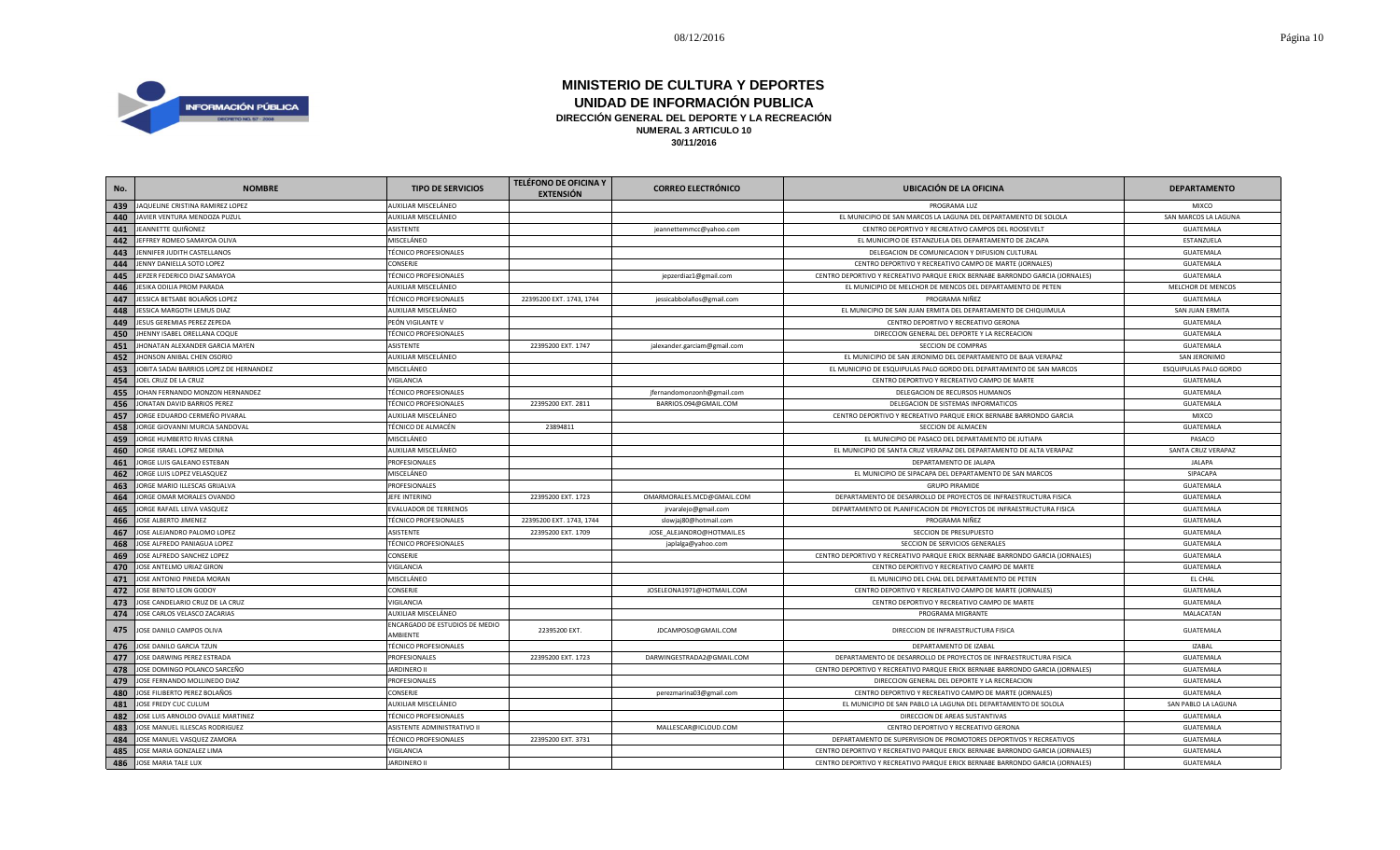

| No. | <b>NOMBRE</b>                           | <b>TIPO DE SERVICIOS</b>                   | <b>TELÉFONO DE OFICINA Y</b><br><b>EXTENSIÓN</b> | <b>CORREO ELECTRÓNICO</b>    | <b>UBICACIÓN DE LA OFICINA</b>                                                | <b>DEPARTAMENTO</b>   |
|-----|-----------------------------------------|--------------------------------------------|--------------------------------------------------|------------------------------|-------------------------------------------------------------------------------|-----------------------|
| 439 | JAQUELINE CRISTINA RAMIREZ LOPEZ        | AUXILIAR MISCELÁNEO                        |                                                  |                              | PROGRAMA LUZ                                                                  | MIXCO                 |
| 440 | JAVIER VENTURA MENDOZA PUZUL            | AUXILIAR MISCELÁNEO                        |                                                  |                              | EL MUNICIPIO DE SAN MARCOS LA LAGUNA DEL DEPARTAMENTO DE SOLOLA               | SAN MARCOS LA LAGUNA  |
| 441 | JEANNETTE QUIÑONEZ                      | ASISTENTE                                  |                                                  | jeannettemmcc@yahoo.com      | CENTRO DEPORTIVO Y RECREATIVO CAMPOS DEL ROOSEVELT                            | <b>GUATEMALA</b>      |
| 442 | JEFFREY ROMEO SAMAYOA OLIVA             | MISCELÁNEO                                 |                                                  |                              | EL MUNICIPIO DE ESTANZUELA DEL DEPARTAMENTO DE ZACAPA                         | ESTANZUELA            |
| 443 | JENNIFER JUDITH CASTELLANOS             | <b>TÉCNICO PROFESIONALES</b>               |                                                  |                              | DELEGACION DE COMUNICACION Y DIFUSION CULTURAL                                | GUATEMALA             |
| 444 | JENNY DANIELLA SOTO LOPEZ               | CONSERJE                                   |                                                  |                              | CENTRO DEPORTIVO Y RECREATIVO CAMPO DE MARTE (JORNALES)                       | GUATEMALA             |
| 445 | JEPZER FEDERICO DIAZ SAMAYOA            | <b>TÉCNICO PROFESIONALES</b>               |                                                  | jepzerdiaz1@gmail.com        | CENTRO DEPORTIVO Y RECREATIVO PARQUE ERICK BERNABE BARRONDO GARCIA (JORNALES) | GUATEMALA             |
| 446 | <b>IESIKA ODILIA PROM PARADA</b>        | AUXILIAR MISCELÁNEO                        |                                                  |                              | EL MUNICIPIO DE MELCHOR DE MENCOS DEL DEPARTAMENTO DE PETEN                   | MELCHOR DE MENCOS     |
| 447 | JESSICA BETSABE BOLAÑOS LOPEZ           | <b>TÉCNICO PROFESIONALES</b>               | 22395200 EXT. 1743, 1744                         | jessicabbolaños@gmail.com    | PROGRAMA NIÑEZ                                                                | GUATEMALA             |
| 448 | <b>IESSICA MARGOTH LEMUS DIAZ</b>       | AUXILIAR MISCELÁNEO                        |                                                  |                              | EL MUNICIPIO DE SAN JUAN ERMITA DEL DEPARTAMENTO DE CHIQUIMULA                | SAN JUAN ERMITA       |
| 449 | JESUS GEREMIAS PEREZ ZEPEDA             | PEÓN VIGILANTE V                           |                                                  |                              | CENTRO DEPORTIVO Y RECREATIVO GERONA                                          | <b>GUATEMALA</b>      |
| 450 | JHENNY ISABEL ORELLANA COQUE            | <b>TÉCNICO PROFESIONALES</b>               |                                                  |                              | DIRECCION GENERAL DEL DEPORTE Y LA RECREACION                                 | GUATEMALA             |
| 451 | JHONATAN ALEXANDER GARCIA MAYEN         | ASISTENTE                                  | 22395200 EXT. 1747                               | jalexander.garciam@gmail.com | SECCION DE COMPRAS                                                            | GUATEMALA             |
| 452 | JHONSON ANIBAL CHEN OSORIO              | AUXILIAR MISCELÁNEO                        |                                                  |                              | EL MUNICIPIO DE SAN JERONIMO DEL DEPARTAMENTO DE BAJA VERAPAZ                 | SAN JERONIMO          |
| 453 | JOBITA SADAI BARRIOS LOPEZ DE HERNANDEZ | MISCELÁNEO                                 |                                                  |                              | EL MUNICIPIO DE ESQUIPULAS PALO GORDO DEL DEPARTAMENTO DE SAN MARCOS          | ESQUIPULAS PALO GORDO |
| 454 | JOEL CRUZ DE LA CRUZ                    | VIGILANCIA                                 |                                                  |                              | CENTRO DEPORTIVO Y RECREATIVO CAMPO DE MARTE                                  | GUATEMALA             |
| 455 | JOHAN FERNANDO MONZON HERNANDEZ         | <b>TÉCNICO PROFESIONALES</b>               |                                                  | jfernandomonzonh@gmail.com   | DELEGACION DE RECURSOS HUMANOS                                                | GUATEMALA             |
| 456 | JONATAN DAVID BARRIOS PEREZ             | <b>TÉCNICO PROFESIONALES</b>               | 22395200 EXT. 2811                               | BARRIOS.094@GMAIL.COM        | DELEGACION DE SISTEMAS INFORMATICOS                                           | GUATEMALA             |
| 457 | JORGE EDUARDO CERMEÑO PIVARAL           | AUXILIAR MISCELÁNEO                        |                                                  |                              | CENTRO DEPORTIVO Y RECREATIVO PARQUE ERICK BERNABE BARRONDO GARCIA            | <b>MIXCO</b>          |
| 458 | JORGE GIOVANNI MURCIA SANDOVAL          | TÉCNICO DE ALMACÉN                         | 23894811                                         |                              | SECCION DE ALMACEN                                                            | GUATEMALA             |
| 459 | JORGE HUMBERTO RIVAS CERNA              | MISCELÁNEO                                 |                                                  |                              | EL MUNICIPIO DE PASACO DEL DEPARTAMENTO DE JUTIAPA                            | PASACO                |
| 460 | JORGE ISRAEL LOPEZ MEDINA               | AUXILIAR MISCELÁNEO                        |                                                  |                              | EL MUNICIPIO DE SANTA CRUZ VERAPAZ DEL DEPARTAMENTO DE ALTA VERAPAZ           | SANTA CRUZ VERAPAZ    |
| 461 | JORGE LUIS GALEANO ESTEBAN              | PROFESIONALES                              |                                                  |                              | DEPARTAMENTO DE JALAPA                                                        | <b>JALAPA</b>         |
| 462 | JORGE LUIS LOPEZ VELASQUEZ              | MISCELÁNEO                                 |                                                  |                              | EL MUNICIPIO DE SIPACAPA DEL DEPARTAMENTO DE SAN MARCOS                       | SIPACAPA              |
| 463 | JORGE MARIO ILLESCAS GRIJALVA           | PROFESIONALES                              |                                                  |                              | <b>GRUPO PIRAMIDE</b>                                                         | GUATEMALA             |
| 464 | JORGE OMAR MORALES OVANDO               | JEFE INTERINO                              | 22395200 EXT. 1723                               | OMARMORALES.MCD@GMAIL.COM    | DEPARTAMENTO DE DESARROLLO DE PROYECTOS DE INFRAESTRUCTURA FISICA             | GUATEMALA             |
| 465 | JORGE RAFAEL LEIVA VASQUEZ              | <b>EVALUADOR DE TERRENOS</b>               |                                                  | jrvaralejo@gmail.com         | DEPARTAMENTO DE PLANIFICACION DE PROYECTOS DE INFRAESTRUCTURA FISICA          | GUATEMALA             |
| 466 | JOSE ALBERTO JIMENEZ                    | <b>TÉCNICO PROFESIONALES</b>               | 22395200 EXT. 1743, 1744                         | slowjaj80@hotmail.com        | PROGRAMA NIÑEZ                                                                | <b>GUATEMALA</b>      |
| 467 | JOSE ALEJANDRO PALOMO LOPEZ             | ASISTENTE                                  | 22395200 EXT. 1709                               | JOSE_ALEJANDRO@HOTMAIL.ES    | SECCION DE PRESUPUESTO                                                        | GUATEMALA             |
| 468 | JOSE ALFREDO PANIAGUA LOPEZ             | <b>TÉCNICO PROFESIONALES</b>               |                                                  | japlalga@yahoo.com           | SECCION DE SERVICIOS GENERALES                                                | GUATEMALA             |
| 469 | JOSE ALFREDO SANCHEZ LOPEZ              | CONSERJE                                   |                                                  |                              | CENTRO DEPORTIVO Y RECREATIVO PARQUE ERICK BERNABE BARRONDO GARCIA (JORNALES) | GUATEMALA             |
| 470 | JOSE ANTELMO URIAZ GIRON                | VIGILANCIA                                 |                                                  |                              | CENTRO DEPORTIVO Y RECREATIVO CAMPO DE MARTE                                  | GUATEMALA             |
| 471 | JOSE ANTONIO PINEDA MORAN               | MISCELÁNEO                                 |                                                  |                              | EL MUNICIPIO DEL CHAL DEL DEPARTAMENTO DE PETEN                               | EL CHAL               |
| 472 | JOSE BENITO LEON GODOY                  | CONSERJE                                   |                                                  | JOSELEONA1971@HOTMAIL.COM    | CENTRO DEPORTIVO Y RECREATIVO CAMPO DE MARTE (JORNALES)                       | <b>GUATEMALA</b>      |
| 473 | JOSE CANDELARIO CRUZ DE LA CRUZ         | VIGILANCIA                                 |                                                  |                              | CENTRO DEPORTIVO Y RECREATIVO CAMPO DE MARTE                                  | <b>GUATEMALA</b>      |
| 474 | JOSE CARLOS VELASCO ZACARIAS            | AUXILIAR MISCELÁNEO                        |                                                  |                              | PROGRAMA MIGRANTE                                                             | MALACATAN             |
| 475 | JOSE DANILO CAMPOS OLIVA                | ENCARGADO DE ESTUDIOS DE MEDIO<br>AMBIENTE | 22395200 EXT.                                    | JDCAMPOSO@GMAIL.COM          | DIRECCION DE INFRAESTRUCTURA FISICA                                           | GUATEMALA             |
| 476 | JOSE DANILO GARCIA TZUN                 | <b>TÉCNICO PROFESIONALES</b>               |                                                  |                              | DEPARTAMENTO DE IZABAL                                                        | <b>IZABAL</b>         |
| 477 | JOSE DARWING PEREZ ESTRADA              | PROFESIONALES                              | 22395200 EXT. 1723                               | DARWINGESTRADA2@GMAIL.COM    | DEPARTAMENTO DE DESARROLLO DE PROYECTOS DE INFRAESTRUCTURA FISICA             | <b>GUATEMALA</b>      |
| 478 | JOSE DOMINGO POLANCO SARCEÑO            | <b>JARDINERO II</b>                        |                                                  |                              | CENTRO DEPORTIVO Y RECREATIVO PARQUE ERICK BERNABE BARRONDO GARCIA (JORNALES) | GUATEMALA             |
| 479 | JOSE FERNANDO MOLLINEDO DIAZ            | PROFESIONALES                              |                                                  |                              | DIRECCION GENERAL DEL DEPORTE Y LA RECREACION                                 | <b>GUATEMALA</b>      |
| 480 | JOSE FILIBERTO PEREZ BOLAÑOS            | CONSERJE                                   |                                                  | perezmarina03@gmail.com      | CENTRO DEPORTIVO Y RECREATIVO CAMPO DE MARTE (JORNALES)                       | GUATEMALA             |
| 481 | JOSE FREDY CUC CULUM                    | AUXILIAR MISCELÁNEO                        |                                                  |                              | EL MUNICIPIO DE SAN PABLO LA LAGUNA DEL DEPARTAMENTO DE SOLOLA                | SAN PABLO LA LAGUNA   |
| 482 | JOSE LUIS ARNOLDO OVALLE MARTINEZ       | <b>TÉCNICO PROFESIONALES</b>               |                                                  |                              | DIRECCION DE AREAS SUSTANTIVAS                                                | GUATEMALA             |
| 483 | JOSE MANUEL ILLESCAS RODRIGUEZ          | ASISTENTE ADMINISTRATIVO II                |                                                  | MALLESCAR@ICLOUD.COM         | CENTRO DEPORTIVO Y RECREATIVO GERONA                                          | <b>GUATEMALA</b>      |
| 484 | JOSE MANUEL VASQUEZ ZAMORA              | <b>TÉCNICO PROFESIONALES</b>               | 22395200 EXT. 3731                               |                              | DEPARTAMENTO DE SUPERVISION DE PROMOTORES DEPORTIVOS Y RECREATIVOS            | GUATEMALA             |
| 485 | JOSE MARIA GONZALEZ LIMA                | VIGILANCIA                                 |                                                  |                              | CENTRO DEPORTIVO Y RECREATIVO PARQUE ERICK BERNABE BARRONDO GARCIA (JORNALES) | GUATEMALA             |
| 486 | JOSE MARIA TALE LUX                     | <b>JARDINERO II</b>                        |                                                  |                              | CENTRO DEPORTIVO Y RECREATIVO PARQUE ERICK BERNABE BARRONDO GARCIA (JORNALES) | <b>GUATEMALA</b>      |
|     |                                         |                                            |                                                  |                              |                                                                               |                       |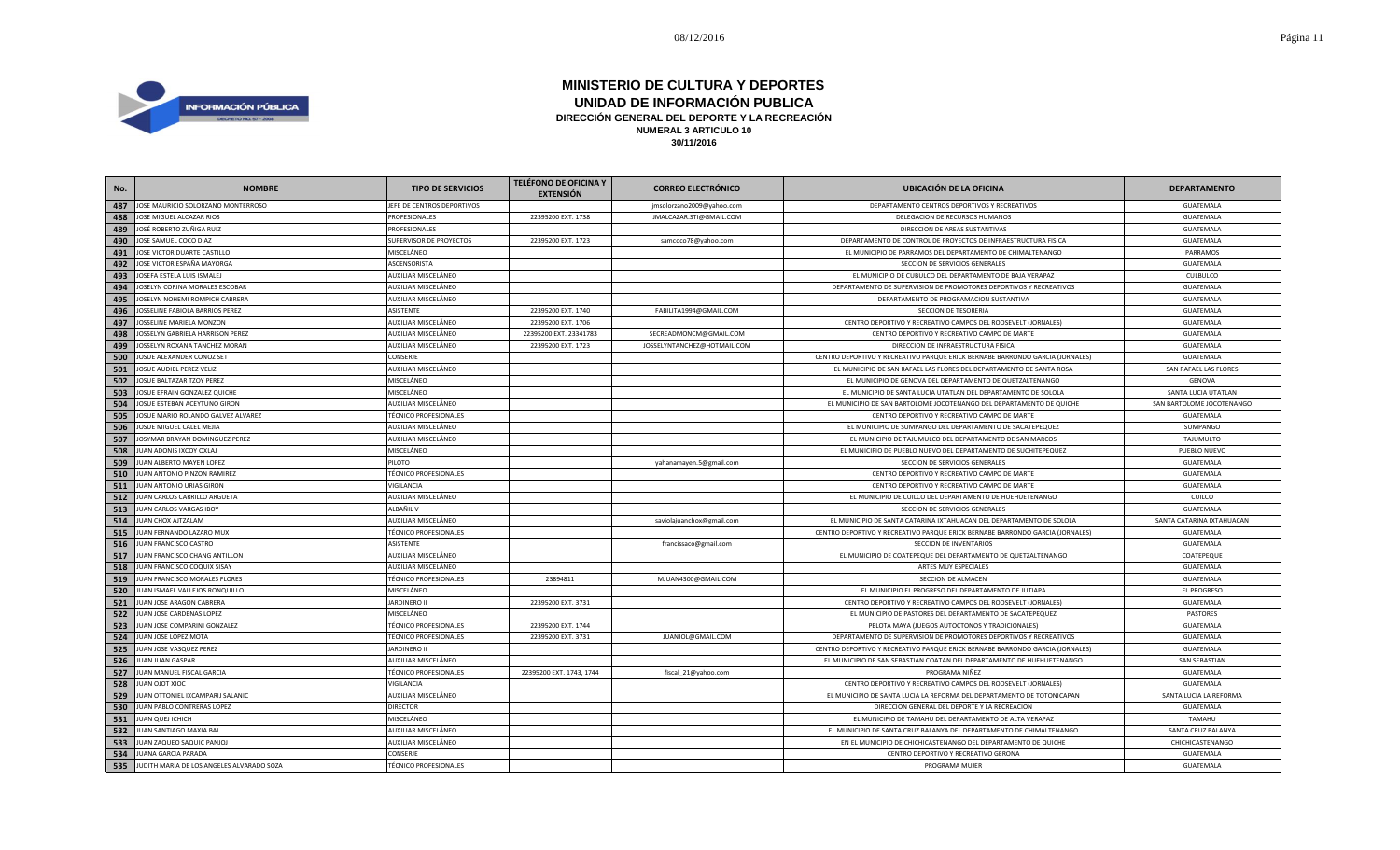

| No. | <b>NOMBRE</b>                             | <b>TIPO DE SERVICIOS</b>     | <b>TELÉFONO DE OFICINA Y</b><br><b>EXTENSIÓN</b> | <b>CORREO ELECTRÓNICO</b>   | <b>UBICACIÓN DE LA OFICINA</b>                                                | <b>DEPARTAMENTO</b>       |
|-----|-------------------------------------------|------------------------------|--------------------------------------------------|-----------------------------|-------------------------------------------------------------------------------|---------------------------|
| 487 | JOSE MAURICIO SOLORZANO MONTERROSO        | JEFE DE CENTROS DEPORTIVOS   |                                                  | jmsolorzano2009@yahoo.com   | DEPARTAMENTO CENTROS DEPORTIVOS Y RECREATIVOS                                 | GUATEMALA                 |
| 488 | JOSE MIGUEL ALCAZAR RIOS                  | PROFESIONALES                | 22395200 EXT. 1738                               | JMALCAZAR.STI@GMAIL.COM     | DELEGACION DE RECURSOS HUMANOS                                                | GUATEMALA                 |
| 489 | JOSÉ ROBERTO ZUÑIGA RUIZ                  | PROFESIONALES                |                                                  |                             | DIRECCION DE AREAS SUSTANTIVAS                                                | GUATEMALA                 |
| 490 | JOSE SAMUEL COCO DIAZ                     | SUPERVISOR DE PROYECTOS      | 22395200 EXT. 1723                               | samcoco78@yahoo.com         | DEPARTAMENTO DE CONTROL DE PROYECTOS DE INFRAESTRUCTURA FISICA                | GUATEMALA                 |
| 491 | JOSE VICTOR DUARTE CASTILLO               | MISCELÁNEO                   |                                                  |                             | EL MUNICIPIO DE PARRAMOS DEL DEPARTAMENTO DE CHIMALTENANGO                    | PARRAMOS                  |
| 492 | JOSE VICTOR ESPAÑA MAYORGA                | ASCENSORISTA                 |                                                  |                             | SECCION DE SERVICIOS GENERALES                                                | GUATEMALA                 |
| 493 | JOSEFA ESTELA LUIS ISMALEJ                | AUXILIAR MISCELÁNEO          |                                                  |                             | EL MUNICIPIO DE CUBULCO DEL DEPARTAMENTO DE BAJA VERAPAZ                      | CULBULCO                  |
| 494 | <b>IOSELYN CORINA MORALES ESCOBAR</b>     | AUXILIAR MISCELÁNEO          |                                                  |                             | DEPARTAMENTO DE SUPERVISION DE PROMOTORES DEPORTIVOS Y RECREATIVOS            | GUATEMALA                 |
| 495 | JOSELYN NOHEMI ROMPICH CABRERA            | AUXILIAR MISCELÁNEO          |                                                  |                             | DEPARTAMENTO DE PROGRAMACION SUSTANTIVA                                       | GUATEMALA                 |
| 496 | <b>IOSSELINE FABIOLA BARRIOS PEREZ</b>    | ASISTENTE                    | 22395200 EXT. 1740                               | FABILITA1994@GMAIL.COM      | SECCION DE TESORERIA                                                          | GUATEMALA                 |
| 497 | JOSSELINE MARIELA MONZON                  | AUXILIAR MISCELÁNEO          | 22395200 EXT. 1706                               |                             | CENTRO DEPORTIVO Y RECREATIVO CAMPOS DEL ROOSEVELT (JORNALES)                 | GUATEMALA                 |
| 498 | JOSSELYN GABRIELA HARRISON PEREZ          | AUXILIAR MISCELÁNEO          | 22395200 EXT. 23341783                           | SECREADMONCM@GMAIL.COM      | CENTRO DEPORTIVO Y RECREATIVO CAMPO DE MARTE                                  | GUATEMALA                 |
| 499 | JOSSELYN ROXANA TANCHEZ MORAN             | AUXILIAR MISCELÁNEO          | 22395200 EXT. 1723                               | JOSSELYNTANCHEZ@HOTMAIL.COM | DIRECCION DE INFRAESTRUCTURA FISICA                                           | GUATEMALA                 |
| 500 | JOSUE ALEXANDER CONOZ SET                 | CONSERJE                     |                                                  |                             | CENTRO DEPORTIVO Y RECREATIVO PARQUE ERICK BERNABE BARRONDO GARCIA (JORNALES) | GUATEMALA                 |
| 501 | JOSUE AUDIEL PEREZ VELIZ                  | AUXILIAR MISCELÁNEO          |                                                  |                             | EL MUNICIPIO DE SAN RAFAEL LAS FLORES DEL DEPARTAMENTO DE SANTA ROSA          | SAN RAFAEL LAS FLORES     |
| 502 | JOSUE BALTAZAR TZOY PEREZ                 | MISCELÁNEO                   |                                                  |                             | EL MUNICIPIO DE GENOVA DEL DEPARTAMENTO DE QUETZALTENANGO                     | <b>GENOVA</b>             |
| 503 | <b>IOSUE EFRAIN GONZALEZ QUICHE</b>       | MISCELÁNEO                   |                                                  |                             | EL MUNICIPIO DE SANTA LUCIA UTATLAN DEL DEPARTAMENTO DE SOLOLA                | SANTA LUCIA UTATLAN       |
| 504 | <b>IOSUE ESTEBAN ACEYTUNO GIRON</b>       | AUXILIAR MISCELÁNEO          |                                                  |                             | EL MUNICIPIO DE SAN BARTOLOME JOCOTENANGO DEL DEPARTAMENTO DE QUICHE          | SAN BARTOLOME JOCOTENANGO |
| 505 | OSUE MARIO ROLANDO GALVEZ ALVAREZ         | <b>TÉCNICO PROFESIONALES</b> |                                                  |                             | CENTRO DEPORTIVO Y RECREATIVO CAMPO DE MARTE                                  | GUATEMALA                 |
| 506 | JOSUE MIGUEL CALEL MEJIA                  | AUXILIAR MISCELÁNEO          |                                                  |                             | EL MUNICIPIO DE SUMPANGO DEL DEPARTAMENTO DE SACATEPEQUEZ                     | SUMPANGO                  |
| 507 | JOSYMAR BRAYAN DOMINGUEZ PEREZ            | AUXILIAR MISCELÁNEO          |                                                  |                             | EL MUNICIPIO DE TAJUMULCO DEL DEPARTAMENTO DE SAN MARCOS                      | TAJUMULTO                 |
| 508 | IUAN ADONIS IXCOY OXLAJ                   | MISCELÁNEO                   |                                                  |                             | EL MUNICIPIO DE PUEBLO NUEVO DEL DEPARTAMENTO DE SUCHITEPEQUEZ                | PUEBLO NUEVO              |
| 509 | <b>IUAN ALBERTO MAYEN LOPEZ</b>           | PILOTO                       |                                                  | yahanamayen.5@gmail.com     | SECCION DE SERVICIOS GENERALES                                                | GUATEMALA                 |
| 510 | IUAN ANTONIO PINZON RAMIREZ               | <b>TÉCNICO PROFESIONALES</b> |                                                  |                             | CENTRO DEPORTIVO Y RECREATIVO CAMPO DE MARTE                                  | GUATEMALA                 |
| 511 | <b>IUAN ANTONIO URIAS GIRON</b>           | VIGILANCIA                   |                                                  |                             | CENTRO DEPORTIVO Y RECREATIVO CAMPO DE MARTE                                  | GUATEMALA                 |
| 512 | JUAN CARLOS CARRILLO ARGUETA              | AUXILIAR MISCELÁNEO          |                                                  |                             | EL MUNICIPIO DE CUILCO DEL DEPARTAMENTO DE HUEHUETENANGO                      | CUILCO                    |
| 513 | JUAN CARLOS VARGAS IBOY                   | ALBAÑIL V                    |                                                  |                             | SECCION DE SERVICIOS GENERALES                                                | GUATEMALA                 |
| 514 | <b>IUAN CHOX AJTZALAM</b>                 | AUXILIAR MISCELÁNEO          |                                                  | saviolajuanchox@gmail.com   | EL MUNICIPIO DE SANTA CATARINA IXTAHUACAN DEL DEPARTAMENTO DE SOLOLA          | SANTA CATARINA IXTAHUACAN |
| 515 | JUAN FERNANDO LAZARO MUX                  | <b>TÉCNICO PROFESIONALES</b> |                                                  |                             | CENTRO DEPORTIVO Y RECREATIVO PARQUE ERICK BERNABE BARRONDO GARCIA (JORNALES) | GUATEMALA                 |
| 516 | UAN FRANCISCO CASTRO                      | ASISTENTE                    |                                                  | francissaco@gmail.com       | SECCION DE INVENTARIOS                                                        | GUATEMALA                 |
| 517 | <b>IUAN FRANCISCO CHANG ANTILLON</b>      | AUXILIAR MISCELÁNEO          |                                                  |                             | EL MUNICIPIO DE COATEPEQUE DEL DEPARTAMENTO DE QUETZALTENANGO                 | COATEPEQUE                |
| 518 | UAN FRANCISCO COQUIX SISAY                | AUXILIAR MISCELÁNEO          |                                                  |                             | ARTES MUY ESPECIALES                                                          | GUATEMALA                 |
| 519 | IUAN FRANCISCO MORALES FLORES             | <b>TÉCNICO PROFESIONALES</b> | 23894811                                         | MJUAN4300@GMAIL.COM         | SECCION DE ALMACEN                                                            | GUATEMALA                 |
| 520 | IUAN ISMAEL VALLEJOS RONQUILLO            | MISCELÁNEO                   |                                                  |                             | EL MUNICIPIO EL PROGRESO DEL DEPARTAMENTO DE JUTIAPA                          | EL PROGRESO               |
| 521 | IUAN JOSE ARAGON CABRERA                  | <b>JARDINERO II</b>          | 22395200 EXT. 3731                               |                             | CENTRO DEPORTIVO Y RECREATIVO CAMPOS DEL ROOSEVELT (JORNALES)                 | GUATEMALA                 |
| 522 | IUAN JOSE CARDENAS LOPEZ                  | MISCELÁNEO                   |                                                  |                             | EL MUNICIPIO DE PASTORES DEL DEPARTAMENTO DE SACATEPEQUEZ                     | PASTORES                  |
| 523 | IUAN JOSE COMPARINI GONZALEZ              | <b>TÉCNICO PROFESIONALES</b> | 22395200 EXT. 1744                               |                             | PELOTA MAYA (JUEGOS AUTOCTONOS Y TRADICIONALES)                               | GUATEMALA                 |
| 524 | JUAN JOSE LOPEZ MOTA                      | <b>TÉCNICO PROFESIONALES</b> | 22395200 EXT. 3731                               | JUANJOL@GMAIL.COM           | DEPARTAMENTO DE SUPERVISION DE PROMOTORES DEPORTIVOS Y RECREATIVOS            | GUATEMALA                 |
| 525 | JUAN JOSE VASQUEZ PEREZ                   | <b>JARDINERO II</b>          |                                                  |                             | CENTRO DEPORTIVO Y RECREATIVO PARQUE ERICK BERNABE BARRONDO GARCIA (JORNALES) | GUATEMALA                 |
| 526 | JUAN JUAN GASPAR                          | AUXILIAR MISCELÁNEO          |                                                  |                             | EL MUNICIPIO DE SAN SEBASTIAN COATAN DEL DEPARTAMENTO DE HUEHUETENANGO        | SAN SEBASTIAN             |
| 527 | JUAN MANUEL FISCAL GARCIA                 | <b>TÉCNICO PROFESIONALES</b> | 22395200 EXT. 1743, 1744                         | fiscal_21@yahoo.com         | PROGRAMA NIÑEZ                                                                | GUATEMALA                 |
| 528 | JUAN OJOT XIOC                            | VIGILANCIA                   |                                                  |                             | CENTRO DEPORTIVO Y RECREATIVO CAMPOS DEL ROOSEVELT (JORNALES)                 | GUATEMALA                 |
| 529 | IUAN OTTONIEL IXCAMPARIJ SALANIC          | AUXILIAR MISCELÁNEO          |                                                  |                             | EL MUNICIPIO DE SANTA LUCIA LA REFORMA DEL DEPARTAMENTO DE TOTONICAPAN        | SANTA LUCIA LA REFORMA    |
| 530 | IUAN PABLO CONTRERAS LOPEZ                | <b>DIRECTOR</b>              |                                                  |                             | DIRECCION GENERAL DEL DEPORTE Y LA RECREACION                                 | GUATEMALA                 |
| 531 | UAN QUEJ ICHICH                           | MISCELÁNEO                   |                                                  |                             | EL MUNICIPIO DE TAMAHU DEL DEPARTAMENTO DE ALTA VERAPAZ                       | <b>TAMAHU</b>             |
| 532 | IUAN SANTIAGO MAXIA BAL                   | AUXILIAR MISCELÁNEO          |                                                  |                             | EL MUNICIPIO DE SANTA CRUZ BALANYA DEL DEPARTAMENTO DE CHIMALTENANGO          | SANTA CRUZ BALANYA        |
| 533 | IUAN ZAQUEO SAQUIC PANJOJ                 | AUXILIAR MISCELÁNEO          |                                                  |                             | EN EL MUNICIPIO DE CHICHICASTENANGO DEL DEPARTAMENTO DE QUICHE                | CHICHICASTENANGO          |
| 534 | JUANA GARCIA PARADA                       | CONSERJE                     |                                                  |                             | CENTRO DEPORTIVO Y RECREATIVO GERONA                                          | GUATEMALA                 |
| 535 | JUDITH MARIA DE LOS ANGELES ALVARADO SOZA | <b>TÉCNICO PROFESIONALES</b> |                                                  |                             | PROGRAMA MUJER                                                                | GUATEMALA                 |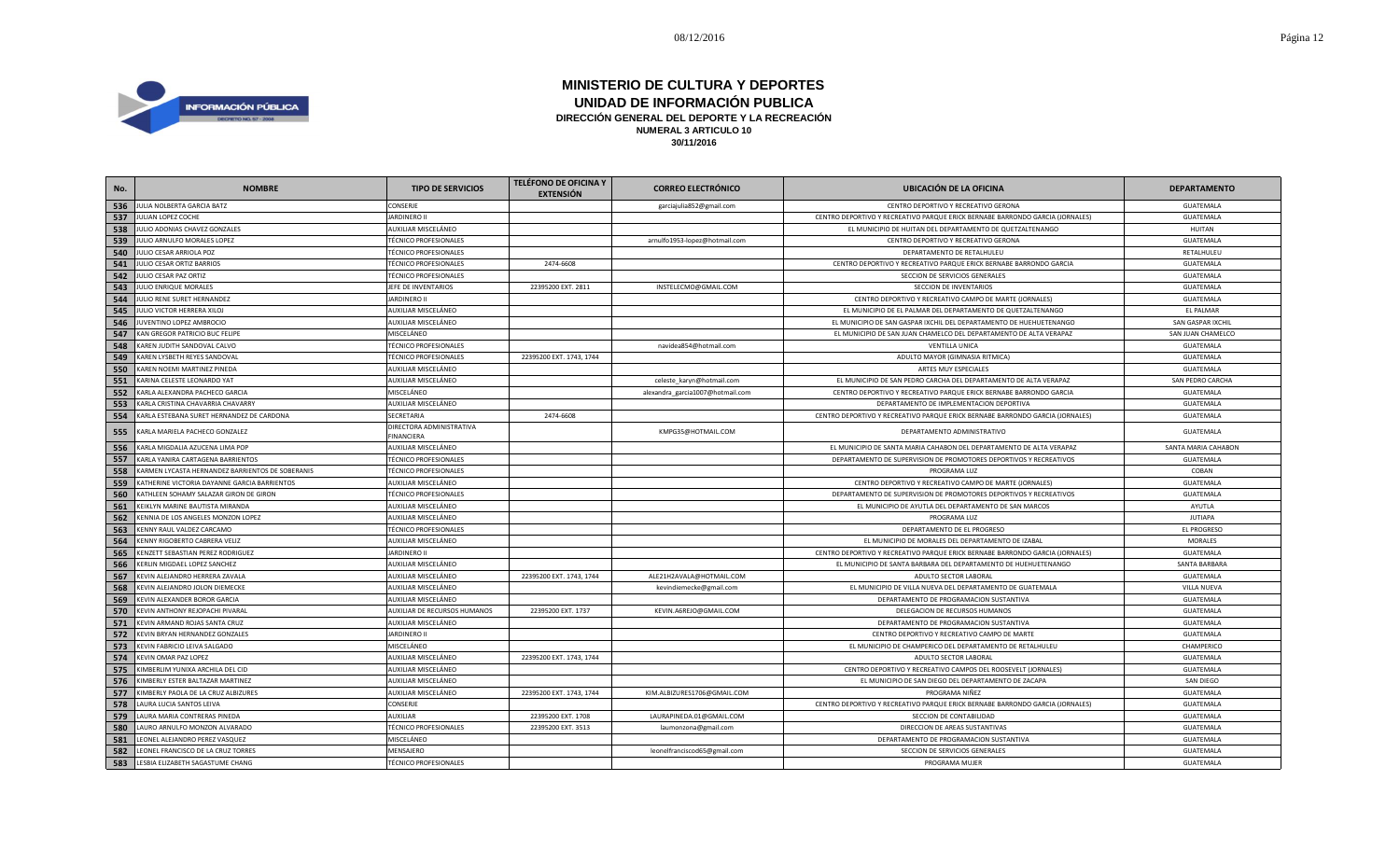

| No. | <b>NOMBRE</b>                                    | <b>TIPO DE SERVICIOS</b>                      | <b>TELÉFONO DE OFICINA Y</b><br><b>EXTENSIÓN</b> | <b>CORREO ELECTRÓNICO</b>        | <b>UBICACIÓN DE LA OFICINA</b>                                                | <b>DEPARTAMENTO</b> |
|-----|--------------------------------------------------|-----------------------------------------------|--------------------------------------------------|----------------------------------|-------------------------------------------------------------------------------|---------------------|
|     | 536 JULIA NOLBERTA GARCIA BATZ                   | CONSERJE                                      |                                                  | garciajulia852@gmail.com         | CENTRO DEPORTIVO Y RECREATIVO GERONA                                          | GUATEMALA           |
| 537 | JULIAN LOPEZ COCHE                               | <b>JARDINERO II</b>                           |                                                  |                                  | CENTRO DEPORTIVO Y RECREATIVO PARQUE ERICK BERNABE BARRONDO GARCIA (JORNALES) | GUATEMALA           |
| 538 | JULIO ADONIAS CHAVEZ GONZALES                    | AUXILIAR MISCELÁNEO                           |                                                  |                                  | EL MUNICIPIO DE HUITAN DEL DEPARTAMENTO DE QUETZALTENANGO                     | <b>HUITAN</b>       |
| 539 | JULIO ARNULFO MORALES LOPEZ                      | <b>TÉCNICO PROFESIONALES</b>                  |                                                  | arnulfo1953-lopez@hotmail.com    | CENTRO DEPORTIVO Y RECREATIVO GERONA                                          | GUATEMALA           |
| 540 | JULIO CESAR ARRIOLA POZ                          | <b>TÉCNICO PROFESIONALES</b>                  |                                                  |                                  | DEPARTAMENTO DE RETALHULEU                                                    | RETALHULEU          |
| 541 | JULIO CESAR ORTIZ BARRIOS                        | <b>TÉCNICO PROFESIONALES</b>                  | 2474-6608                                        |                                  | CENTRO DEPORTIVO Y RECREATIVO PARQUE ERICK BERNABE BARRONDO GARCIA            | GUATEMALA           |
| 542 | JULIO CESAR PAZ ORTIZ                            | <b>TÉCNICO PROFESIONALES</b>                  |                                                  |                                  | SECCION DE SERVICIOS GENERALES                                                | GUATEMALA           |
| 543 | JULIO ENRIQUE MORALES                            | JEFE DE INVENTARIOS                           | 22395200 EXT. 2811                               | INSTELECMO@GMAIL.COM             | SECCION DE INVENTARIOS                                                        | GUATEMALA           |
| 544 | JULIO RENE SURET HERNANDEZ                       | <b>JARDINERO II</b>                           |                                                  |                                  | CENTRO DEPORTIVO Y RECREATIVO CAMPO DE MARTE (JORNALES)                       | GUATEMALA           |
| 545 | JULIO VICTOR HERRERA XILOJ                       | AUXILIAR MISCELÁNEO                           |                                                  |                                  | EL MUNICIPIO DE EL PALMAR DEL DEPARTAMENTO DE QUETZALTENANGO                  | <b>EL PALMAR</b>    |
| 546 | JUVENTINO LOPEZ AMBROCIO                         | AUXILIAR MISCELÁNEO                           |                                                  |                                  | EL MUNICIPIO DE SAN GASPAR IXCHIL DEL DEPARTAMENTO DE HUEHUETENANGO           | SAN GASPAR IXCHII   |
| 547 | KAN GREGOR PATRICIO BUC FELIPE                   | MISCELÁNEO                                    |                                                  |                                  | EL MUNICIPIO DE SAN JUAN CHAMELCO DEL DEPARTAMENTO DE ALTA VERAPAZ            | SAN JUAN CHAMELCO   |
| 548 | KAREN JUDITH SANDOVAL CALVO                      | <b>TÉCNICO PROFESIONALES</b>                  |                                                  | navidea854@hotmail.com           | <b>VENTILLA UNICA</b>                                                         | GUATEMALA           |
| 549 | KAREN LYSBETH REYES SANDOVAL                     | <b>TÉCNICO PROFESIONALES</b>                  | 22395200 EXT. 1743, 1744                         |                                  | ADULTO MAYOR (GIMNASIA RITMICA)                                               | GUATEMALA           |
| 550 | KAREN NOEMI MARTINEZ PINEDA                      | AUXILIAR MISCELÁNEO                           |                                                  |                                  | ARTES MUY ESPECIALES                                                          | GUATEMALA           |
| 551 | KARINA CELESTE LEONARDO YAT                      | AUXILIAR MISCELÁNEO                           |                                                  | celeste_karyn@hotmail.com        | EL MUNICIPIO DE SAN PEDRO CARCHA DEL DEPARTAMENTO DE ALTA VERAPAZ             | SAN PEDRO CARCHA    |
| 552 | KARLA ALEXANDRA PACHECO GARCIA                   | MISCELÁNEO                                    |                                                  | alexandra_garcia1007@hotmail.com | CENTRO DEPORTIVO Y RECREATIVO PARQUE ERICK BERNABE BARRONDO GARCIA            | GUATEMALA           |
| 553 | KARLA CRISTINA CHAVARRIA CHAVARRY                | AUXILIAR MISCELÁNEO                           |                                                  |                                  | DEPARTAMENTO DE IMPLEMENTACION DEPORTIVA                                      | GUATEMALA           |
| 554 | KARLA ESTEBANA SURET HERNANDEZ DE CARDONA        | SECRETARIA                                    | 2474-6608                                        |                                  | CENTRO DEPORTIVO Y RECREATIVO PARQUE ERICK BERNABE BARRONDO GARCIA (JORNALES) | GUATEMALA           |
| 555 | KARLA MARIELA PACHECO GONZALEZ                   | DIRECTORA ADMINISTRATIVA<br><b>FINANCIERA</b> |                                                  | KMPG35@HOTMAIL.COM               | DEPARTAMENTO ADMINISTRATIVO                                                   | GUATEMALA           |
| 556 | KARLA MIGDALIA AZUCENA LIMA POP                  | AUXILIAR MISCELÁNEO                           |                                                  |                                  | EL MUNICIPIO DE SANTA MARIA CAHABON DEL DEPARTAMENTO DE ALTA VERAPAZ          | SANTA MARIA CAHABON |
| 557 | KARLA YANIRA CARTAGENA BARRIENTOS                | <b>TÉCNICO PROFESIONALES</b>                  |                                                  |                                  | DEPARTAMENTO DE SUPERVISION DE PROMOTORES DEPORTIVOS Y RECREATIVOS            | GUATEMALA           |
| 558 | KARMEN LYCASTA HERNANDEZ BARRIENTOS DE SOBERANIS | <b>TÉCNICO PROFESIONALES</b>                  |                                                  |                                  | PROGRAMA LUZ                                                                  | COBAN               |
| 559 | KATHERINE VICTORIA DAYANNE GARCIA BARRIENTOS     | AUXILIAR MISCELÁNEO                           |                                                  |                                  | CENTRO DEPORTIVO Y RECREATIVO CAMPO DE MARTE (JORNALES)                       | GUATEMALA           |
| 560 | KATHLEEN SOHAMY SALAZAR GIRON DE GIRON           | <b>TÉCNICO PROFESIONALES</b>                  |                                                  |                                  | DEPARTAMENTO DE SUPERVISION DE PROMOTORES DEPORTIVOS Y RECREATIVOS            | GUATEMALA           |
| 561 | KEIKLYN MARINE BAUTISTA MIRANDA                  | AUXILIAR MISCELÁNEO                           |                                                  |                                  | EL MUNICIPIO DE AYUTLA DEL DEPARTAMENTO DE SAN MARCOS                         | AYUTLA              |
| 562 | KENNIA DE LOS ANGELES MONZON LOPEZ               | AUXILIAR MISCELÁNEO                           |                                                  |                                  | PROGRAMA LUZ                                                                  | <b>JUTIAPA</b>      |
| 563 | KENNY RAUL VALDEZ CARCAMO                        | <b>TÉCNICO PROFESIONALES</b>                  |                                                  |                                  | DEPARTAMENTO DE EL PROGRESO                                                   | <b>EL PROGRESO</b>  |
| 564 | KENNY RIGOBERTO CABRERA VELIZ                    | AUXILIAR MISCELÁNEO                           |                                                  |                                  | EL MUNICIPIO DE MORALES DEL DEPARTAMENTO DE IZABAL                            | <b>MORALES</b>      |
| 565 | KENZETT SEBASTIAN PEREZ RODRIGUEZ                | <b>JARDINERO II</b>                           |                                                  |                                  | CENTRO DEPORTIVO Y RECREATIVO PARQUE ERICK BERNABE BARRONDO GARCIA (JORNALES) | GUATEMALA           |
| 566 | KERLIN MIGDAEL LOPEZ SANCHEZ                     | AUXILIAR MISCELÁNEO                           |                                                  |                                  | EL MUNICIPIO DE SANTA BARBARA DEL DEPARTAMENTO DE HUEHUETENANGO               | SANTA BARBARA       |
| 567 | KEVIN ALEJANDRO HERRERA ZAVALA                   | AUXILIAR MISCELÁNEO                           | 22395200 EXT. 1743, 1744                         | ALE21H2AVALA@HOTMAIL.COM         | ADULTO SECTOR LABORAL                                                         | GUATEMALA           |
| 568 | KEVIN ALEJANDRO JOLON DIEMECKE                   | AUXILIAR MISCELÁNEO                           |                                                  | kevindiemecke@gmail.com          | EL MUNICIPIO DE VILLA NUEVA DEL DEPARTAMENTO DE GUATEMALA                     | VILLA NUEVA         |
| 569 | KEVIN ALEXANDER BOROR GARCIA                     | AUXILIAR MISCELÁNEO                           |                                                  |                                  | DEPARTAMENTO DE PROGRAMACION SUSTANTIVA                                       | GUATEMALA           |
| 570 | KEVIN ANTHONY REJOPACHI PIVARAL                  | AUXILIAR DE RECURSOS HUMANOS                  | 22395200 EXT. 1737                               | KEVIN.A6REJO@GMAIL.COM           | DELEGACION DE RECURSOS HUMANOS                                                | GUATEMALA           |
| 571 | KEVIN ARMAND ROJAS SANTA CRUZ                    | AUXILIAR MISCELÁNEO                           |                                                  |                                  | DEPARTAMENTO DE PROGRAMACION SUSTANTIVA                                       | GUATEMALA           |
| 572 | KEVIN BRYAN HERNANDEZ GONZALES                   | <b>JARDINERO II</b>                           |                                                  |                                  | CENTRO DEPORTIVO Y RECREATIVO CAMPO DE MARTE                                  | GUATEMALA           |
| 573 | KEVIN FABRICIO LEIVA SALGADO                     | MISCELÁNEO                                    |                                                  |                                  | EL MUNICIPIO DE CHAMPERICO DEL DEPARTAMENTO DE RETALHULEU                     | CHAMPERICO          |
| 574 | KEVIN OMAR PAZ LOPEZ                             | AUXILIAR MISCELÁNEO                           | 22395200 EXT. 1743, 1744                         |                                  | ADULTO SECTOR LABORAL                                                         | GUATEMALA           |
| 575 | KIMBERLIM YUNIXA ARCHILA DEL CID                 | AUXILIAR MISCELÁNEO                           |                                                  |                                  | CENTRO DEPORTIVO Y RECREATIVO CAMPOS DEL ROOSEVELT (JORNALES)                 | GUATEMALA           |
| 576 | KIMBERLY ESTER BALTAZAR MARTINEZ                 | AUXILIAR MISCELÁNEO                           |                                                  |                                  | EL MUNICIPIO DE SAN DIEGO DEL DEPARTAMENTO DE ZACAPA                          | SAN DIEGO           |
| 577 | KIMBERLY PAOLA DE LA CRUZ ALBIZURES              | AUXILIAR MISCELÁNEO                           | 22395200 EXT. 1743, 1744                         | KIM.ALBIZURES1706@GMAIL.COM      | PROGRAMA NIÑEZ                                                                | GUATEMALA           |
| 578 | LAURA LUCIA SANTOS LEIVA                         | CONSERJE                                      |                                                  |                                  | CENTRO DEPORTIVO Y RECREATIVO PARQUE ERICK BERNABE BARRONDO GARCIA (JORNALES) | GUATEMALA           |
| 579 | LAURA MARIA CONTRERAS PINEDA                     | <b>AUXILIAR</b>                               | 22395200 EXT. 1708                               | LAURAPINEDA.01@GMAIL.COM         | SECCION DE CONTABILIDAD                                                       | GUATEMALA           |
| 580 | LAURO ARNULFO MONZON ALVARADO                    | <b>TÉCNICO PROFESIONALES</b>                  | 22395200 EXT. 3513                               | laumonzona@gmail.com             | DIRECCION DE AREAS SUSTANTIVAS                                                | GUATEMALA           |
| 581 | LEONEL ALEJANDRO PEREZ VASQUEZ                   | MISCELÁNEO                                    |                                                  |                                  | DEPARTAMENTO DE PROGRAMACION SUSTANTIVA                                       | GUATEMALA           |
| 582 | LEONEL FRANCISCO DE LA CRUZ TORRES               | MENSAJERO                                     |                                                  | leonelfranciscod65@gmail.com     | SECCION DE SERVICIOS GENERALES                                                | GUATEMALA           |
| 583 | LESBIA ELIZABETH SAGASTUME CHANG                 | <b>TÉCNICO PROFESIONALES</b>                  |                                                  |                                  | PROGRAMA MUJER                                                                | GUATEMALA           |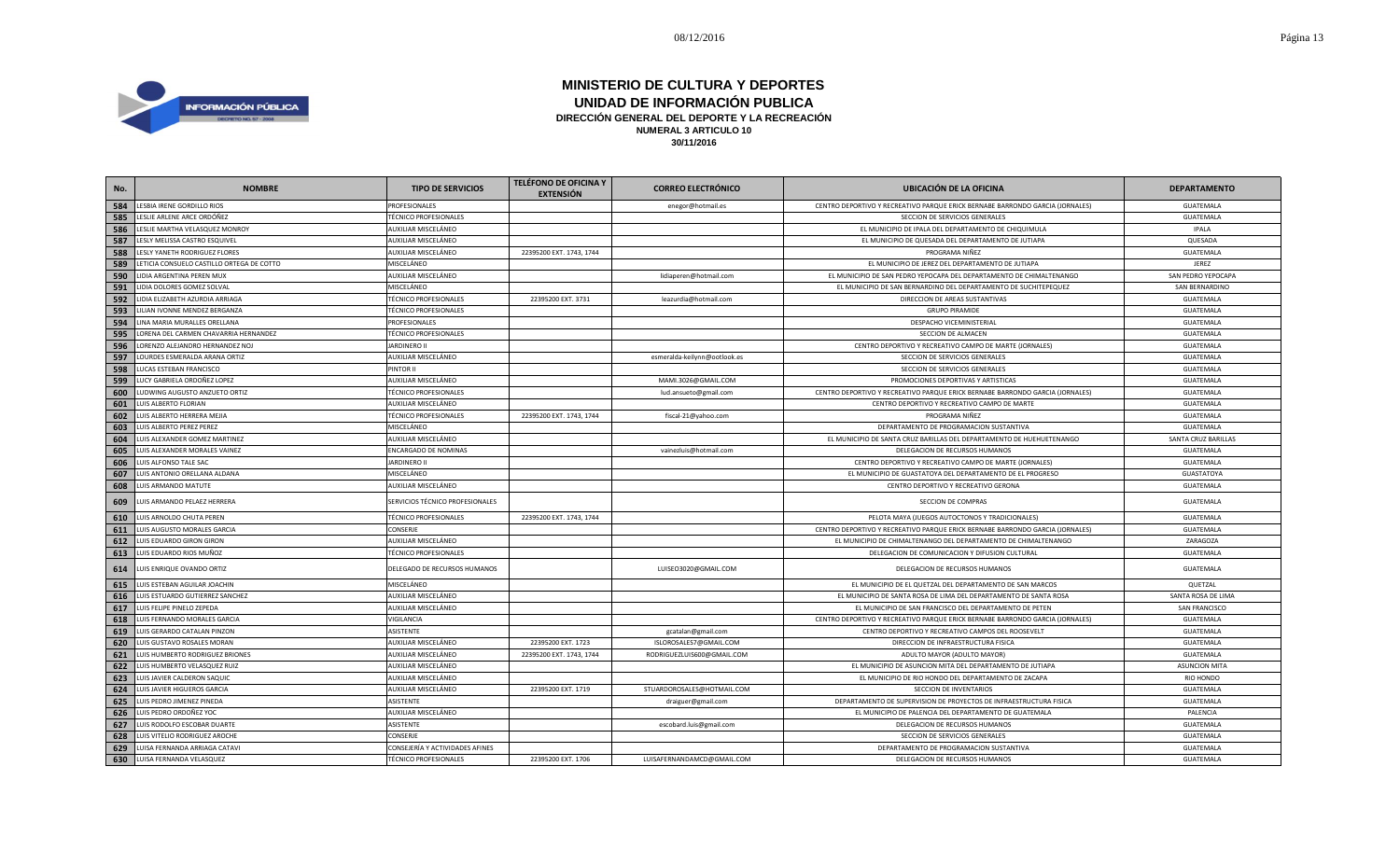

| No. | <b>NOMBRE</b>                             | <b>TIPO DE SERVICIOS</b>        | <b>TELÉFONO DE OFICINA Y</b><br><b>EXTENSIÓN</b> | <b>CORREO ELECTRÓNICO</b>    | <b>UBICACIÓN DE LA OFICINA</b>                                                | <b>DEPARTAMENTO</b>  |
|-----|-------------------------------------------|---------------------------------|--------------------------------------------------|------------------------------|-------------------------------------------------------------------------------|----------------------|
| 584 | LESBIA IRENE GORDILLO RIOS                | PROFESIONALES                   |                                                  | enegor@hotmail.es            | CENTRO DEPORTIVO Y RECREATIVO PARQUE ERICK BERNABE BARRONDO GARCIA (JORNALES) | GUATEMALA            |
| 585 | LESLIE ARLENE ARCE ORDÓÑEZ                | <b>TÉCNICO PROFESIONALES</b>    |                                                  |                              | SECCION DE SERVICIOS GENERALES                                                | GUATEMALA            |
| 586 | LESLIE MARTHA VELASQUEZ MONROY            | AUXILIAR MISCELÁNEO             |                                                  |                              | EL MUNICIPIO DE IPALA DEL DEPARTAMENTO DE CHIQUIMULA                          | <b>IPALA</b>         |
| 587 | LESLY MELISSA CASTRO ESQUIVEL             | AUXILIAR MISCELÁNEO             |                                                  |                              | EL MUNICIPIO DE QUESADA DEL DEPARTAMENTO DE JUTIAPA                           | QUESADA              |
| 588 | LESLY YANETH RODRIGUEZ FLORES             | AUXILIAR MISCELÁNEO             | 22395200 EXT. 1743, 1744                         |                              | PROGRAMA NIÑEZ                                                                | GUATEMALA            |
| 589 | LETICIA CONSUELO CASTILLO ORTEGA DE COTTO | MISCELÁNEO                      |                                                  |                              | EL MUNICIPIO DE JEREZ DEL DEPARTAMENTO DE JUTIAPA                             | JEREZ                |
| 590 | LIDIA ARGENTINA PEREN MUX                 | AUXILIAR MISCELÁNEO             |                                                  | lidiaperen@hotmail.com       | EL MUNICIPIO DE SAN PEDRO YEPOCAPA DEL DEPARTAMENTO DE CHIMALTENANGO          | SAN PEDRO YEPOCAPA   |
| 591 | LIDIA DOLORES GOMEZ SOLVAL                | MISCELÁNEO                      |                                                  |                              | EL MUNICIPIO DE SAN BERNARDINO DEL DEPARTAMENTO DE SUCHITEPEQUEZ              | SAN BERNARDINO       |
| 592 | LIDIA ELIZABETH AZURDIA ARRIAGA           | <b>TÉCNICO PROFESIONALES</b>    | 22395200 EXT. 3731                               | leazurdia@hotmail.com        | DIRECCION DE AREAS SUSTANTIVAS                                                | GUATEMALA            |
| 593 | LILIAN IVONNE MENDEZ BERGANZA             | TÉCNICO PROFESIONALES           |                                                  |                              | <b>GRUPO PIRAMIDE</b>                                                         | GUATEMALA            |
| 594 | LINA MARIA MURALLES ORELLANA              | PROFESIONALES                   |                                                  |                              | DESPACHO VICEMINISTERIAL                                                      | GUATEMALA            |
| 595 | LORENA DEL CARMEN CHAVARRIA HERNANDEZ     | <b>TÉCNICO PROFESIONALES</b>    |                                                  |                              | SECCION DE ALMACEN                                                            | GUATEMALA            |
| 596 | LORENZO ALEJANDRO HERNANDEZ NOJ           | <b>JARDINERO II</b>             |                                                  |                              | CENTRO DEPORTIVO Y RECREATIVO CAMPO DE MARTE (JORNALES)                       | GUATEMALA            |
| 597 | LOURDES ESMERALDA ARANA ORTIZ             | AUXILIAR MISCELÁNEO             |                                                  | esmeralda-keilynn@ootlook.es | SECCION DE SERVICIOS GENERALES                                                | GUATEMALA            |
| 598 | LUCAS ESTEBAN FRANCISCO                   | PINTOR II                       |                                                  |                              | SECCION DE SERVICIOS GENERALES                                                | GUATEMALA            |
| 599 | LUCY GABRIELA ORDOÑEZ LOPEZ               | AUXILIAR MISCELÁNEO             |                                                  | MAMI.3026@GMAIL.COM          | PROMOCIONES DEPORTIVAS Y ARTISTICAS                                           | GUATEMALA            |
| 600 | LUDWING AUGUSTO ANZUETO ORTIZ             | <b>TÉCNICO PROFESIONALES</b>    |                                                  | lud.ansueto@gmail.com        | CENTRO DEPORTIVO Y RECREATIVO PARQUE ERICK BERNABE BARRONDO GARCIA (JORNALES) | GUATEMALA            |
| 601 | LUIS ALBERTO FLORIAN                      | AUXILIAR MISCELÁNEO             |                                                  |                              | CENTRO DEPORTIVO Y RECREATIVO CAMPO DE MARTE                                  | GUATEMALA            |
| 602 | LUIS ALBERTO HERRERA MEJIA                | <b>TÉCNICO PROFESIONALES</b>    | 22395200 EXT. 1743, 1744                         | fiscal-21@yahoo.com          | PROGRAMA NIÑEZ                                                                | GUATEMALA            |
| 603 | LUIS ALBERTO PEREZ PEREZ                  | MISCELÁNEO                      |                                                  |                              | DEPARTAMENTO DE PROGRAMACION SUSTANTIVA                                       | GUATEMALA            |
| 604 | LUIS ALEXANDER GOMEZ MARTINEZ             | AUXILIAR MISCELÁNEO             |                                                  |                              | EL MUNICIPIO DE SANTA CRUZ BARILLAS DEL DEPARTAMENTO DE HUEHUETENANGO         | SANTA CRUZ BARILLAS  |
| 605 | LUIS ALEXANDER MORALES VAINEZ             | ENCARGADO DE NOMINAS            |                                                  | vainezluis@hotmail.com       | DELEGACION DE RECURSOS HUMANOS                                                | GUATEMALA            |
| 606 | LUIS ALFONSO TALE SAC                     | <b>JARDINERO II</b>             |                                                  |                              | CENTRO DEPORTIVO Y RECREATIVO CAMPO DE MARTE (JORNALES)                       | GUATEMALA            |
| 607 | LUIS ANTONIO ORELLANA ALDANA              | MISCELÁNEO                      |                                                  |                              | EL MUNICIPIO DE GUASTATOYA DEL DEPARTAMENTO DE EL PROGRESO                    | GUASTATOYA           |
| 608 | LUIS ARMANDO MATUTE                       | AUXILIAR MISCELÁNEO             |                                                  |                              | CENTRO DEPORTIVO Y RECREATIVO GERONA                                          | GUATEMALA            |
| 609 | UIS ARMANDO PELAEZ HERRERA                | SERVICIOS TÉCNICO PROFESIONALES |                                                  |                              | SECCION DE COMPRAS                                                            | GUATEMALA            |
| 610 | LUIS ARNOLDO CHUTA PEREN                  | <b>TÉCNICO PROFESIONALES</b>    | 22395200 EXT. 1743, 1744                         |                              | PELOTA MAYA (JUEGOS AUTOCTONOS Y TRADICIONALES)                               | GUATEMALA            |
| 611 | LUIS AUGUSTO MORALES GARCIA               | CONSERJE                        |                                                  |                              | CENTRO DEPORTIVO Y RECREATIVO PARQUE ERICK BERNABE BARRONDO GARCIA (JORNALES) | GUATEMALA            |
| 612 | LUIS EDUARDO GIRON GIRON                  | AUXILIAR MISCELÁNEO             |                                                  |                              | EL MUNICIPIO DE CHIMALTENANGO DEL DEPARTAMENTO DE CHIMALTENANGO               | ZARAGOZA             |
| 613 | LUIS EDUARDO RIOS MUÑOZ                   | <b>TÉCNICO PROFESIONALES</b>    |                                                  |                              | DELEGACION DE COMUNICACION Y DIFUSION CULTURAL                                | GUATEMALA            |
| 614 | LUIS ENRIQUE OVANDO ORTIZ                 | DELEGADO DE RECURSOS HUMANOS    |                                                  | LUISEO3020@GMAIL.COM         | DELEGACION DE RECURSOS HUMANOS                                                | GUATEMALA            |
| 615 | LUIS ESTEBAN AGUILAR JOACHIN              | MISCELÁNEO                      |                                                  |                              | EL MUNICIPIO DE EL QUETZAL DEL DEPARTAMENTO DE SAN MARCOS                     | QUETZAL              |
| 616 | LUIS ESTUARDO GUTIERREZ SANCHEZ           | AUXILIAR MISCELÁNEO             |                                                  |                              | EL MUNICIPIO DE SANTA ROSA DE LIMA DEL DEPARTAMENTO DE SANTA ROSA             | SANTA ROSA DE LIMA   |
| 617 | LUIS FELIPE PINELO ZEPEDA                 | AUXILIAR MISCELÁNEO             |                                                  |                              | EL MUNICIPIO DE SAN FRANCISCO DEL DEPARTAMENTO DE PETEN                       | SAN FRANCISCO        |
| 618 | LUIS FERNANDO MORALES GARCIA              | VIGILANCIA                      |                                                  |                              | CENTRO DEPORTIVO Y RECREATIVO PARQUE ERICK BERNABE BARRONDO GARCIA (JORNALES) | GUATEMALA            |
| 619 | LUIS GERARDO CATALAN PINZON               | ASISTENTE                       |                                                  | gcatalan@gmail.com           | CENTRO DEPORTIVO Y RECREATIVO CAMPOS DEL ROOSEVELT                            | GUATEMALA            |
| 620 | LUIS GUSTAVO ROSALES MORAN                | AUXILIAR MISCELÁNEO             | 22395200 EXT. 1723                               | ISLOROSALES7@GMAIL.COM       | DIRECCION DE INFRAESTRUCTURA FISICA                                           | GUATEMALA            |
| 621 | LUIS HUMBERTO RODRIGUEZ BRIONES           | AUXILIAR MISCELÁNEO             | 22395200 EXT. 1743, 1744                         | RODRIGUEZLUIS600@GMAIL.COM   | ADULTO MAYOR (ADULTO MAYOR)                                                   | GUATEMALA            |
| 622 | LUIS HUMBERTO VELASQUEZ RUIZ              | AUXILIAR MISCELÁNEO             |                                                  |                              | EL MUNICIPIO DE ASUNCION MITA DEL DEPARTAMENTO DE JUTIAPA                     | <b>ASUNCION MITA</b> |
| 623 | LUIS JAVIER CALDERON SAQUIC               | AUXILIAR MISCELÁNEO             |                                                  |                              | EL MUNICIPIO DE RIO HONDO DEL DEPARTAMENTO DE ZACAPA                          | <b>RIO HONDO</b>     |
| 624 | LUIS JAVIER HIGUEROS GARCIA               | AUXILIAR MISCELÁNEO             | 22395200 EXT. 1719                               | STUARDOROSALES@HOTMAIL.COM   | SECCION DE INVENTARIOS                                                        | GUATEMALA            |
| 625 | LUIS PEDRO JIMENEZ PINEDA                 | ASISTENTE                       |                                                  | draiguer@gmail.com           | DEPARTAMENTO DE SUPERVISION DE PROYECTOS DE INFRAESTRUCTURA FISICA            | GUATEMALA            |
| 626 | LUIS PEDRO ORDOÑEZ YOC                    | AUXILIAR MISCELÁNEO             |                                                  |                              | EL MUNICIPIO DE PALENCIA DEL DEPARTAMENTO DE GUATEMALA                        | PALENCIA             |
| 627 | LUIS RODOLFO ESCOBAR DUARTE               | <b>ASISTENTE</b>                |                                                  | escobard.luis@gmail.com      | DELEGACION DE RECURSOS HUMANOS                                                | GUATEMALA            |
| 628 | UIS VITELIO RODRIGUEZ AROCHE              | CONSERJE                        |                                                  |                              | SECCION DE SERVICIOS GENERALES                                                | GUATEMALA            |
| 629 | LUISA FERNANDA ARRIAGA CATAVI             | CONSEJERÍA Y ACTIVIDADES AFINES |                                                  |                              | DEPARTAMENTO DE PROGRAMACION SUSTANTIVA                                       | GUATEMALA            |
| 630 | LUISA FERNANDA VELASQUEZ                  | <b>TÉCNICO PROFESIONALES</b>    | 22395200 EXT. 1706                               | LUISAFERNANDAMCD@GMAIL.COM   | DELEGACION DE RECURSOS HUMANOS                                                | <b>GUATEMALA</b>     |
|     |                                           |                                 |                                                  |                              |                                                                               |                      |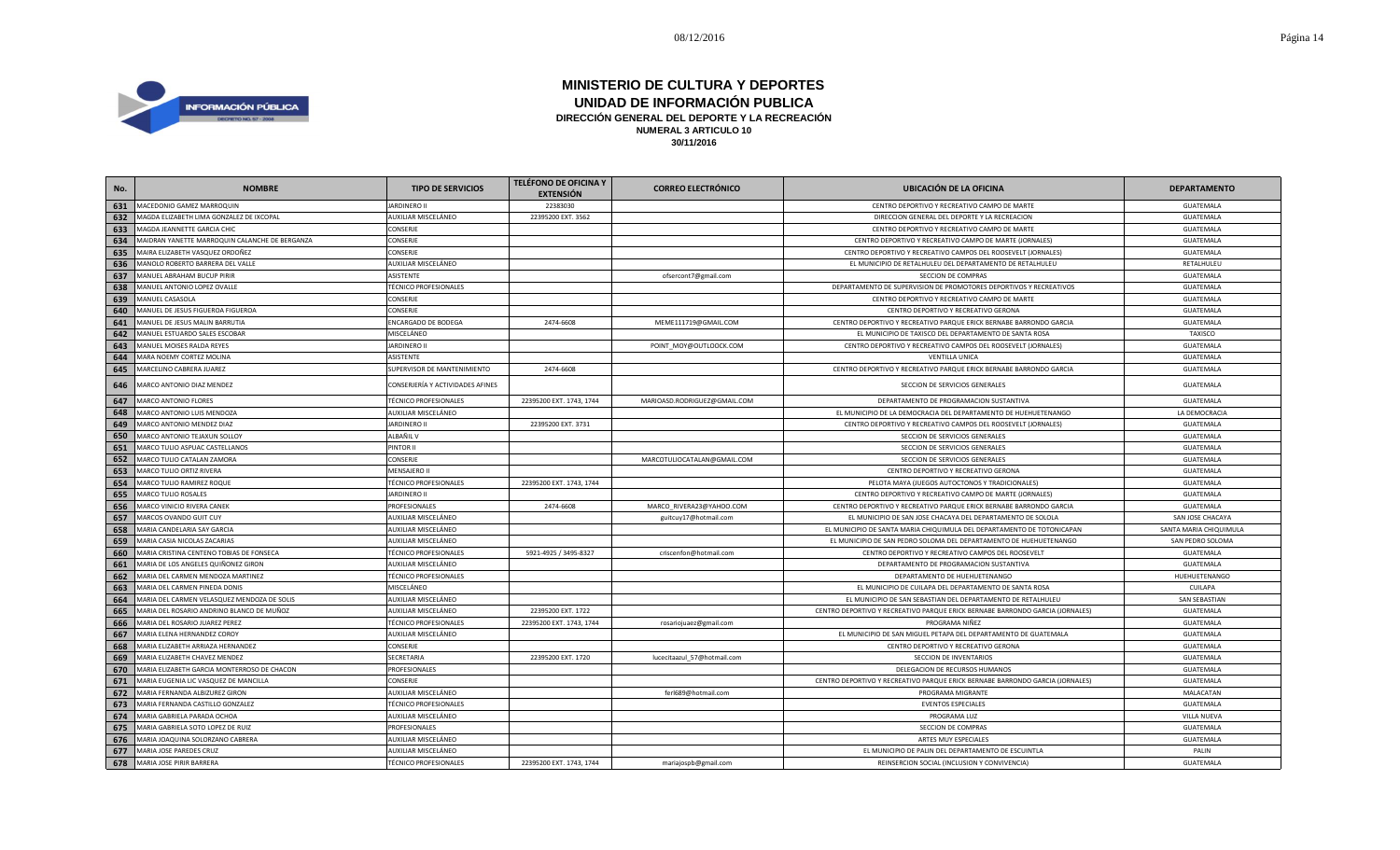

| No. | <b>NOMBRE</b>                                  | <b>TIPO DE SERVICIOS</b>         | <b>TELÉFONO DE OFICINA Y</b><br><b>EXTENSIÓN</b> | <b>CORREO ELECTRÓNICO</b>    | <b>UBICACIÓN DE LA OFICINA</b>                                                | <b>DEPARTAMENTO</b>    |
|-----|------------------------------------------------|----------------------------------|--------------------------------------------------|------------------------------|-------------------------------------------------------------------------------|------------------------|
| 631 | MACEDONIO GAMEZ MARROQUIN                      | <b>JARDINERO II</b>              | 22383030                                         |                              | CENTRO DEPORTIVO Y RECREATIVO CAMPO DE MARTE                                  | GUATEMALA              |
| 632 | MAGDA ELIZABETH LIMA GONZALEZ DE IXCOPAL       | AUXILIAR MISCELÁNEO              | 22395200 EXT. 3562                               |                              | DIRECCION GENERAL DEL DEPORTE Y LA RECREACION                                 | GUATEMALA              |
| 633 | MAGDA JEANNETTE GARCIA CHIC                    | <b>CONSERJE</b>                  |                                                  |                              | CENTRO DEPORTIVO Y RECREATIVO CAMPO DE MARTE                                  | GUATEMALA              |
| 634 | MAIDRAN YANETTE MARROQUIN CALANCHE DE BERGANZA | <b>CONSERJE</b>                  |                                                  |                              | CENTRO DEPORTIVO Y RECREATIVO CAMPO DE MARTE (JORNALES)                       | GUATEMALA              |
| 635 | MAIRA ELIZABETH VASQUEZ ORDOÑEZ                | CONSERJE                         |                                                  |                              | CENTRO DEPORTIVO Y RECREATIVO CAMPOS DEL ROOSEVELT (JORNALES)                 | GUATEMALA              |
| 636 | MANOLO ROBERTO BARRERA DEL VALLE               | AUXILIAR MISCELÁNEO              |                                                  |                              | EL MUNICIPIO DE RETALHULEU DEL DEPARTAMENTO DE RETALHULEU                     | RETALHULEU             |
| 637 | MANUEL ABRAHAM BUCUP PIRIR                     | ASISTENTE                        |                                                  | ofsercont7@gmail.com         | SECCION DE COMPRAS                                                            | GUATEMALA              |
| 638 | MANUEL ANTONIO LOPEZ OVALLE                    | <b>TÉCNICO PROFESIONALES</b>     |                                                  |                              | DEPARTAMENTO DE SUPERVISION DE PROMOTORES DEPORTIVOS Y RECREATIVOS            | GUATEMALA              |
| 639 | MANUEL CASASOLA                                | CONSERJE                         |                                                  |                              | CENTRO DEPORTIVO Y RECREATIVO CAMPO DE MARTE                                  | GUATEMALA              |
| 640 | MANUEL DE JESUS FIGUEROA FIGUEROA              | CONSERJE                         |                                                  |                              | CENTRO DEPORTIVO Y RECREATIVO GERONA                                          | GUATEMALA              |
| 641 | MANUEL DE JESUS MALIN BARRUTIA                 | <b>ENCARGADO DE BODEGA</b>       | 2474-6608                                        | MEME111719@GMAIL.COM         | CENTRO DEPORTIVO Y RECREATIVO PARQUE ERICK BERNABE BARRONDO GARCIA            | GUATEMALA              |
| 642 | MANUEL ESTUARDO SALES ESCOBAR                  | MISCELÁNEO                       |                                                  |                              | EL MUNICIPIO DE TAXISCO DEL DEPARTAMENTO DE SANTA ROSA                        | TAXISCO                |
| 643 | MANUEL MOISES RALDA REYES                      | <b>JARDINERO II</b>              |                                                  | POINT_MOY@OUTLOOCK.COM       | CENTRO DEPORTIVO Y RECREATIVO CAMPOS DEL ROOSEVELT (JORNALES)                 | GUATEMALA              |
| 644 | MARA NOEMY CORTEZ MOLINA                       | ASISTENTE                        |                                                  |                              | <b>VENTILLA UNICA</b>                                                         | GUATEMALA              |
| 645 | MARCELINO CABRERA JUAREZ                       | SUPERVISOR DE MANTENIMIENTO      | 2474-6608                                        |                              | CENTRO DEPORTIVO Y RECREATIVO PARQUE ERICK BERNABE BARRONDO GARCIA            | GUATEMALA              |
| 646 | MARCO ANTONIO DIAZ MENDEZ                      | CONSERJERÍA Y ACTIVIDADES AFINES |                                                  |                              | SECCION DE SERVICIOS GENERALES                                                | GUATEMALA              |
| 647 | MARCO ANTONIO FLORES                           | <b>TÉCNICO PROFESIONALES</b>     | 22395200 EXT. 1743, 1744                         | MARIOASD.RODRIGUEZ@GMAIL.COM | DEPARTAMENTO DE PROGRAMACION SUSTANTIVA                                       | GUATEMALA              |
| 648 | MARCO ANTONIO LUIS MENDOZA                     | AUXILIAR MISCELÁNEO              |                                                  |                              | EL MUNICIPIO DE LA DEMOCRACIA DEL DEPARTAMENTO DE HUEHUETENANGO               | LA DEMOCRACIA          |
| 649 | MARCO ANTONIO MENDEZ DIAZ                      | <b>JARDINERO II</b>              | 22395200 EXT. 3731                               |                              | CENTRO DEPORTIVO Y RECREATIVO CAMPOS DEL ROOSEVELT (JORNALES)                 | GUATEMALA              |
| 650 | MARCO ANTONIO TEJAXUN SOLLOY                   | ALBAÑIL V                        |                                                  |                              | SECCION DE SERVICIOS GENERALES                                                | GUATEMALA              |
| 651 | MARCO TULIO ASPUAC CASTELLANOS                 | PINTOR II                        |                                                  |                              | SECCION DE SERVICIOS GENERALES                                                | GUATEMALA              |
| 652 | MARCO TULIO CATALAN ZAMORA                     | <b>CONSERJE</b>                  |                                                  | MARCOTULIOCATALAN@GMAIL.COM  | SECCION DE SERVICIOS GENERALES                                                | GUATEMALA              |
| 653 | MARCO TULIO ORTIZ RIVERA                       | <b>MENSAJERO II</b>              |                                                  |                              | CENTRO DEPORTIVO Y RECREATIVO GERONA                                          | GUATEMALA              |
| 654 | MARCO TULIO RAMIREZ ROQUE                      | <b>TÉCNICO PROFESIONALES</b>     | 22395200 EXT. 1743, 1744                         |                              | PELOTA MAYA (JUEGOS AUTOCTONOS Y TRADICIONALES)                               | GUATEMALA              |
| 655 | MARCO TULIO ROSALES                            | <b>JARDINERO II</b>              |                                                  |                              | CENTRO DEPORTIVO Y RECREATIVO CAMPO DE MARTE (JORNALES)                       | GUATEMALA              |
| 656 | MARCO VINICIO RIVERA CANEK                     | PROFESIONALES                    | 2474-6608                                        | MARCO_RIVERA23@YAHOO.COM     | CENTRO DEPORTIVO Y RECREATIVO PARQUE ERICK BERNABE BARRONDO GARCIA            | GUATEMALA              |
| 657 | MARCOS OVANDO GUIT CUY                         | AUXILIAR MISCELÁNEO              |                                                  | guitcuy17@hotmail.com        | EL MUNICIPIO DE SAN JOSE CHACAYA DEL DEPARTAMENTO DE SOLOLA                   | SAN JOSE CHACAYA       |
| 658 | MARIA CANDELARIA SAY GARCIA                    | AUXILIAR MISCELÁNEO              |                                                  |                              | EL MUNICIPIO DE SANTA MARIA CHIQUIMULA DEL DEPARTAMENTO DE TOTONICAPAN        | SANTA MARIA CHIQUIMULA |
| 659 | MARIA CASIA NICOLAS ZACARIAS                   | AUXILIAR MISCELÁNEO              |                                                  |                              | EL MUNICIPIO DE SAN PEDRO SOLOMA DEL DEPARTAMENTO DE HUEHUETENANGO            | SAN PEDRO SOLOMA       |
| 660 | MARIA CRISTINA CENTENO TOBIAS DE FONSECA       | <b>TÉCNICO PROFESIONALES</b>     | 5921-4925 / 3495-8327                            | criscenfon@hotmail.com       | CENTRO DEPORTIVO Y RECREATIVO CAMPOS DEL ROOSEVELT                            | GUATEMALA              |
| 661 | MARIA DE LOS ANGELES QUIÑONEZ GIRON            | AUXILIAR MISCELÁNEO              |                                                  |                              | DEPARTAMENTO DE PROGRAMACION SUSTANTIVA                                       | GUATEMALA              |
| 662 | MARIA DEL CARMEN MENDOZA MARTINEZ              | <b>TÉCNICO PROFESIONALES</b>     |                                                  |                              | DEPARTAMENTO DE HUEHUETENANGO                                                 | HUEHUETENANGO          |
| 663 | MARIA DEL CARMEN PINEDA DONIS                  | MISCELÁNEO                       |                                                  |                              | EL MUNICIPIO DE CUILAPA DEL DEPARTAMENTO DE SANTA ROSA                        | CUILAPA                |
| 664 | MARIA DEL CARMEN VELASQUEZ MENDOZA DE SOLIS    | AUXILIAR MISCELÁNEO              |                                                  |                              | EL MUNICIPIO DE SAN SEBASTIAN DEL DEPARTAMENTO DE RETALHULEU                  | SAN SEBASTIAN          |
| 665 | MARIA DEL ROSARIO ANDRINO BLANCO DE MUÑOZ      | AUXILIAR MISCELÁNEO              | 22395200 EXT. 1722                               |                              | CENTRO DEPORTIVO Y RECREATIVO PARQUE ERICK BERNABE BARRONDO GARCIA (JORNALES) | GUATEMALA              |
| 666 | MARIA DEL ROSARIO JUAREZ PEREZ                 | <b>TÉCNICO PROFESIONALES</b>     | 22395200 EXT. 1743, 1744                         | rosariojuaez@gmail.com       | PROGRAMA NIÑEZ                                                                | GUATEMALA              |
| 667 | MARIA ELENA HERNANDEZ COROY                    | AUXILIAR MISCELÁNEO              |                                                  |                              | EL MUNICIPIO DE SAN MIGUEL PETAPA DEL DEPARTAMENTO DE GUATEMALA               | GUATEMALA              |
| 668 | MARIA ELIZABETH ARRIAZA HERNANDEZ              | <b>CONSERJE</b>                  |                                                  |                              | CENTRO DEPORTIVO Y RECREATIVO GERONA                                          | GUATEMALA              |
| 669 | MARIA ELIZABETH CHAVEZ MENDEZ                  | SECRETARIA                       | 22395200 EXT. 1720                               | lucecitaazul_57@hotmail.com  | SECCION DE INVENTARIOS                                                        | GUATEMALA              |
| 670 | MARIA ELIZABETH GARCIA MONTERROSO DE CHACON    | PROFESIONALES                    |                                                  |                              | DELEGACION DE RECURSOS HUMANOS                                                | GUATEMALA              |
| 671 | MARIA EUGENIA LIC VASQUEZ DE MANCILLA          | CONSERJE                         |                                                  |                              | CENTRO DEPORTIVO Y RECREATIVO PARQUE ERICK BERNABE BARRONDO GARCIA (JORNALES) | GUATEMALA              |
| 672 | MARIA FERNANDA ALBIZUREZ GIRON                 | AUXILIAR MISCELÁNEO              |                                                  | ferl689@hotmail.com          | PROGRAMA MIGRANTE                                                             | MALACATAN              |
| 673 | MARIA FERNANDA CASTILLO GONZALEZ               | <b>TÉCNICO PROFESIONALES</b>     |                                                  |                              | <b>EVENTOS ESPECIALES</b>                                                     | GUATEMALA              |
| 674 | MARIA GABRIELA PARADA OCHOA                    | AUXILIAR MISCELÁNEO              |                                                  |                              | PROGRAMA LUZ                                                                  | <b>VILLA NUEVA</b>     |
| 675 | MARIA GABRIELA SOTO LOPEZ DE RUIZ              | PROFESIONALES                    |                                                  |                              | SECCION DE COMPRAS                                                            | GUATEMALA              |
| 676 | MARIA JOAQUINA SOLORZANO CABRERA               | AUXILIAR MISCELÁNEO              |                                                  |                              | ARTES MUY ESPECIALES                                                          | <b>GUATEMALA</b>       |
| 677 | MARIA JOSE PAREDES CRUZ                        | AUXILIAR MISCELÁNEO              |                                                  |                              | EL MUNICIPIO DE PALIN DEL DEPARTAMENTO DE ESCUINTLA                           | PALIN                  |
| 678 | MARIA JOSE PIRIR BARRERA                       | <b>TÉCNICO PROFESIONALES</b>     | 22395200 EXT. 1743, 1744                         | mariajospb@gmail.com         | REINSERCION SOCIAL (INCLUSION Y CONVIVENCIA)                                  | GUATEMALA              |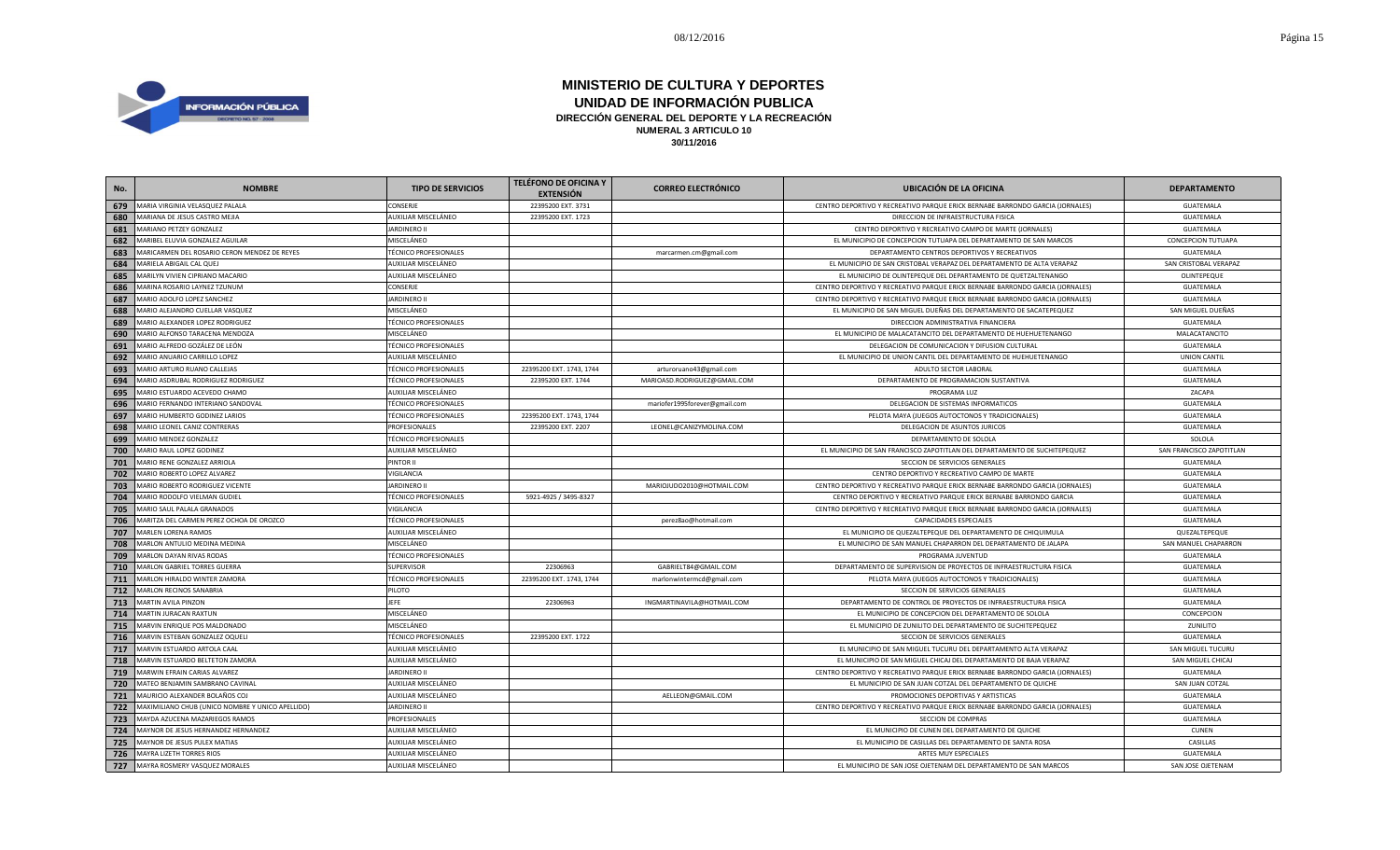

| No. | <b>NOMBRE</b>                                    | <b>TIPO DE SERVICIOS</b>     | <b>TELÉFONO DE OFICINA Y</b><br><b>EXTENSIÓN</b> | <b>CORREO ELECTRÓNICO</b>     | <b>UBICACIÓN DE LA OFICINA</b>                                                | <b>DEPARTAMENTO</b>      |
|-----|--------------------------------------------------|------------------------------|--------------------------------------------------|-------------------------------|-------------------------------------------------------------------------------|--------------------------|
| 679 | MARIA VIRGINIA VELASQUEZ PALALA                  | CONSERJE                     | 22395200 EXT. 3731                               |                               | CENTRO DEPORTIVO Y RECREATIVO PARQUE ERICK BERNABE BARRONDO GARCIA (JORNALES) | GUATEMALA                |
| 680 | MARIANA DE JESUS CASTRO MEJIA                    | AUXILIAR MISCELÁNEO          | 22395200 EXT. 1723                               |                               | DIRECCION DE INFRAESTRUCTURA FISICA                                           | GUATEMALA                |
| 681 | MARIANO PETZEY GONZALEZ                          | <b>JARDINERO II</b>          |                                                  |                               | CENTRO DEPORTIVO Y RECREATIVO CAMPO DE MARTE (JORNALES)                       | GUATEMALA                |
| 682 | MARIBEL ELUVIA GONZALEZ AGUILAR                  | MISCELÁNEO                   |                                                  |                               | EL MUNICIPIO DE CONCEPCION TUTUAPA DEL DEPARTAMENTO DE SAN MARCOS             | CONCEPCION TUTUAPA       |
| 683 | MARICARMEN DEL ROSARIO CERON MENDEZ DE REYES     | <b>TÉCNICO PROFESIONALES</b> |                                                  | marcarmen.cm@gmail.com        | DEPARTAMENTO CENTROS DEPORTIVOS Y RECREATIVOS                                 | GUATEMALA                |
| 684 | MARIELA ABIGAIL CAL QUEJ                         | AUXILIAR MISCELÁNEO          |                                                  |                               | EL MUNICIPIO DE SAN CRISTOBAL VERAPAZ DEL DEPARTAMENTO DE ALTA VERAPAZ        | SAN CRISTOBAL VERAPAZ    |
| 685 | MARILYN VIVIEN CIPRIANO MACARIO                  | AUXILIAR MISCELÁNEO          |                                                  |                               | EL MUNICIPIO DE OLINTEPEQUE DEL DEPARTAMENTO DE QUETZALTENANGO                | OLINTEPEQUE              |
| 686 | MARINA ROSARIO LAYNEZ TZUNUM                     | CONSERJE                     |                                                  |                               | CENTRO DEPORTIVO Y RECREATIVO PARQUE ERICK BERNABE BARRONDO GARCIA (JORNALES) | GUATEMALA                |
| 687 | MARIO ADOLFO LOPEZ SANCHEZ                       | <b>JARDINERO II</b>          |                                                  |                               | CENTRO DEPORTIVO Y RECREATIVO PARQUE ERICK BERNABE BARRONDO GARCIA (JORNALES) | GUATEMALA                |
| 688 | MARIO ALEJANDRO CUELLAR VASQUEZ                  | MISCELÁNEO                   |                                                  |                               | EL MUNICIPIO DE SAN MIGUEL DUEÑAS DEL DEPARTAMENTO DE SACATEPEQUEZ            | SAN MIGUEL DUEÑAS        |
| 689 | MARIO ALEXANDER LOPEZ RODRIGUEZ                  | <b>TÉCNICO PROFESIONALES</b> |                                                  |                               | DIRECCION ADMINISTRATIVA FINANCIERA                                           | GUATEMALA                |
| 690 | MARIO ALFONSO TARACENA MENDOZA                   | MISCELÁNEO                   |                                                  |                               | EL MUNICIPIO DE MALACATANCITO DEL DEPARTAMENTO DE HUEHUETENANGO               | MALACATANCITO            |
| 691 | MARIO ALFREDO GOZÁLEZ DE LEÓN                    | <b>TÉCNICO PROFESIONALES</b> |                                                  |                               | DELEGACION DE COMUNICACION Y DIFUSION CULTURAL                                | GUATEMALA                |
| 692 | MARIO ANUARIO CARRILLO LOPEZ                     | AUXILIAR MISCELÁNEO          |                                                  |                               | EL MUNICIPIO DE UNION CANTIL DEL DEPARTAMENTO DE HUEHUETENANGO                | <b>UNION CANTIL</b>      |
| 693 | MARIO ARTURO RUANO CALLEJAS                      | <b>TÉCNICO PROFESIONALES</b> | 22395200 EXT. 1743, 1744                         | arturoruano43@gmail.com       | ADULTO SECTOR LABORAL                                                         | GUATEMALA                |
| 694 | MARIO ASDRUBAL RODRIGUEZ RODRIGUEZ               | <b>TÉCNICO PROFESIONALES</b> | 22395200 EXT. 1744                               | MARIOASD.RODRIGUEZ@GMAIL.COM  | DEPARTAMENTO DE PROGRAMACION SUSTANTIVA                                       | GUATEMALA                |
| 695 | MARIO ESTUARDO ACEVEDO CHAMO                     | AUXILIAR MISCELÁNEO          |                                                  |                               | PROGRAMA LUZ                                                                  | ZACAPA                   |
| 696 | MARIO FERNANDO INTERIANO SANDOVAL                | <b>TÉCNICO PROFESIONALES</b> |                                                  | mariofer1995forever@gmail.com | DELEGACION DE SISTEMAS INFORMATICOS                                           | GUATEMALA                |
| 697 | MARIO HUMBERTO GODINEZ LARIOS                    | <b>TÉCNICO PROFESIONALES</b> | 22395200 EXT. 1743, 1744                         |                               | PELOTA MAYA (JUEGOS AUTOCTONOS Y TRADICIONALES)                               | GUATEMALA                |
| 698 | MARIO LEONEL CANIZ CONTRERAS                     | PROFESIONALES                | 22395200 EXT. 2207                               | LEONEL@CANIZYMOLINA.COM       | DELEGACION DE ASUNTOS JURICOS                                                 | GUATEMALA                |
| 699 | MARIO MENDEZ GONZALEZ                            | <b>TÉCNICO PROFESIONALES</b> |                                                  |                               | DEPARTAMENTO DE SOLOLA                                                        | SOLOLA                   |
| 700 | MARIO RAUL LOPEZ GODINEZ                         | AUXILIAR MISCELÁNEO          |                                                  |                               | EL MUNICIPIO DE SAN FRANCISCO ZAPOTITLAN DEL DEPARTAMENTO DE SUCHITEPEQUEZ    | SAN FRANCISCO ZAPOTITLAN |
| 701 | MARIO RENE GONZALEZ ARRIOLA                      | PINTOR II                    |                                                  |                               | SECCION DE SERVICIOS GENERALES                                                | GUATEMALA                |
| 702 | MARIO ROBERTO LOPEZ ALVAREZ                      | VIGILANCIA                   |                                                  |                               | CENTRO DEPORTIVO Y RECREATIVO CAMPO DE MARTE                                  | GUATEMALA                |
| 703 | MARIO ROBERTO RODRIGUEZ VICENTE                  | <b>JARDINERO II</b>          |                                                  | MARIOJUDO2010@HOTMAIL.COM     | CENTRO DEPORTIVO Y RECREATIVO PARQUE ERICK BERNABE BARRONDO GARCIA (JORNALES) | GUATEMALA                |
| 704 | MARIO RODOLFO VIELMAN GUDIEL                     | <b>TÉCNICO PROFESIONALES</b> | 5921-4925 / 3495-8327                            |                               | CENTRO DEPORTIVO Y RECREATIVO PARQUE ERICK BERNABE BARRONDO GARCIA            | GUATEMALA                |
| 705 | MARIO SAUL PALALA GRANADOS                       | VIGILANCIA                   |                                                  |                               | CENTRO DEPORTIVO Y RECREATIVO PARQUE ERICK BERNABE BARRONDO GARCIA (JORNALES) | GUATEMALA                |
| 706 | MARITZA DEL CARMEN PEREZ OCHOA DE OROZCO         | <b>TÉCNICO PROFESIONALES</b> |                                                  | perez8ao@hotmail.com          | CAPACIDADES ESPECIALES                                                        | GUATEMALA                |
| 707 | MARLEN LORENA RAMOS                              | AUXILIAR MISCELÁNEO          |                                                  |                               | EL MUNICIPIO DE QUEZALTEPEQUE DEL DEPARTAMENTO DE CHIQUIMULA                  | QUEZALTEPEQUE            |
| 708 | MARLON ANTULIO MEDINA MEDINA                     | MISCELÁNEO                   |                                                  |                               | EL MUNICIPIO DE SAN MANUEL CHAPARRON DEL DEPARTAMENTO DE JALAPA               | SAN MANUEL CHAPARRON     |
| 709 | MARLON DAYAN RIVAS RODAS                         | <b>TÉCNICO PROFESIONALES</b> |                                                  |                               | PROGRAMA JUVENTUD                                                             | GUATEMALA                |
| 710 | MARLON GABRIEL TORRES GUERRA                     | <b>SUPERVISOR</b>            | 22306963                                         | GABRIELT84@GMAIL.COM          | DEPARTAMENTO DE SUPERVISION DE PROYECTOS DE INFRAESTRUCTURA FISICA            | GUATEMALA                |
| 711 | MARLON HIRALDO WINTER ZAMORA                     | <b>TÉCNICO PROFESIONALES</b> | 22395200 EXT. 1743, 1744                         | marlonwintermcd@gmail.com     | PELOTA MAYA (JUEGOS AUTOCTONOS Y TRADICIONALES)                               | GUATEMALA                |
| 712 | MARLON RECINOS SANABRIA                          | PILOTO                       |                                                  |                               | SECCION DE SERVICIOS GENERALES                                                | GUATEMALA                |
| 713 | MARTIN AVILA PINZON                              | <b>JEFE</b>                  | 22306963                                         | INGMARTINAVILA@HOTMAIL.COM    | DEPARTAMENTO DE CONTROL DE PROYECTOS DE INFRAESTRUCTURA FISICA                | GUATEMALA                |
| 714 | MARTIN JURACAN RAXTUN                            | MISCELÁNEO                   |                                                  |                               | EL MUNICIPIO DE CONCEPCION DEL DEPARTAMENTO DE SOLOLA                         | CONCEPCION               |
| 715 | MARVIN ENRIQUE POS MALDONADO                     | MISCELÁNEO                   |                                                  |                               | EL MUNICIPIO DE ZUNILITO DEL DEPARTAMENTO DE SUCHITEPEQUEZ                    | ZUNILITO                 |
| 716 | MARVIN ESTEBAN GONZALEZ OQUELI                   | <b>TÉCNICO PROFESIONALES</b> | 22395200 EXT. 1722                               |                               | SECCION DE SERVICIOS GENERALES                                                | GUATEMALA                |
| 717 | MARVIN ESTUARDO ARTOLA CAAL                      | AUXILIAR MISCELÁNEO          |                                                  |                               | EL MUNICIPIO DE SAN MIGUEL TUCURU DEL DEPARTAMENTO ALTA VERAPAZ               | SAN MIGUEL TUCURU        |
| 718 | MARVIN ESTUARDO BELTETON ZAMORA                  | AUXILIAR MISCELÁNEO          |                                                  |                               | EL MUNICIPIO DE SAN MIGUEL CHICAJ DEL DEPARTAMENTO DE BAJA VERAPAZ            | SAN MIGUEL CHICAJ        |
| 719 | MARWIN EFRAIN CARIAS ALVAREZ                     | <b>JARDINERO II</b>          |                                                  |                               | CENTRO DEPORTIVO Y RECREATIVO PARQUE ERICK BERNABE BARRONDO GARCIA (JORNALES) | GUATEMALA                |
| 720 | MATEO BENJAMIN SAMBRANO CAVINAL                  | AUXILIAR MISCELÁNEO          |                                                  |                               | EL MUNICIPIO DE SAN JUAN COTZAL DEL DEPARTAMENTO DE QUICHE                    | SAN JUAN COTZAL          |
| 721 | MAURICIO ALEXANDER BOLAÑOS COJ                   | AUXILIAR MISCELÁNEO          |                                                  | AELLEON@GMAIL.COM             | PROMOCIONES DEPORTIVAS Y ARTISTICAS                                           | GUATEMALA                |
| 722 | MAXIMILIANO CHUB (UNICO NOMBRE Y UNICO APELLIDO) | JARDINERO II                 |                                                  |                               | CENTRO DEPORTIVO Y RECREATIVO PARQUE ERICK BERNABE BARRONDO GARCIA (JORNALES) | GUATEMALA                |
| 723 | MAYDA AZUCENA MAZARIEGOS RAMOS                   | PROFESIONALES                |                                                  |                               | SECCION DE COMPRAS                                                            | GUATEMALA                |
| 724 | MAYNOR DE JESUS HERNANDEZ HERNANDEZ              | AUXILIAR MISCELÁNEO          |                                                  |                               | EL MUNICIPIO DE CUNEN DEL DEPARTAMENTO DE QUICHE                              | <b>CUNEN</b>             |
| 725 | MAYNOR DE JESUS PULEX MATIAS                     | AUXILIAR MISCELÁNEO          |                                                  |                               | EL MUNICIPIO DE CASILLAS DEL DEPARTAMENTO DE SANTA ROSA                       | CASILLAS                 |
| 726 | MAYRA LIZETH TORRES RIOS                         | AUXILIAR MISCELÁNEO          |                                                  |                               | ARTES MUY ESPECIALES                                                          | GUATEMALA                |
|     | 727 MAYRA ROSMERY VASQUEZ MORALES                | AUXILIAR MISCELÁNEO          |                                                  |                               | EL MUNICIPIO DE SAN JOSE OJETENAM DEL DEPARTAMENTO DE SAN MARCOS              | SAN JOSE OJETENAM        |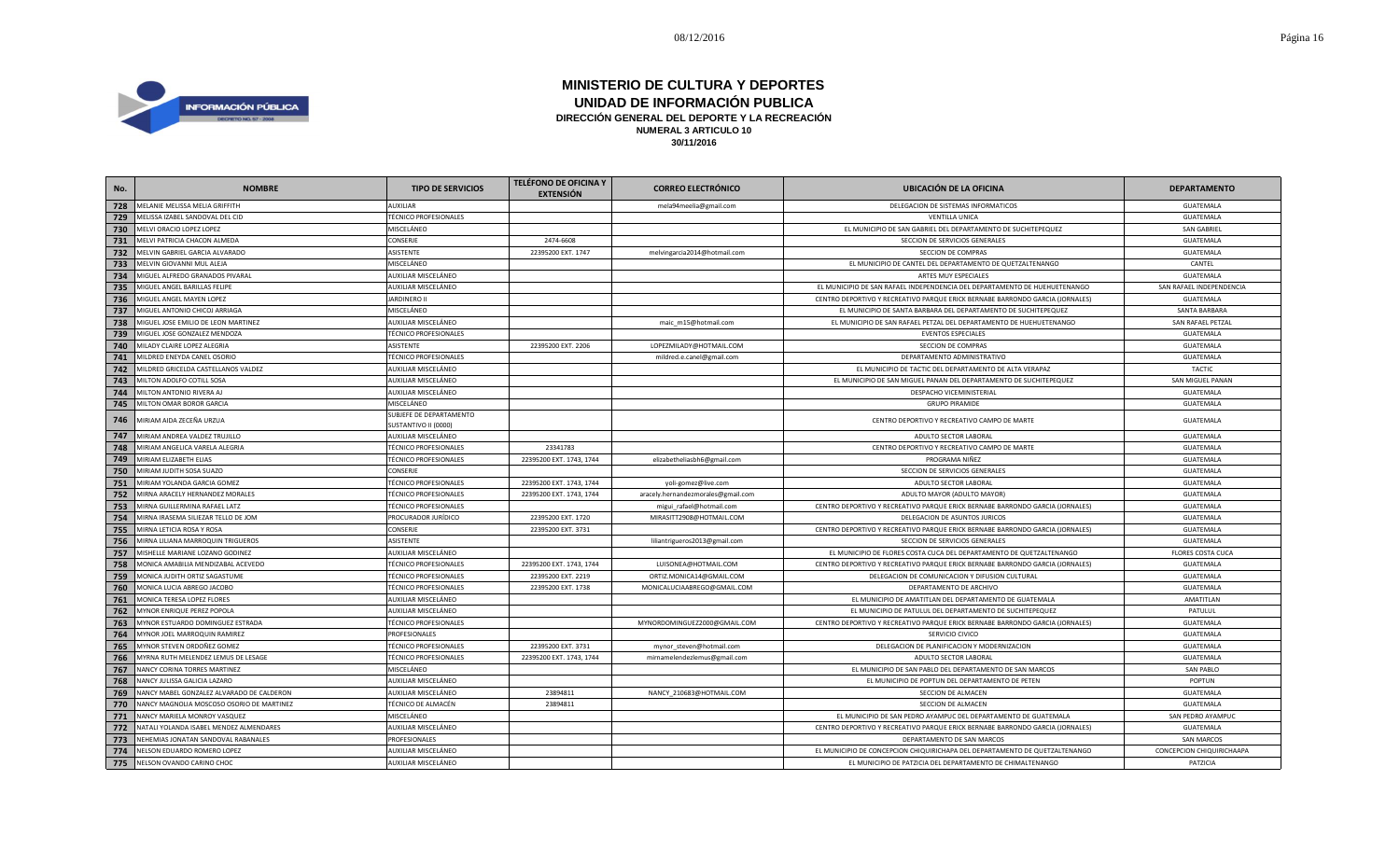

| No. | <b>NOMBRE</b>                             | <b>TIPO DE SERVICIOS</b>                        | <b>TELÉFONO DE OFICINA Y</b><br><b>EXTENSIÓN</b> | <b>CORREO ELECTRÓNICO</b>          | <b>UBICACIÓN DE LA OFICINA</b>                                                | <b>DEPARTAMENTO</b>       |
|-----|-------------------------------------------|-------------------------------------------------|--------------------------------------------------|------------------------------------|-------------------------------------------------------------------------------|---------------------------|
| 728 | MELANIE MELISSA MELIA GRIFFITH            | <b>AUXILIAR</b>                                 |                                                  | mela94meelia@gmail.com             | DELEGACION DE SISTEMAS INFORMATICOS                                           | <b>GUATEMALA</b>          |
| 729 | MELISSA IZABEL SANDOVAL DEL CID           | <b>TÉCNICO PROFESIONALES</b>                    |                                                  |                                    | <b>VENTILLA UNICA</b>                                                         | GUATEMALA                 |
| 730 | MELVI ORACIO LOPEZ LOPEZ                  | MISCELÁNEO                                      |                                                  |                                    | EL MUNICIPIO DE SAN GABRIEL DEL DEPARTAMENTO DE SUCHITEPEQUEZ                 | <b>SAN GABRIEL</b>        |
| 731 | MELVI PATRICIA CHACON ALMEDA              | <b>CONSERJE</b>                                 | 2474-6608                                        |                                    | SECCION DE SERVICIOS GENERALES                                                | GUATEMALA                 |
| 732 | MELVIN GABRIEL GARCIA ALVARADO            | ASISTENTE                                       | 22395200 EXT. 1747                               | melvingarcia2014@hotmail.com       | SECCION DE COMPRAS                                                            | <b>GUATEMALA</b>          |
| 733 | MELVIN GIOVANNI MUL ALEJA                 | MISCELÁNEO                                      |                                                  |                                    | EL MUNICIPIO DE CANTEL DEL DEPARTAMENTO DE QUETZALTENANGO                     | CANTEL                    |
| 734 | MIGUEL ALFREDO GRANADOS PIVARAL           | AUXILIAR MISCELÁNEO                             |                                                  |                                    | ARTES MUY ESPECIALES                                                          | GUATEMALA                 |
| 735 | MIGUEL ANGEL BARILLAS FELIPE              | AUXILIAR MISCELÁNEO                             |                                                  |                                    | EL MUNICIPIO DE SAN RAFAEL INDEPENDENCIA DEL DEPARTAMENTO DE HUEHUETENANGO    | SAN RAFAEL INDEPENDENCIA  |
| 736 | MIGUEL ANGEL MAYEN LOPEZ                  | <b>JARDINERO II</b>                             |                                                  |                                    | CENTRO DEPORTIVO Y RECREATIVO PARQUE ERICK BERNABE BARRONDO GARCIA (JORNALES) | <b>GUATEMALA</b>          |
| 737 | MIGUEL ANTONIO CHICOJ ARRIAGA             | MISCELÁNEO                                      |                                                  |                                    | EL MUNICIPIO DE SANTA BARBARA DEL DEPARTAMENTO DE SUCHITEPEQUEZ               | <b>SANTA BARBARA</b>      |
| 738 | MIGUEL JOSE EMILIO DE LEON MARTINEZ       | AUXILIAR MISCELÁNEO                             |                                                  | maic_m15@hotmail.com               | EL MUNICIPIO DE SAN RAFAEL PETZAL DEL DEPARTAMENTO DE HUEHUETENANGO           | SAN RAFAEL PETZAL         |
| 739 | MIGUEL JOSE GONZALEZ MENDOZA              | <b>TÉCNICO PROFESIONALES</b>                    |                                                  |                                    | <b>EVENTOS ESPECIALES</b>                                                     | GUATEMALA                 |
| 740 | MILADY CLAIRE LOPEZ ALEGRIA               | <b>ASISTENTE</b>                                | 22395200 EXT. 2206                               | LOPEZMILADY@HOTMAIL.COM            | SECCION DE COMPRAS                                                            | GUATEMALA                 |
| 741 | MILDRED ENEYDA CANEL OSORIO               | <b>TÉCNICO PROFESIONALES</b>                    |                                                  | mildred.e.canel@gmail.com          | DEPARTAMENTO ADMINISTRATIVO                                                   | GUATEMALA                 |
| 742 | MILDRED GRICELDA CASTELLANOS VALDEZ       | AUXILIAR MISCELÁNEO                             |                                                  |                                    | EL MUNICIPIO DE TACTIC DEL DEPARTAMENTO DE ALTA VERAPAZ                       | <b>TACTIC</b>             |
| 743 | MILTON ADOLFO COTILL SOSA                 | AUXILIAR MISCELÁNEO                             |                                                  |                                    | EL MUNICIPIO DE SAN MIGUEL PANAN DEL DEPARTAMENTO DE SUCHITEPEQUEZ            | SAN MIGUEL PANAN          |
| 744 | MILTON ANTONIO RIVERA AJ                  | AUXILIAR MISCELÁNEO                             |                                                  |                                    | DESPACHO VICEMINISTERIAL                                                      | GUATEMALA                 |
| 745 | MILTON OMAR BOROR GARCIA                  | MISCELÁNEO                                      |                                                  |                                    | <b>GRUPO PIRAMIDE</b>                                                         | GUATEMALA                 |
| 746 | MIRIAM AIDA ZECEÑA URZUA                  | SUBJEFE DE DEPARTAMENTO<br>SUSTANTIVO II (0000) |                                                  |                                    | CENTRO DEPORTIVO Y RECREATIVO CAMPO DE MARTE                                  | <b>GUATEMALA</b>          |
| 747 | MIRIAM ANDREA VALDEZ TRUJILLO             | AUXILIAR MISCELÁNEO                             |                                                  |                                    | ADULTO SECTOR LABORAL                                                         | GUATEMALA                 |
| 748 | MIRIAM ANGELICA VARELA ALEGRIA            | <b>TÉCNICO PROFESIONALES</b>                    | 23341783                                         |                                    | CENTRO DEPORTIVO Y RECREATIVO CAMPO DE MARTE                                  | GUATEMALA                 |
| 749 | MIRIAM ELIZABETH ELIAS                    | <b>TÉCNICO PROFESIONALES</b>                    | 22395200 EXT. 1743, 1744                         | elizabetheliasbh6@gmail.com        | PROGRAMA NIÑEZ                                                                | GUATEMALA                 |
| 750 | MIRIAM JUDITH SOSA SUAZO                  | <b>CONSERJE</b>                                 |                                                  |                                    | SECCION DE SERVICIOS GENERALES                                                | <b>GUATEMALA</b>          |
| 751 | MIRIAM YOLANDA GARCIA GOMEZ               | <b>TÉCNICO PROFESIONALES</b>                    | 22395200 EXT. 1743, 1744                         | yoli-gomez@live.com                | ADULTO SECTOR LABORAL                                                         | <b>GUATEMALA</b>          |
| 752 | MIRNA ARACELY HERNANDEZ MORALES           | <b>TÉCNICO PROFESIONALES</b>                    | 22395200 EXT. 1743, 1744                         | aracely.hernandezmorales@gmail.com | ADULTO MAYOR (ADULTO MAYOR)                                                   | <b>GUATEMALA</b>          |
| 753 | MIRNA GUILLERMINA RAFAEL LATZ             | <b>TÉCNICO PROFESIONALES</b>                    |                                                  | migui_rafael@hotmail.com           | CENTRO DEPORTIVO Y RECREATIVO PARQUE ERICK BERNABE BARRONDO GARCIA (JORNALES) | GUATEMALA                 |
| 754 | MIRNA IRASEMA SILIEZAR TELLO DE JOM       | PROCURADOR JURÍDICO                             | 22395200 EXT. 1720                               | MIRASITT2908@HOTMAIL.COM           | DELEGACION DE ASUNTOS JURICOS                                                 | GUATEMALA                 |
| 755 | MIRNA LETICIA ROSA Y ROSA                 | <b>CONSERJE</b>                                 | 22395200 EXT. 3731                               |                                    | CENTRO DEPORTIVO Y RECREATIVO PARQUE ERICK BERNABE BARRONDO GARCIA (JORNALES) | GUATEMALA                 |
| 756 | MIRNA LILIANA MARROQUIN TRIGUEROS         | <b>ASISTENTE</b>                                |                                                  | liliantrigueros2013@gmail.com      | SECCION DE SERVICIOS GENERALES                                                | GUATEMALA                 |
| 757 | MISHELLE MARIANE LOZANO GODINEZ           | AUXILIAR MISCELÁNEO                             |                                                  |                                    | EL MUNICIPIO DE FLORES COSTA CUCA DEL DEPARTAMENTO DE QUETZALTENANGO          | <b>FLORES COSTA CUCA</b>  |
| 758 | MONICA AMABILIA MENDIZABAL ACEVEDO        | <b>TÉCNICO PROFESIONALES</b>                    | 22395200 EXT. 1743, 1744                         | LUISONEA@HOTMAIL.COM               | CENTRO DEPORTIVO Y RECREATIVO PARQUE ERICK BERNABE BARRONDO GARCIA (JORNALES) | GUATEMALA                 |
| 759 | MONICA JUDITH ORTIZ SAGASTUME             | <b>TÉCNICO PROFESIONALES</b>                    | 22395200 EXT. 2219                               | ORTIZ.MONICA14@GMAIL.COM           | DELEGACION DE COMUNICACION Y DIFUSION CULTURAL                                | <b>GUATEMALA</b>          |
| 760 | MONICA LUCIA ABREGO JACOBO                | <b>TÉCNICO PROFESIONALES</b>                    | 22395200 EXT. 1738                               | MONICALUCIAABREGO@GMAIL.COM        | DEPARTAMENTO DE ARCHIVO                                                       | GUATEMALA                 |
| 761 | MONICA TERESA LOPEZ FLORES                | AUXILIAR MISCELÁNEO                             |                                                  |                                    | EL MUNICIPIO DE AMATITLAN DEL DEPARTAMENTO DE GUATEMALA                       | AMATITLAN                 |
| 762 | MYNOR ENRIQUE PEREZ POPOLA                | AUXILIAR MISCELÁNEO                             |                                                  |                                    | EL MUNICIPIO DE PATULUL DEL DEPARTAMENTO DE SUCHITEPEQUEZ                     | PATULUL                   |
| 763 | MYNOR ESTUARDO DOMINGUEZ ESTRADA          | <b>TÉCNICO PROFESIONALES</b>                    |                                                  | MYNORDOMINGUEZ2000@GMAIL.COM       | CENTRO DEPORTIVO Y RECREATIVO PARQUE ERICK BERNABE BARRONDO GARCIA (JORNALES) | GUATEMALA                 |
| 764 | MYNOR JOEL MARROQUIN RAMIREZ              | PROFESIONALES                                   |                                                  |                                    | SERVICIO CIVICO                                                               | GUATEMALA                 |
| 765 | MYNOR STEVEN ORDOÑEZ GOMEZ                | <b>TÉCNICO PROFESIONALES</b>                    | 22395200 EXT. 3731                               | mynor_steven@hotmail.com           | DELEGACION DE PLANIFICACION Y MODERNIZACION                                   | GUATEMALA                 |
| 766 | MYRNA RUTH MELENDEZ LEMUS DE LESAGE       | <b>TÉCNICO PROFESIONALES</b>                    | 22395200 EXT. 1743, 1744                         | mirnamelendezlemus@gmail.com       | ADULTO SECTOR LABORAL                                                         | GUATEMALA                 |
| 767 | NANCY CORINA TORRES MARTINEZ              | MISCELÁNEO                                      |                                                  |                                    | EL MUNICIPIO DE SAN PABLO DEL DEPARTAMENTO DE SAN MARCOS                      | <b>SAN PABLO</b>          |
| 768 | NANCY JULISSA GALICIA LAZARO              | AUXILIAR MISCELÁNEO                             |                                                  |                                    | EL MUNICIPIO DE POPTUN DEL DEPARTAMENTO DE PETEN                              | POPTUN                    |
| 769 | NANCY MABEL GONZALEZ ALVARADO DE CALDERON | AUXILIAR MISCELÁNEO                             | 23894811                                         | NANCY_210683@HOTMAIL.COM           | SECCION DE ALMACEN                                                            | <b>GUATEMALA</b>          |
| 770 | NANCY MAGNOLIA MOSCOSO OSORIO DE MARTINEZ | TÉCNICO DE ALMACÉN                              | 23894811                                         |                                    | SECCION DE ALMACEN                                                            | GUATEMALA                 |
| 771 | NANCY MARIELA MONROY VASQUEZ              | MISCELÁNEO                                      |                                                  |                                    | EL MUNICIPIO DE SAN PEDRO AYAMPUC DEL DEPARTAMENTO DE GUATEMALA               | SAN PEDRO AYAMPUC         |
| 772 | NATALI YOLANDA ISABEL MENDEZ ALMENDARES   | AUXILIAR MISCELÁNEO                             |                                                  |                                    | CENTRO DEPORTIVO Y RECREATIVO PARQUE ERICK BERNABE BARRONDO GARCIA (JORNALES) | <b>GUATEMALA</b>          |
| 773 | NEHEMIAS JONATAN SANDOVAL RABANALES       | PROFESIONALES                                   |                                                  |                                    | DEPARTAMENTO DE SAN MARCOS                                                    | <b>SAN MARCOS</b>         |
| 774 | NELSON EDUARDO ROMERO LOPEZ               | AUXILIAR MISCELÁNEO                             |                                                  |                                    | EL MUNICIPIO DE CONCEPCION CHIQUIRICHAPA DEL DEPARTAMENTO DE QUETZALTENANGO   | CONCEPCION CHIQUIRICHAAPA |
| 775 | NELSON OVANDO CARINO CHOC                 | AUXILIAR MISCELÁNEO                             |                                                  |                                    | EL MUNICIPIO DE PATZICIA DEL DEPARTAMENTO DE CHIMALTENANGO                    | PATZICIA                  |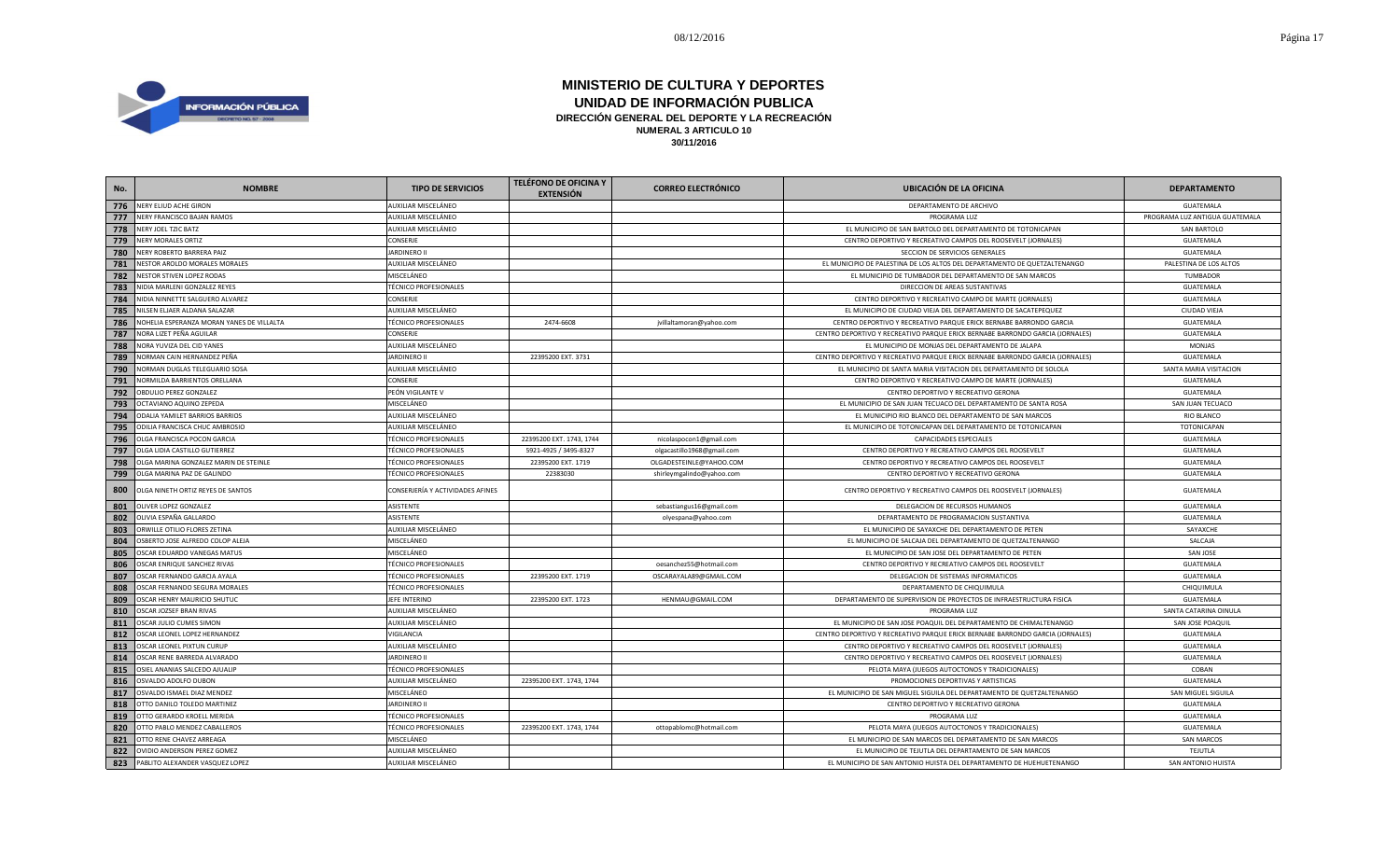

| No. | <b>NOMBRE</b>                             | <b>TIPO DE SERVICIOS</b>         | <b>TELÉFONO DE OFICINA Y</b><br><b>EXTENSIÓN</b> | <b>CORREO ELECTRÓNICO</b>  | <b>UBICACIÓN DE LA OFICINA</b>                                                | <b>DEPARTAMENTO</b>            |
|-----|-------------------------------------------|----------------------------------|--------------------------------------------------|----------------------------|-------------------------------------------------------------------------------|--------------------------------|
| 776 | NERY ELIUD ACHE GIRON                     | AUXILIAR MISCELÁNEO              |                                                  |                            | DEPARTAMENTO DE ARCHIVO                                                       | <b>GUATEMALA</b>               |
| 777 | NERY FRANCISCO BAJAN RAMOS                | AUXILIAR MISCELÁNEO              |                                                  |                            | PROGRAMA LUZ                                                                  | PROGRAMA LUZ ANTIGUA GUATEMALA |
| 778 | NERY JOEL TZIC BATZ                       | AUXILIAR MISCELÁNEO              |                                                  |                            | EL MUNICIPIO DE SAN BARTOLO DEL DEPARTAMENTO DE TOTONICAPAN                   | <b>SAN BARTOLO</b>             |
| 779 | <b>NERY MORALES ORTIZ</b>                 | CONSERJE                         |                                                  |                            | CENTRO DEPORTIVO Y RECREATIVO CAMPOS DEL ROOSEVELT (JORNALES)                 | GUATEMALA                      |
| 780 | NERY ROBERTO BARRERA PAIZ                 | <b>JARDINERO II</b>              |                                                  |                            | SECCION DE SERVICIOS GENERALES                                                | GUATEMALA                      |
| 781 | NESTOR AROLDO MORALES MORALES             | AUXILIAR MISCELÁNEO              |                                                  |                            | EL MUNICIPIO DE PALESTINA DE LOS ALTOS DEL DEPARTAMENTO DE QUETZALTENANGO     | PALESTINA DE LOS ALTOS         |
| 782 | NESTOR STIVEN LOPEZ RODAS                 | MISCELÁNEO                       |                                                  |                            | EL MUNICIPIO DE TUMBADOR DEL DEPARTAMENTO DE SAN MARCOS                       | TUMBADOR                       |
| 783 | NIDIA MARLENI GONZALEZ REYES              | <b>TÉCNICO PROFESIONALES</b>     |                                                  |                            | DIRECCION DE AREAS SUSTANTIVAS                                                | GUATEMALA                      |
| 784 | NIDIA NINNETTE SALGUERO ALVAREZ           | CONSERJE                         |                                                  |                            | CENTRO DEPORTIVO Y RECREATIVO CAMPO DE MARTE (JORNALES)                       | GUATEMALA                      |
| 785 | NILSEN ELJAER ALDANA SALAZAR              | AUXILIAR MISCELÁNEO              |                                                  |                            | EL MUNICIPIO DE CIUDAD VIEJA DEL DEPARTAMENTO DE SACATEPEQUEZ                 | CIUDAD VIEJA                   |
| 786 | NOHELIA ESPERANZA MORAN YANES DE VILLALTA | <b>TÉCNICO PROFESIONALES</b>     | 2474-6608                                        | jvillaltamoran@yahoo.com   | CENTRO DEPORTIVO Y RECREATIVO PARQUE ERICK BERNABE BARRONDO GARCIA            | GUATEMALA                      |
| 787 | NORA LIZET PEÑA AGUILAR                   | CONSERJE                         |                                                  |                            | CENTRO DEPORTIVO Y RECREATIVO PARQUE ERICK BERNABE BARRONDO GARCIA (JORNALES) | GUATEMALA                      |
| 788 | NORA YUVIZA DEL CID YANES                 | AUXILIAR MISCELÁNEO              |                                                  |                            | EL MUNICIPIO DE MONJAS DEL DEPARTAMENTO DE JALAPA                             | <b>MONJAS</b>                  |
| 789 | NORMAN CAIN HERNANDEZ PEÑA                | <b>JARDINERO II</b>              | 22395200 EXT. 3731                               |                            | CENTRO DEPORTIVO Y RECREATIVO PARQUE ERICK BERNABE BARRONDO GARCIA (JORNALES) | <b>GUATEMALA</b>               |
| 790 | NORMAN DUGLAS TELEGUARIO SOSA             | AUXILIAR MISCELÁNEO              |                                                  |                            | EL MUNICIPIO DE SANTA MARIA VISITACION DEL DEPARTAMENTO DE SOLOLA             | SANTA MARIA VISITACION         |
| 791 | NORMILDA BARRIENTOS ORELLANA              | CONSERJE                         |                                                  |                            | CENTRO DEPORTIVO Y RECREATIVO CAMPO DE MARTE (JORNALES)                       | GUATEMALA                      |
| 792 | OBDULIO PEREZ GONZALEZ                    | PEÓN VIGILANTE V                 |                                                  |                            | CENTRO DEPORTIVO Y RECREATIVO GERONA                                          | GUATEMALA                      |
| 793 | OCTAVIANO AQUINO ZEPEDA                   | MISCELÁNEO                       |                                                  |                            | EL MUNICIPIO DE SAN JUAN TECUACO DEL DEPARTAMENTO DE SANTA ROSA               | SAN JUAN TECUACO               |
| 794 | ODALIA YAMILET BARRIOS BARRIOS            | AUXILIAR MISCELÁNEO              |                                                  |                            | EL MUNICIPIO RIO BLANCO DEL DEPARTAMENTO DE SAN MARCOS                        | <b>RIO BLANCO</b>              |
| 795 | ODILIA FRANCISCA CHUC AMBROSIO            | AUXILIAR MISCELÁNEO              |                                                  |                            | EL MUNICIPIO DE TOTONICAPAN DEL DEPARTAMENTO DE TOTONICAPAN                   | TOTONICAPAN                    |
| 796 | OLGA FRANCISCA POCON GARCIA               | <b>TÉCNICO PROFESIONALES</b>     | 22395200 EXT. 1743, 1744                         | nicolaspocon1@gmail.com    | CAPACIDADES ESPECIALES                                                        | GUATEMALA                      |
| 797 | OLGA LIDIA CASTILLO GUTIERREZ             | <b>TÉCNICO PROFESIONALES</b>     | 5921-4925 / 3495-8327                            | olgacastillo1968@gmail.com | CENTRO DEPORTIVO Y RECREATIVO CAMPOS DEL ROOSEVELT                            | GUATEMALA                      |
| 798 | OLGA MARINA GONZALEZ MARIN DE STEINLE     | TÉCNICO PROFESIONALES            | 22395200 EXT. 1719                               | OLGADESTEINLE@YAHOO.COM    | CENTRO DEPORTIVO Y RECREATIVO CAMPOS DEL ROOSEVELT                            | GUATEMALA                      |
| 799 | OLGA MARINA PAZ DE GALINDO                | <b>TÉCNICO PROFESIONALES</b>     | 22383030                                         | shirleymgalindo@yahoo.com  | CENTRO DEPORTIVO Y RECREATIVO GERONA                                          | GUATEMALA                      |
| 800 | OLGA NINETH ORTIZ REYES DE SANTOS         | CONSERJERÍA Y ACTIVIDADES AFINES |                                                  |                            | CENTRO DEPORTIVO Y RECREATIVO CAMPOS DEL ROOSEVELT (JORNALES)                 | GUATEMALA                      |
| 801 | <b>OLIVER LOPEZ GONZALEZ</b>              | ASISTENTE                        |                                                  | sebastiangus16@gmail.com   | DELEGACION DE RECURSOS HUMANOS                                                | GUATEMALA                      |
| 802 | OLIVIA ESPAÑA GALLARDO                    | ASISTENTE                        |                                                  | olyespana@yahoo.com        | DEPARTAMENTO DE PROGRAMACION SUSTANTIVA                                       | GUATEMALA                      |
| 803 | ORWILLE OTILIO FLORES ZETINA              | AUXILIAR MISCELÁNEO              |                                                  |                            | EL MUNICIPIO DE SAYAXCHE DEL DEPARTAMENTO DE PETEN                            | SAYAXCHE                       |
| 804 | OSBERTO JOSE ALFREDO COLOP ALEJA          | MISCELÁNEO                       |                                                  |                            | EL MUNICIPIO DE SALCAJA DEL DEPARTAMENTO DE QUETZALTENANGO                    | SALCAJA                        |
| 805 | OSCAR EDUARDO VANEGAS MATUS               | MISCELÁNEO                       |                                                  |                            | EL MUNICIPIO DE SAN JOSE DEL DEPARTAMENTO DE PETEN                            | <b>SAN JOSE</b>                |
| 806 | OSCAR ENRIQUE SANCHEZ RIVAS               | <b>TÉCNICO PROFESIONALES</b>     |                                                  | oesanchez55@hotmail.com    | CENTRO DEPORTIVO Y RECREATIVO CAMPOS DEL ROOSEVELT                            | <b>GUATEMALA</b>               |
| 807 | OSCAR FERNANDO GARCIA AYALA               | <b>TÉCNICO PROFESIONALES</b>     | 22395200 EXT. 1719                               | OSCARAYALA89@GMAIL.COM     | DELEGACION DE SISTEMAS INFORMATICOS                                           | GUATEMALA                      |
| 808 | OSCAR FERNANDO SEGURA MORALES             | <b>TÉCNICO PROFESIONALES</b>     |                                                  |                            | DEPARTAMENTO DE CHIQUIMULA                                                    | CHIQUIMULA                     |
| 809 | OSCAR HENRY MAURICIO SHUTUC               | JEFE INTERINO                    | 22395200 EXT. 1723                               | HENMAU@GMAIL.COM           | DEPARTAMENTO DE SUPERVISION DE PROYECTOS DE INFRAESTRUCTURA FISICA            | GUATEMALA                      |
| 810 | OSCAR JOZSEF BRAN RIVAS                   | AUXILIAR MISCELÁNEO              |                                                  |                            | PROGRAMA LUZ                                                                  | SANTA CATARINA OINULA          |
| 811 | OSCAR JULIO CUMES SIMON                   | AUXILIAR MISCELÁNEO              |                                                  |                            | EL MUNICIPIO DE SAN JOSE POAQUIL DEL DEPARTAMENTO DE CHIMALTENANGO            | SAN JOSE POAQUIL               |
| 812 | OSCAR LEONEL LOPEZ HERNANDEZ              | VIGILANCIA                       |                                                  |                            | CENTRO DEPORTIVO Y RECREATIVO PARQUE ERICK BERNABE BARRONDO GARCIA (JORNALES) | GUATEMALA                      |
| 813 | OSCAR LEONEL PIXTUN CURUP                 | AUXILIAR MISCELÁNEO              |                                                  |                            | CENTRO DEPORTIVO Y RECREATIVO CAMPOS DEL ROOSEVELT (JORNALES)                 | GUATEMALA                      |
| 814 | OSCAR RENE BARREDA ALVARADO               | <b>JARDINERO II</b>              |                                                  |                            | CENTRO DEPORTIVO Y RECREATIVO CAMPOS DEL ROOSEVELT (JORNALES)                 | GUATEMALA                      |
| 815 | OSIEL ANANIAS SALCEDO AJUALIP             | <b>TÉCNICO PROFESIONALES</b>     |                                                  |                            | PELOTA MAYA (JUEGOS AUTOCTONOS Y TRADICIONALES)                               | COBAN                          |
| 816 | OSVALDO ADOLFO DUBON                      | AUXILIAR MISCELÁNEO              | 22395200 EXT. 1743, 1744                         |                            | PROMOCIONES DEPORTIVAS Y ARTISTICAS                                           | GUATEMALA                      |
| 817 | OSVALDO ISMAEL DIAZ MENDEZ                | MISCELÁNEO                       |                                                  |                            | EL MUNICIPIO DE SAN MIGUEL SIGUILA DEL DEPARTAMENTO DE QUETZALTENANGO         | SAN MIGUEL SIGUILA             |
| 818 | OTTO DANILO TOLEDO MARTINEZ               | <b>JARDINERO II</b>              |                                                  |                            | CENTRO DEPORTIVO Y RECREATIVO GERONA                                          | GUATEMALA                      |
| 819 | OTTO GERARDO KROELL MERIDA                | <b>TÉCNICO PROFESIONALES</b>     |                                                  |                            | PROGRAMA LUZ                                                                  | GUATEMALA                      |
| 820 | OTTO PABLO MENDEZ CABALLEROS              | <b>TÉCNICO PROFESIONALES</b>     | 22395200 EXT. 1743, 1744                         | ottopablomc@hotmail.com    | PELOTA MAYA (JUEGOS AUTOCTONOS Y TRADICIONALES)                               | GUATEMALA                      |
| 821 | OTTO RENE CHAVEZ ARREAGA                  | MISCELÁNEO                       |                                                  |                            | EL MUNICIPIO DE SAN MARCOS DEL DEPARTAMENTO DE SAN MARCOS                     | <b>SAN MARCOS</b>              |
| 822 | OVIDIO ANDERSON PEREZ GOMEZ               | AUXILIAR MISCELÁNEO              |                                                  |                            | EL MUNICIPIO DE TEJUTLA DEL DEPARTAMENTO DE SAN MARCOS                        | TEJUTLA                        |
|     | 823 PABLITO ALEXANDER VASQUEZ LOPEZ       | AUXILIAR MISCELÁNEO              |                                                  |                            | EL MUNICIPIO DE SAN ANTONIO HUISTA DEL DEPARTAMENTO DE HUEHUETENANGO          | SAN ANTONIO HUISTA             |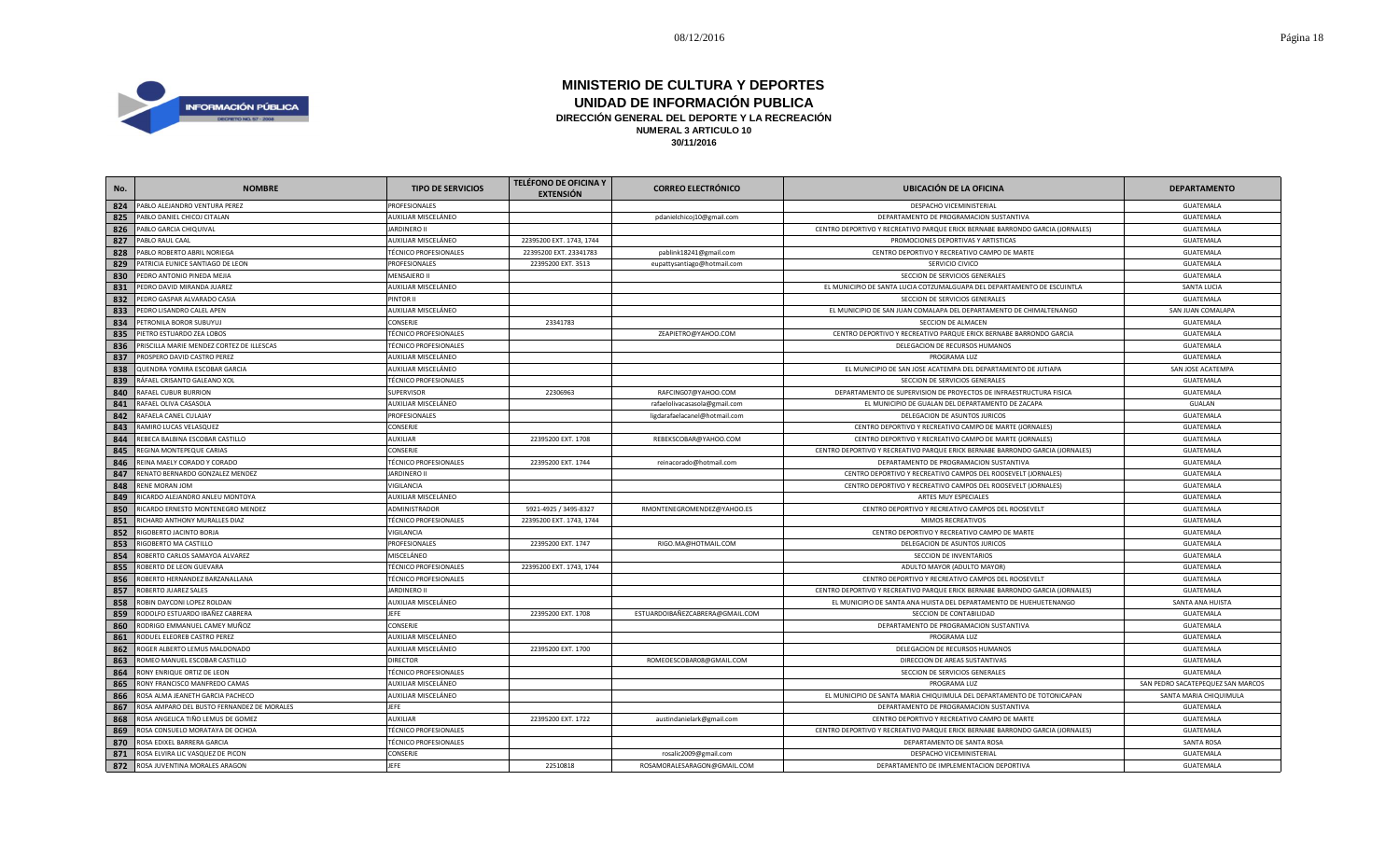

| No. | <b>NOMBRE</b>                              | <b>TIPO DE SERVICIOS</b>     | <b>TELÉFONO DE OFICINA Y</b><br><b>EXTENSIÓN</b> | <b>CORREO ELECTRÓNICO</b>       | <b>UBICACIÓN DE LA OFICINA</b>                                                | <b>DEPARTAMENTO</b>               |
|-----|--------------------------------------------|------------------------------|--------------------------------------------------|---------------------------------|-------------------------------------------------------------------------------|-----------------------------------|
| 824 | PABLO ALEJANDRO VENTURA PEREZ              | PROFESIONALES                |                                                  |                                 | DESPACHO VICEMINISTERIAL                                                      | GUATEMALA                         |
| 825 | PABLO DANIEL CHICOJ CITALAN                | AUXILIAR MISCELÁNEO          |                                                  | pdanielchicoj10@gmail.com       | DEPARTAMENTO DE PROGRAMACION SUSTANTIVA                                       | GUATEMALA                         |
| 826 | PABLO GARCIA CHIQUIVAL                     | <b>JARDINERO II</b>          |                                                  |                                 | CENTRO DEPORTIVO Y RECREATIVO PARQUE ERICK BERNABE BARRONDO GARCIA (JORNALES) | GUATEMALA                         |
| 827 | PABLO RAUL CAAL                            | AUXILIAR MISCELÁNEO          | 22395200 EXT. 1743, 1744                         |                                 | PROMOCIONES DEPORTIVAS Y ARTISTICAS                                           | GUATEMALA                         |
| 828 | PABLO ROBERTO ABRIL NORIEGA                | <b>TÉCNICO PROFESIONALES</b> | 22395200 EXT. 23341783                           | pablink18241@gmail.com          | CENTRO DEPORTIVO Y RECREATIVO CAMPO DE MARTE                                  | GUATEMALA                         |
| 829 | PATRICIA EUNICE SANTIAGO DE LEON           | PROFESIONALES                | 22395200 EXT. 3513                               | eupattysantiago@hotmail.com     | SERVICIO CIVICO                                                               | GUATEMALA                         |
| 830 | PEDRO ANTONIO PINEDA MEJIA                 | MENSAJERO II                 |                                                  |                                 | SECCION DE SERVICIOS GENERALES                                                | GUATEMALA                         |
| 831 | PEDRO DAVID MIRANDA JUAREZ                 | AUXILIAR MISCELÁNEO          |                                                  |                                 | EL MUNICIPIO DE SANTA LUCIA COTZUMALGUAPA DEL DEPARTAMENTO DE ESCUINTLA       | <b>SANTA LUCIA</b>                |
| 832 | PEDRO GASPAR ALVARADO CASIA                | PINTOR II                    |                                                  |                                 | SECCION DE SERVICIOS GENERALES                                                | GUATEMALA                         |
| 833 | PEDRO LISANDRO CALEL APEN                  | AUXILIAR MISCELÁNEO          |                                                  |                                 | EL MUNICIPIO DE SAN JUAN COMALAPA DEL DEPARTAMENTO DE CHIMALTENANGO           | SAN JUAN COMALAPA                 |
| 834 | PETRONILA BOROR SUBUYUJ                    | CONSERJE                     | 23341783                                         |                                 | SECCION DE ALMACEN                                                            | GUATEMALA                         |
| 835 | PIETRO ESTUARDO ZEA LOBOS                  | <b>TÉCNICO PROFESIONALES</b> |                                                  | ZEAPIETRO@YAHOO.COM             | CENTRO DEPORTIVO Y RECREATIVO PARQUE ERICK BERNABE BARRONDO GARCIA            | GUATEMALA                         |
| 836 | PRISCILLA MARIE MENDEZ CORTEZ DE ILLESCAS  | <b>TÉCNICO PROFESIONALES</b> |                                                  |                                 | DELEGACION DE RECURSOS HUMANOS                                                | GUATEMALA                         |
| 837 | PROSPERO DAVID CASTRO PEREZ                | AUXILIAR MISCELÁNEO          |                                                  |                                 | PROGRAMA LUZ                                                                  | GUATEMALA                         |
| 838 | QUENDRA YOMIRA ESCOBAR GARCIA              | AUXILIAR MISCELÁNEO          |                                                  |                                 | EL MUNICIPIO DE SAN JOSE ACATEMPA DEL DEPARTAMENTO DE JUTIAPA                 | SAN JOSE ACATEMPA                 |
| 839 | RÁFAEL CRISANTO GALEANO XOL                | <b>TÉCNICO PROFESIONALES</b> |                                                  |                                 | SECCION DE SERVICIOS GENERALES                                                | GUATEMALA                         |
| 840 | RAFAEL CUBUR BURRION                       | SUPERVISOR                   | 22306963                                         | RAFCING07@YAHOO.COM             | DEPARTAMENTO DE SUPERVISION DE PROYECTOS DE INFRAESTRUCTURA FISICA            | GUATEMALA                         |
| 841 | RAFAEL OLIVA CASASOLA                      | AUXILIAR MISCELÁNEO          |                                                  | rafaelolivacasasola@gmail.com   | EL MUNICIPIO DE GUALAN DEL DEPARTAMENTO DE ZACAPA                             | GUALAN                            |
| 842 | RAFAELA CANEL CULAJAY                      | PROFESIONALES                |                                                  | ligdarafaelacanel@hotmail.com   | DELEGACION DE ASUNTOS JURICOS                                                 | GUATEMALA                         |
| 843 | RAMIRO LUCAS VELASQUEZ                     | CONSERJE                     |                                                  |                                 | CENTRO DEPORTIVO Y RECREATIVO CAMPO DE MARTE (JORNALES)                       | GUATEMALA                         |
| 844 | REBECA BALBINA ESCOBAR CASTILLO            | AUXILIAR                     | 22395200 EXT. 1708                               | REBEKSCOBAR@YAHOO.COM           | CENTRO DEPORTIVO Y RECREATIVO CAMPO DE MARTE (JORNALES)                       | GUATEMALA                         |
| 845 | REGINA MONTEPEQUE CARIAS                   | CONSERJE                     |                                                  |                                 | CENTRO DEPORTIVO Y RECREATIVO PARQUE ERICK BERNABE BARRONDO GARCIA (JORNALES) | GUATEMALA                         |
| 846 | REINA MAELY CORADO Y CORADO                | <b>TÉCNICO PROFESIONALES</b> | 22395200 EXT. 1744                               | reinacorado@hotmail.com         | DEPARTAMENTO DE PROGRAMACION SUSTANTIVA                                       | GUATEMALA                         |
| 847 | RENATO BERNARDO GONZALEZ MENDEZ            | <b>JARDINERO II</b>          |                                                  |                                 | CENTRO DEPORTIVO Y RECREATIVO CAMPOS DEL ROOSEVELT (JORNALES)                 | GUATEMALA                         |
| 848 | RENE MORAN JOM                             | VIGILANCIA                   |                                                  |                                 | CENTRO DEPORTIVO Y RECREATIVO CAMPOS DEL ROOSEVELT (JORNALES)                 | GUATEMALA                         |
| 849 | RICARDO ALEJANDRO ANLEU MONTOYA            | AUXILIAR MISCELÁNEO          |                                                  |                                 | ARTES MUY ESPECIALES                                                          | GUATEMALA                         |
| 850 | RICARDO ERNESTO MONTENEGRO MENDEZ          | ADMINISTRADOR                | 5921-4925 / 3495-8327                            | RMONTENEGROMENDEZ@YAHOO.ES      | CENTRO DEPORTIVO Y RECREATIVO CAMPOS DEL ROOSEVELT                            | GUATEMALA                         |
| 851 | RICHARD ANTHONY MURALLES DIAZ              | <b>TÉCNICO PROFESIONALES</b> | 22395200 EXT. 1743, 1744                         |                                 | MIMOS RECREATIVOS                                                             | GUATEMALA                         |
| 852 | RIGOBERTO JACINTO BORJA                    | VIGILANCIA                   |                                                  |                                 | CENTRO DEPORTIVO Y RECREATIVO CAMPO DE MARTE                                  | GUATEMALA                         |
| 853 | RIGOBERTO MA CASTILLO                      | PROFESIONALES                | 22395200 EXT. 1747                               | RIGO.MA@HOTMAIL.COM             | DELEGACION DE ASUNTOS JURICOS                                                 | GUATEMALA                         |
| 854 | ROBERTO CARLOS SAMAYOA ALVAREZ             | MISCELÁNEO                   |                                                  |                                 | SECCION DE INVENTARIOS                                                        | GUATEMALA                         |
| 855 | ROBERTO DE LEON GUEVARA                    | <b>TÉCNICO PROFESIONALES</b> | 22395200 EXT. 1743, 1744                         |                                 | ADULTO MAYOR (ADULTO MAYOR)                                                   | GUATEMALA                         |
| 856 | ROBERTO HERNANDEZ BARZANALLANA             | <b>TÉCNICO PROFESIONALES</b> |                                                  |                                 | CENTRO DEPORTIVO Y RECREATIVO CAMPOS DEL ROOSEVELT                            | GUATEMALA                         |
| 857 | ROBERTO JUAREZ SALES                       | JARDINERO II                 |                                                  |                                 | CENTRO DEPORTIVO Y RECREATIVO PARQUE ERICK BERNABE BARRONDO GARCIA (JORNALES) | GUATEMALA                         |
| 858 | ROBIN DAYCONI LOPEZ ROLDAN                 | AUXILIAR MISCELÁNEO          |                                                  |                                 | EL MUNICIPIO DE SANTA ANA HUISTA DEL DEPARTAMENTO DE HUEHUETENANGO            | SANTA ANA HUISTA                  |
| 859 | RODOLFO ESTUARDO IBAÑEZ CABRERA            | JEFE                         | 22395200 EXT. 1708                               | ESTUARDOIBAÑEZCABRERA@GMAIL.COM | SECCION DE CONTABILIDAD                                                       | GUATEMALA                         |
| 860 | RODRIGO EMMANUEL CAMEY MUÑOZ               | CONSERJE                     |                                                  |                                 | DEPARTAMENTO DE PROGRAMACION SUSTANTIVA                                       | GUATEMALA                         |
| 861 | RODUEL ELEOREB CASTRO PEREZ                | AUXILIAR MISCELÁNEO          |                                                  |                                 | PROGRAMA LUZ                                                                  | GUATEMALA                         |
| 862 | ROGER ALBERTO LEMUS MALDONADO              | AUXILIAR MISCELÁNEO          | 22395200 EXT. 1700                               |                                 | DELEGACION DE RECURSOS HUMANOS                                                | GUATEMALA                         |
| 863 | ROMEO MANUEL ESCOBAR CASTILLO              | <b>DIRECTOR</b>              |                                                  | ROMEOESCOBAR08@GMAIL.COM        | DIRECCION DE AREAS SUSTANTIVAS                                                | GUATEMALA                         |
| 864 | RONY ENRIQUE ORTIZ DE LEON                 | <b>TÉCNICO PROFESIONALES</b> |                                                  |                                 | SECCION DE SERVICIOS GENERALES                                                | GUATEMALA                         |
| 865 | RONY FRANCISCO MANFREDO CAMAS              | AUXILIAR MISCELÁNEO          |                                                  |                                 | PROGRAMA LUZ                                                                  | SAN PEDRO SACATEPEQUEZ SAN MARCOS |
| 866 | ROSA ALMA JEANETH GARCIA PACHECO           | AUXILIAR MISCELÁNEO          |                                                  |                                 | EL MUNICIPIO DE SANTA MARIA CHIQUIMULA DEL DEPARTAMENTO DE TOTONICAPAN        | SANTA MARIA CHIQUIMULA            |
| 867 | ROSA AMPARO DEL BUSTO FERNANDEZ DE MORALES | <b>JEFE</b>                  |                                                  |                                 | DEPARTAMENTO DE PROGRAMACION SUSTANTIVA                                       | GUATEMALA                         |
| 868 | ROSA ANGELICA TIÑO LEMUS DE GOMEZ          | AUXILIAR                     | 22395200 EXT. 1722                               | austindanielark@gmail.com       | CENTRO DEPORTIVO Y RECREATIVO CAMPO DE MARTE                                  | GUATEMALA                         |
| 869 | ROSA CONSUELO MORATAYA DE OCHOA            | <b>TÉCNICO PROFESIONALES</b> |                                                  |                                 | CENTRO DEPORTIVO Y RECREATIVO PARQUE ERICK BERNABE BARRONDO GARCIA (JORNALES) | GUATEMALA                         |
| 870 | ROSA EDIXEL BARRERA GARCIA                 | <b>TÉCNICO PROFESIONALES</b> |                                                  |                                 | DEPARTAMENTO DE SANTA ROSA                                                    | <b>SANTA ROSA</b>                 |
| 871 | ROSA ELVIRA LIC VASQUEZ DE PICON           | CONSERJE                     |                                                  | rosalic2009@gmail.com           | DESPACHO VICEMINISTERIAL                                                      | GUATEMALA                         |
| 872 | ROSA JUVENTINA MORALES ARAGON              | <b>JEFE</b>                  | 22510818                                         | ROSAMORALESARAGON@GMAIL.COM     | DEPARTAMENTO DE IMPLEMENTACION DEPORTIVA                                      | GUATEMALA                         |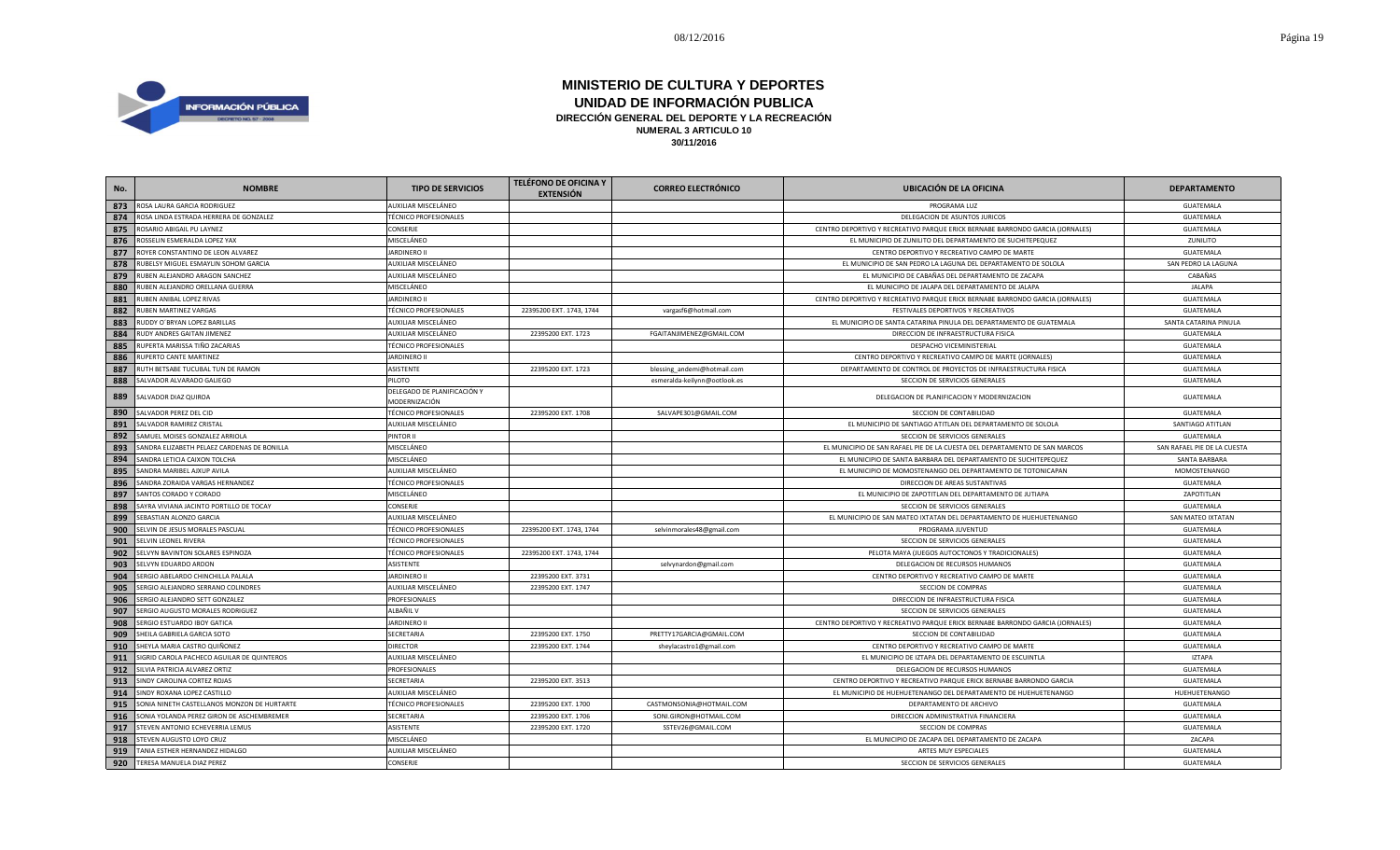

| No. | <b>NOMBRE</b>                               | <b>TIPO DE SERVICIOS</b>                     | <b>TELÉFONO DE OFICINA Y</b><br><b>EXTENSIÓN</b> | <b>CORREO ELECTRÓNICO</b>    | <b>UBICACIÓN DE LA OFICINA</b>                                                | <b>DEPARTAMENTO</b>         |
|-----|---------------------------------------------|----------------------------------------------|--------------------------------------------------|------------------------------|-------------------------------------------------------------------------------|-----------------------------|
| 873 | ROSA LAURA GARCIA RODRIGUEZ                 | AUXILIAR MISCELÁNEO                          |                                                  |                              | PROGRAMA LUZ                                                                  | GUATEMALA                   |
| 874 | ROSA LINDA ESTRADA HERRERA DE GONZALEZ      | TÉCNICO PROFESIONALES                        |                                                  |                              | DELEGACION DE ASUNTOS JURICOS                                                 | GUATEMALA                   |
| 875 | ROSARIO ABIGAIL PU LAYNEZ                   | CONSERJE                                     |                                                  |                              | CENTRO DEPORTIVO Y RECREATIVO PARQUE ERICK BERNABE BARRONDO GARCIA (JORNALES) | <b>GUATEMALA</b>            |
| 876 | ROSSELIN ESMERALDA LOPEZ YAX                | MISCELÁNEO                                   |                                                  |                              | EL MUNICIPIO DE ZUNILITO DEL DEPARTAMENTO DE SUCHITEPEQUEZ                    | ZUNILITO                    |
| 877 | ROYER CONSTANTINO DE LEON ALVAREZ           | <b>JARDINERO II</b>                          |                                                  |                              | CENTRO DEPORTIVO Y RECREATIVO CAMPO DE MARTE                                  | GUATEMALA                   |
| 878 | RUBELSY MIGUEL ESMAYLIN SOHOM GARCIA        | AUXILIAR MISCELÁNEO                          |                                                  |                              | EL MUNICIPIO DE SAN PEDRO LA LAGUNA DEL DEPARTAMENTO DE SOLOLA                | SAN PEDRO LA LAGUNA         |
| 879 | RUBEN ALEJANDRO ARAGON SANCHEZ              | AUXILIAR MISCELÁNEO                          |                                                  |                              | EL MUNICIPIO DE CABAÑAS DEL DEPARTAMENTO DE ZACAPA                            | CABAÑAS                     |
| 880 | RUBEN ALEJANDRO ORELLANA GUERRA             | MISCELÁNEO                                   |                                                  |                              | EL MUNICIPIO DE JALAPA DEL DEPARTAMENTO DE JALAPA                             | <b>JALAPA</b>               |
| 881 | RUBEN ANIBAL LOPEZ RIVAS                    | <b>JARDINERO II</b>                          |                                                  |                              | CENTRO DEPORTIVO Y RECREATIVO PARQUE ERICK BERNABE BARRONDO GARCIA (JORNALES) | GUATEMALA                   |
| 882 | <b>IUBEN MARTINEZ VARGAS</b>                | TÉCNICO PROFESIONALES                        | 22395200 EXT. 1743, 1744                         | vargasf6@hotmail.com         | FESTIVALES DEPORTIVOS Y RECREATIVOS                                           | GUATEMALA                   |
| 883 | RUDDY O'BRYAN LOPEZ BARILLAS                | AUXILIAR MISCELÁNEO                          |                                                  |                              | EL MUNICIPIO DE SANTA CATARINA PINULA DEL DEPARTAMENTO DE GUATEMALA           | SANTA CATARINA PINULA       |
| 884 | <b>RUDY ANDRES GAITAN JIMENEZ</b>           | AUXILIAR MISCELÁNEO                          | 22395200 EXT. 1723                               | FGAITANJIMENEZ@GMAIL.COM     | DIRECCION DE INFRAESTRUCTURA FISICA                                           | GUATEMALA                   |
| 885 | RUPERTA MARISSA TIÑO ZACARIAS               | <b>TÉCNICO PROFESIONALES</b>                 |                                                  |                              | DESPACHO VICEMINISTERIAL                                                      | GUATEMALA                   |
| 886 | RUPERTO CANTE MARTINEZ                      | JARDINERO II                                 |                                                  |                              | CENTRO DEPORTIVO Y RECREATIVO CAMPO DE MARTE (JORNALES)                       | GUATEMALA                   |
| 887 | RUTH BETSABE TUCUBAL TUN DE RAMON           | ASISTENTE                                    | 22395200 EXT. 1723                               | blessing_andemi@hotmail.com  | DEPARTAMENTO DE CONTROL DE PROYECTOS DE INFRAESTRUCTURA FISICA                | GUATEMALA                   |
| 888 | SALVADOR ALVARADO GALIEGO                   | PILOTO                                       |                                                  | esmeralda-keilynn@ootlook.es | SECCION DE SERVICIOS GENERALES                                                | GUATEMALA                   |
| 889 | SALVADOR DIAZ QUIROA                        | DELEGADO DE PLANIFICACIÓN Y<br>MODERNIZACIÓN |                                                  |                              | DELEGACION DE PLANIFICACION Y MODERNIZACION                                   | GUATEMALA                   |
| 890 | SALVADOR PEREZ DEL CID                      | TÉCNICO PROFESIONALES                        | 22395200 EXT. 1708                               | SALVAPE301@GMAIL.COM         | SECCION DE CONTABILIDAD                                                       | GUATEMALA                   |
| 891 | SALVADOR RAMIREZ CRISTAL                    | AUXILIAR MISCELÁNEO                          |                                                  |                              | EL MUNICIPIO DE SANTIAGO ATITLAN DEL DEPARTAMENTO DE SOLOLA                   | SANTIAGO ATITLAN            |
| 892 | SAMUEL MOISES GONZALEZ ARRIOLA              | PINTOR II                                    |                                                  |                              | SECCION DE SERVICIOS GENERALES                                                | GUATEMALA                   |
| 893 | SANDRA ELIZABETH PELAEZ CARDENAS DE BONILLA | MISCELÁNEO                                   |                                                  |                              | EL MUNICIPIO DE SAN RAFAEL PIE DE LA CUESTA DEL DEPARTAMENTO DE SAN MARCOS    | SAN RAFAEL PIE DE LA CUESTA |
| 894 | SANDRA LETICIA CAIXON TOLCHA                | MISCELÁNEO                                   |                                                  |                              | EL MUNICIPIO DE SANTA BARBARA DEL DEPARTAMENTO DE SUCHITEPEQUEZ               | SANTA BARBARA               |
| 895 | SANDRA MARIBEL AJXUP AVILA                  | AUXILIAR MISCELÁNEO                          |                                                  |                              | EL MUNICIPIO DE MOMOSTENANGO DEL DEPARTAMENTO DE TOTONICAPAN                  | MOMOSTENANGO                |
| 896 | SANDRA ZORAIDA VARGAS HERNANDEZ             | <b>TÉCNICO PROFESIONALES</b>                 |                                                  |                              | DIRECCION DE AREAS SUSTANTIVAS                                                | <b>GUATEMALA</b>            |
| 897 | SANTOS CORADO Y CORADO                      | MISCELÁNEO                                   |                                                  |                              | EL MUNICIPIO DE ZAPOTITLAN DEL DEPARTAMENTO DE JUTIAPA                        | ZAPOTITLAN                  |
| 898 | SAYRA VIVIANA JACINTO PORTILLO DE TOCAY     | CONSERJE                                     |                                                  |                              | SECCION DE SERVICIOS GENERALES                                                | GUATEMALA                   |
| 899 | SEBASTIAN ALONZO GARCIA                     | AUXILIAR MISCELÁNEO                          |                                                  |                              | EL MUNICIPIO DE SAN MATEO IXTATAN DEL DEPARTAMENTO DE HUEHUETENANGO           | SAN MATEO IXTATAN           |
| 900 | SELVIN DE JESUS MORALES PASCUAL             | TÉCNICO PROFESIONALES                        | 22395200 EXT. 1743, 1744                         | selvinmorales48@gmail.com    | PROGRAMA JUVENTUD                                                             | GUATEMALA                   |
| 901 | <b>ELVIN LEONEL RIVERA</b>                  | TÉCNICO PROFESIONALES                        |                                                  |                              | SECCION DE SERVICIOS GENERALES                                                | GUATEMALA                   |
| 902 | SELVYN BAVINTON SOLARES ESPINOZA            | <b>TÉCNICO PROFESIONALES</b>                 | 22395200 EXT. 1743, 1744                         |                              | PELOTA MAYA (JUEGOS AUTOCTONOS Y TRADICIONALES)                               | GUATEMALA                   |
| 903 | ELVYN EDUARDO ARDON                         | ASISTENTE                                    |                                                  | selvynardon@gmail.com        | DELEGACION DE RECURSOS HUMANOS                                                | GUATEMALA                   |
| 904 | SERGIO ABELARDO CHINCHILLA PALALA           | <b>JARDINERO I</b>                           | 22395200 EXT. 3731                               |                              | CENTRO DEPORTIVO Y RECREATIVO CAMPO DE MARTE                                  | GUATEMALA                   |
| 905 | ERGIO ALEJANDRO SERRANO COLINDRES           | AUXILIAR MISCELÁNEO                          | 22395200 EXT. 1747                               |                              | SECCION DE COMPRAS                                                            | GUATEMALA                   |
| 906 | SERGIO ALEJANDRO SETT GONZALEZ              | PROFESIONALES                                |                                                  |                              | DIRECCION DE INFRAESTRUCTURA FISICA                                           | GUATEMALA                   |
| 907 | SERGIO AUGUSTO MORALES RODRIGUEZ            | ALBAÑIL V                                    |                                                  |                              | SECCION DE SERVICIOS GENERALES                                                | GUATEMALA                   |
| 908 | SERGIO ESTUARDO IBOY GATICA                 | <b>JARDINERO II</b>                          |                                                  |                              | CENTRO DEPORTIVO Y RECREATIVO PARQUE ERICK BERNABE BARRONDO GARCIA (JORNALES) | GUATEMALA                   |
| 909 | SHEILA GABRIELA GARCIA SOTO                 | SECRETARIA                                   | 22395200 EXT. 1750                               | PRETTY17GARCIA@GMAIL.COM     | SECCION DE CONTABILIDAD                                                       | GUATEMALA                   |
| 910 | SHEYLA MARIA CASTRO QUIÑONEZ                | <b>DIRECTOR</b>                              | 22395200 EXT. 1744                               | sheylacastro1@gmail.com      | CENTRO DEPORTIVO Y RECREATIVO CAMPO DE MARTE                                  | GUATEMALA                   |
| 911 | SIGRID CAROLA PACHECO AGUILAR DE QUINTEROS  | AUXILIAR MISCELÁNEO                          |                                                  |                              | EL MUNICIPIO DE IZTAPA DEL DEPARTAMENTO DE ESCUINTLA                          | <b>IZTAPA</b>               |
| 912 | SILVIA PATRICIA ALVAREZ ORTIZ               | PROFESIONALES                                |                                                  |                              | DELEGACION DE RECURSOS HUMANOS                                                | GUATEMALA                   |
| 913 | SINDY CAROLINA CORTEZ ROJAS                 | SECRETARIA                                   | 22395200 EXT. 3513                               |                              | CENTRO DEPORTIVO Y RECREATIVO PARQUE ERICK BERNABE BARRONDO GARCIA            | GUATEMALA                   |
| 914 | SINDY ROXANA LOPEZ CASTILLO                 | AUXILIAR MISCELÁNEO                          |                                                  |                              | EL MUNICIPIO DE HUEHUETENANGO DEL DEPARTAMENTO DE HUEHUETENANGO               | HUEHUETENANGO               |
| 915 | SONIA NINETH CASTELLANOS MONZON DE HURTARTE | TÉCNICO PROFESIONALES                        | 22395200 EXT. 1700                               | CASTMONSONIA@HOTMAIL.COM     | DEPARTAMENTO DE ARCHIVO                                                       | GUATEMALA                   |
| 916 | SONIA YOLANDA PEREZ GIRON DE ASCHEMBREMER   | SECRETARIA                                   | 22395200 EXT. 1706                               | SONI.GIRON@HOTMAIL.COM       | DIRECCION ADMINISTRATIVA FINANCIERA                                           | GUATEMALA                   |
| 917 | STEVEN ANTONIO ECHEVERRIA LEMUS             | ASISTENTE                                    | 22395200 EXT. 1720                               | SSTEV26@GMAIL.COM            | SECCION DE COMPRAS                                                            | GUATEMALA                   |
| 918 | STEVEN AUGUSTO LOYO CRUZ                    | MISCELÁNEO                                   |                                                  |                              | EL MUNICIPIO DE ZACAPA DEL DEPARTAMENTO DE ZACAPA                             | ZACAPA                      |
| 919 | TANIA ESTHER HERNANDEZ HIDALGO              | AUXILIAR MISCELÁNEO                          |                                                  |                              | ARTES MUY ESPECIALES                                                          | GUATEMALA                   |
| 920 | TERESA MANUELA DIAZ PEREZ                   | CONSERJE                                     |                                                  |                              | SECCION DE SERVICIOS GENERALES                                                | GUATEMALA                   |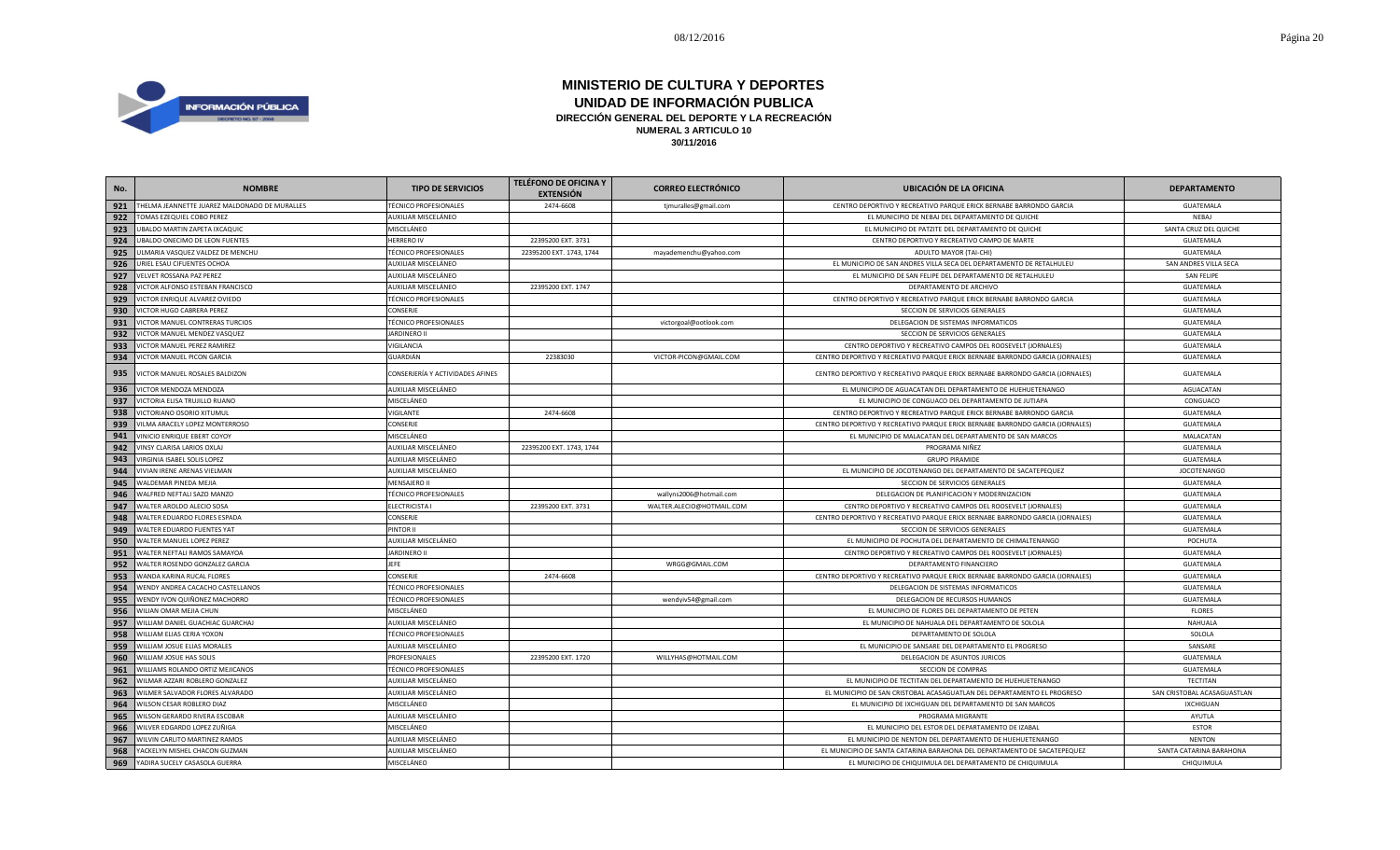

| No. | <b>NOMBRE</b>                                 | <b>TIPO DE SERVICIOS</b>         | <b>TELÉFONO DE OFICINA Y</b><br><b>EXTENSIÓN</b> | <b>CORREO ELECTRÓNICO</b> | <b>UBICACIÓN DE LA OFICINA</b>                                                | <b>DEPARTAMENTO</b>         |
|-----|-----------------------------------------------|----------------------------------|--------------------------------------------------|---------------------------|-------------------------------------------------------------------------------|-----------------------------|
| 921 | THELMA JEANNETTE JUAREZ MALDONADO DE MURALLES | <b>TÉCNICO PROFESIONALES</b>     | 2474-6608                                        | tjmuralles@gmail.com      | CENTRO DEPORTIVO Y RECREATIVO PARQUE ERICK BERNABE BARRONDO GARCIA            | <b>GUATEMALA</b>            |
| 922 | TOMAS EZEQUIEL COBO PEREZ                     | AUXILIAR MISCELÁNEO              |                                                  |                           | EL MUNICIPIO DE NEBAJ DEL DEPARTAMENTO DE QUICHE                              | NEBAJ                       |
| 923 | UBALDO MARTIN ZAPETA IXCAQUIC                 | MISCELÁNEO                       |                                                  |                           | EL MUNICIPIO DE PATZITE DEL DEPARTAMENTO DE QUICHE                            | SANTA CRUZ DEL QUICHE       |
| 924 | UBALDO ONECIMO DE LEON FUENTES                | <b>HERRERO IV</b>                | 22395200 EXT. 3731                               |                           | CENTRO DEPORTIVO Y RECREATIVO CAMPO DE MARTE                                  | GUATEMALA                   |
| 925 | ULMARIA VASQUEZ VALDEZ DE MENCHU              | <b>TÉCNICO PROFESIONALES</b>     | 22395200 EXT. 1743, 1744                         | mayademenchu@yahoo.com    | ADULTO MAYOR (TAI-CHI)                                                        | GUATEMALA                   |
| 926 | URIEL ESAU CIFUENTES OCHOA                    | AUXILIAR MISCELÁNEO              |                                                  |                           | EL MUNICIPIO DE SAN ANDRES VILLA SECA DEL DEPARTAMENTO DE RETALHULEU          | SAN ANDRES VILLA SECA       |
| 927 | VELVET ROSSANA PAZ PEREZ                      | AUXILIAR MISCELÁNEO              |                                                  |                           | EL MUNICIPIO DE SAN FELIPE DEL DEPARTAMENTO DE RETALHULEU                     | <b>SAN FELIPE</b>           |
| 928 | VICTOR ALFONSO ESTEBAN FRANCISCO              | AUXILIAR MISCELÁNEO              | 22395200 EXT. 1747                               |                           | DEPARTAMENTO DE ARCHIVO                                                       | GUATEMALA                   |
| 929 | VICTOR ENRIQUE ALVAREZ OVIEDO                 | <b>TÉCNICO PROFESIONALES</b>     |                                                  |                           | CENTRO DEPORTIVO Y RECREATIVO PARQUE ERICK BERNABE BARRONDO GARCIA            | GUATEMALA                   |
| 930 | VICTOR HUGO CABRERA PEREZ                     | CONSERJE                         |                                                  |                           | SECCION DE SERVICIOS GENERALES                                                | GUATEMALA                   |
| 931 | VICTOR MANUEL CONTRERAS TURCIOS               | <b>TÉCNICO PROFESIONALES</b>     |                                                  | victorgoal@ootlook.com    | DELEGACION DE SISTEMAS INFORMATICOS                                           | GUATEMALA                   |
| 932 | VICTOR MANUEL MENDEZ VASQUEZ                  | <b>JARDINERO II</b>              |                                                  |                           | SECCION DE SERVICIOS GENERALES                                                | GUATEMALA                   |
| 933 | VICTOR MANUEL PEREZ RAMIREZ                   | VIGILANCIA                       |                                                  |                           | CENTRO DEPORTIVO Y RECREATIVO CAMPOS DEL ROOSEVELT (JORNALES)                 | GUATEMALA                   |
| 934 | VICTOR MANUEL PICON GARCIA                    | <b>GUARDIÁN</b>                  | 22383030                                         | VICTOR-PICON@GMAIL.COM    | CENTRO DEPORTIVO Y RECREATIVO PARQUE ERICK BERNABE BARRONDO GARCIA (JORNALES) | GUATEMALA                   |
| 935 | VICTOR MANUEL ROSALES BALDIZON                | CONSERJERÍA Y ACTIVIDADES AFINES |                                                  |                           | CENTRO DEPORTIVO Y RECREATIVO PARQUE ERICK BERNABE BARRONDO GARCIA (JORNALES) | GUATEMALA                   |
| 936 | VICTOR MENDOZA MENDOZA                        | AUXILIAR MISCELÁNEO              |                                                  |                           | EL MUNICIPIO DE AGUACATAN DEL DEPARTAMENTO DE HUEHUETENANGO                   | AGUACATAN                   |
| 937 | VICTORIA ELISA TRUJILLO RUANO                 | MISCELÁNEO                       |                                                  |                           | EL MUNICIPIO DE CONGUACO DEL DEPARTAMENTO DE JUTIAPA                          | CONGUACO                    |
| 938 | VICTORIANO OSORIO XITUMUL                     | VIGILANTE                        | 2474-6608                                        |                           | CENTRO DEPORTIVO Y RECREATIVO PARQUE ERICK BERNABE BARRONDO GARCIA            | GUATEMALA                   |
| 939 | VILMA ARACELY LOPEZ MONTERROSO                | CONSERJE                         |                                                  |                           | CENTRO DEPORTIVO Y RECREATIVO PARQUE ERICK BERNABE BARRONDO GARCIA (JORNALES) | GUATEMALA                   |
| 941 | VINICIO ENRIQUE EBERT COYOY                   | MISCELÁNEO                       |                                                  |                           | EL MUNICIPIO DE MALACATAN DEL DEPARTAMENTO DE SAN MARCOS                      | MALACATAN                   |
| 942 | VINSY CLARISA LARIOS OXLAJ                    | AUXILIAR MISCELÁNEO              | 22395200 EXT. 1743, 1744                         |                           | PROGRAMA NIÑEZ                                                                | GUATEMALA                   |
| 943 | VIRGINIA ISABEL SOLIS LOPEZ                   | AUXILIAR MISCELÁNEO              |                                                  |                           | <b>GRUPO PIRAMIDE</b>                                                         | GUATEMALA                   |
| 944 | VIVIAN IRENE ARENAS VIELMAN                   | AUXILIAR MISCELÁNEO              |                                                  |                           | EL MUNICIPIO DE JOCOTENANGO DEL DEPARTAMENTO DE SACATEPEQUEZ                  | <b>JOCOTENANGO</b>          |
| 945 | WALDEMAR PINEDA MEJIA                         | MENSAJERO II                     |                                                  |                           | SECCION DE SERVICIOS GENERALES                                                | GUATEMALA                   |
| 946 | WALFRED NEFTALI SAZO MANZO                    | <b>TÉCNICO PROFESIONALES</b>     |                                                  | wallyns2006@hotmail.com   | DELEGACION DE PLANIFICACION Y MODERNIZACION                                   | GUATEMALA                   |
| 947 | WALTER AROLDO ALECIO SOSA                     | <b>ELECTRICISTA I</b>            | 22395200 EXT. 3731                               | WALTER.ALECIO@HOTMAIL.COM | CENTRO DEPORTIVO Y RECREATIVO CAMPOS DEL ROOSEVELT (JORNALES)                 | GUATEMALA                   |
| 948 | WALTER EDUARDO FLORES ESPADA                  | CONSERJE                         |                                                  |                           | CENTRO DEPORTIVO Y RECREATIVO PARQUE ERICK BERNABE BARRONDO GARCIA (JORNALES) | GUATEMALA                   |
| 949 | WALTER EDUARDO FUENTES YAT                    | PINTOR II                        |                                                  |                           | SECCION DE SERVICIOS GENERALES                                                | <b>GUATEMALA</b>            |
| 950 | WALTER MANUEL LOPEZ PEREZ                     | AUXILIAR MISCELÁNEO              |                                                  |                           | EL MUNICIPIO DE POCHUTA DEL DEPARTAMENTO DE CHIMALTENANGO                     | POCHUTA                     |
| 951 | WALTER NEFTALI RAMOS SAMAYOA                  | <b>JARDINERO II</b>              |                                                  |                           | CENTRO DEPORTIVO Y RECREATIVO CAMPOS DEL ROOSEVELT (JORNALES)                 | GUATEMALA                   |
| 952 | WALTER ROSENDO GONZALEZ GARCIA                | <b>JEFE</b>                      |                                                  | WRGG@GMAIL.COM            | DEPARTAMENTO FINANCIERO                                                       | GUATEMALA                   |
| 953 | WANDA KARINA RUCAL FLORES                     | CONSERJE                         | 2474-6608                                        |                           | CENTRO DEPORTIVO Y RECREATIVO PARQUE ERICK BERNABE BARRONDO GARCIA (JORNALES) | GUATEMALA                   |
| 954 | WENDY ANDREA CACACHO CASTELLANOS              | <b>TÉCNICO PROFESIONALES</b>     |                                                  |                           | DELEGACION DE SISTEMAS INFORMATICOS                                           | GUATEMALA                   |
| 955 | WENDY IVON QUIÑONEZ MACHORRO                  | <b>TÉCNICO PROFESIONALES</b>     |                                                  | wendyiv54@gmail.com       | DELEGACION DE RECURSOS HUMANOS                                                | GUATEMALA                   |
| 956 | WILIAN OMAR MEJIA CHUN                        | MISCELÁNEO                       |                                                  |                           | EL MUNICIPIO DE FLORES DEL DEPARTAMENTO DE PETEN                              | <b>FLORES</b>               |
| 957 | WILLIAM DANIEL GUACHIAC GUARCHAJ              | AUXILIAR MISCELÁNEO              |                                                  |                           | EL MUNICIPIO DE NAHUALA DEL DEPARTAMENTO DE SOLOLA                            | NAHUALA                     |
| 958 | WILLIAM ELIAS CERIA YOXON                     | <b>TÉCNICO PROFESIONALES</b>     |                                                  |                           | DEPARTAMENTO DE SOLOLA                                                        | SOLOLA                      |
| 959 | WILLIAM JOSUE ELIAS MORALES                   | AUXILIAR MISCELÁNEO              |                                                  |                           | EL MUNICIPIO DE SANSARE DEL DEPARTAMENTO EL PROGRESO                          | SANSARE                     |
| 960 | WILLIAM JOSUE HAS SOLIS                       | PROFESIONALES                    | 22395200 EXT. 1720                               | WILLYHAS@HOTMAIL.COM      | DELEGACION DE ASUNTOS JURICOS                                                 | GUATEMALA                   |
| 961 | WILLIAMS ROLANDO ORTIZ MEJICANOS              | <b>TÉCNICO PROFESIONALES</b>     |                                                  |                           | SECCION DE COMPRAS                                                            | GUATEMALA                   |
| 962 | WILMAR AZZARI ROBLERO GONZALEZ                | AUXILIAR MISCELÁNEO              |                                                  |                           | EL MUNICIPIO DE TECTITAN DEL DEPARTAMENTO DE HUEHUETENANGO                    | TECTITAN                    |
| 963 | WILMER SALVADOR FLORES ALVARADO               | AUXILIAR MISCELÁNEO              |                                                  |                           | EL MUNICIPIO DE SAN CRISTOBAL ACASAGUATLAN DEL DEPARTAMENTO EL PROGRESO       | SAN CRISTOBAL ACASAGUASTLAN |
| 964 | WILSON CESAR ROBLERO DIAZ                     | MISCELÁNEO                       |                                                  |                           | EL MUNICIPIO DE IXCHIGUAN DEL DEPARTAMENTO DE SAN MARCOS                      | <b>IXCHIGUAN</b>            |
| 965 | WILSON GERARDO RIVERA ESCOBAR                 | AUXILIAR MISCELÁNEO              |                                                  |                           | PROGRAMA MIGRANTE                                                             | AYUTLA                      |
| 966 | WILVER EDGARDO LOPEZ ZUÑIGA                   | MISCELÁNEO                       |                                                  |                           | EL MUNICIPIO DEL ESTOR DEL DEPARTAMENTO DE IZABAL                             | <b>ESTOR</b>                |
| 967 | WILVIN CARLITO MARTINEZ RAMOS                 | AUXILIAR MISCELÁNEO              |                                                  |                           | EL MUNICIPIO DE NENTON DEL DEPARTAMENTO DE HUEHUETENANGO                      | <b>NENTON</b>               |
| 968 | YACKELYN MISHEL CHACON GUZMAN                 | AUXILIAR MISCELÁNEO              |                                                  |                           | EL MUNICIPIO DE SANTA CATARINA BARAHONA DEL DEPARTAMENTO DE SACATEPEQUEZ      | SANTA CATARINA BARAHONA     |
| 969 | YADIRA SUCELY CASASOLA GUERRA                 | MISCELÁNEO                       |                                                  |                           | EL MUNICIPIO DE CHIQUIMULA DEL DEPARTAMENTO DE CHIQUIMULA                     | CHIQUIMULA                  |
|     |                                               |                                  |                                                  |                           |                                                                               |                             |